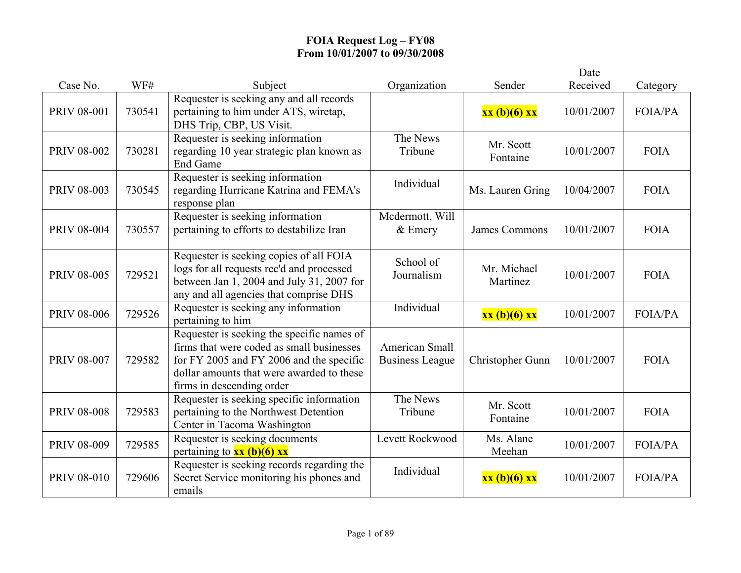|                    |        |                                                                                                                                                                                                               |                                          |                         | Date       |                |
|--------------------|--------|---------------------------------------------------------------------------------------------------------------------------------------------------------------------------------------------------------------|------------------------------------------|-------------------------|------------|----------------|
| Case No.           | WF#    | Subject                                                                                                                                                                                                       | Organization                             | Sender                  | Received   | Category       |
| <b>PRIV 08-001</b> | 730541 | Requester is seeking any and all records<br>pertaining to him under ATS, wiretap,<br>DHS Trip, CBP, US Visit.                                                                                                 |                                          | xx (b)(6) xx            | 10/01/2007 | FOIA/PA        |
| PRIV 08-002        | 730281 | Requester is seeking information<br>regarding 10 year strategic plan known as<br><b>End Game</b>                                                                                                              | The News<br>Tribune                      | Mr. Scott<br>Fontaine   | 10/01/2007 | <b>FOIA</b>    |
| <b>PRIV 08-003</b> | 730545 | Requester is seeking information<br>regarding Hurricane Katrina and FEMA's<br>response plan                                                                                                                   | Individual                               | Ms. Lauren Gring        | 10/04/2007 | <b>FOIA</b>    |
| <b>PRIV 08-004</b> | 730557 | Requester is seeking information<br>pertaining to efforts to destabilize Iran                                                                                                                                 | Mcdermott, Will<br>$&$ Emery             | <b>James Commons</b>    | 10/01/2007 | <b>FOIA</b>    |
| <b>PRIV 08-005</b> | 729521 | Requester is seeking copies of all FOIA<br>logs for all requests rec'd and processed<br>between Jan 1, 2004 and July 31, 2007 for<br>any and all agencies that comprise DHS                                   | School of<br>Journalism                  | Mr. Michael<br>Martinez | 10/01/2007 | <b>FOIA</b>    |
| <b>PRIV 08-006</b> | 729526 | Requester is seeking any information<br>pertaining to him                                                                                                                                                     | Individual                               | xx (b)(6) xx            | 10/01/2007 | <b>FOIA/PA</b> |
| <b>PRIV 08-007</b> | 729582 | Requester is seeking the specific names of<br>firms that were coded as small businesses<br>for FY 2005 and FY 2006 and the specific<br>dollar amounts that were awarded to these<br>firms in descending order | American Small<br><b>Business League</b> | Christopher Gunn        | 10/01/2007 | <b>FOIA</b>    |
| <b>PRIV 08-008</b> | 729583 | Requester is seeking specific information<br>pertaining to the Northwest Detention<br>Center in Tacoma Washington                                                                                             | The News<br>Tribune                      | Mr. Scott<br>Fontaine   | 10/01/2007 | <b>FOIA</b>    |
| <b>PRIV 08-009</b> | 729585 | Requester is seeking documents<br>pertaining to $xx$ (b)(6) $xx$                                                                                                                                              | Levett Rockwood                          | Ms. Alane<br>Meehan     | 10/01/2007 | <b>FOIA/PA</b> |
| <b>PRIV 08-010</b> | 729606 | Requester is seeking records regarding the<br>Secret Service monitoring his phones and<br>emails                                                                                                              | Individual                               | xx (b)(6) xx            | 10/01/2007 | <b>FOIA/PA</b> |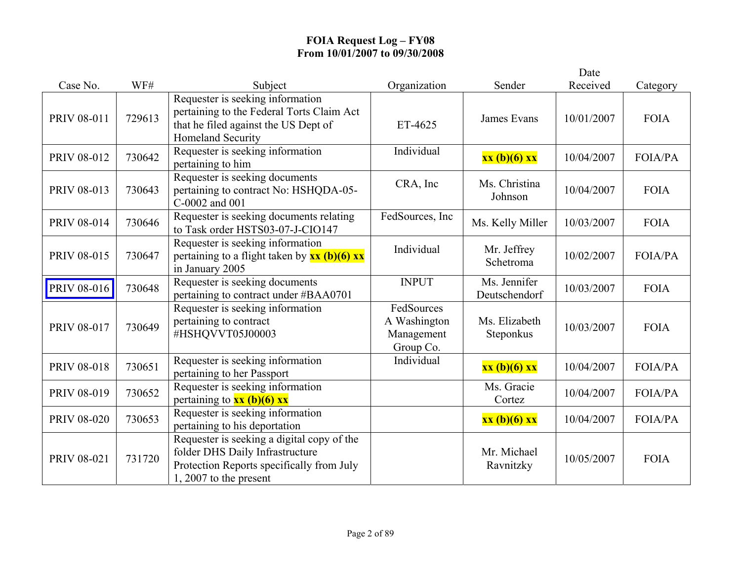|                    |        |                                                                                                                                                        |                                                       |                               | Date       |                |
|--------------------|--------|--------------------------------------------------------------------------------------------------------------------------------------------------------|-------------------------------------------------------|-------------------------------|------------|----------------|
| Case No.           | WF#    | Subject                                                                                                                                                | Organization                                          | Sender                        | Received   | Category       |
| <b>PRIV 08-011</b> | 729613 | Requester is seeking information<br>pertaining to the Federal Torts Claim Act<br>that he filed against the US Dept of<br><b>Homeland Security</b>      | ET-4625                                               | <b>James Evans</b>            | 10/01/2007 | <b>FOIA</b>    |
| PRIV 08-012        | 730642 | Requester is seeking information<br>pertaining to him                                                                                                  | Individual                                            | xx (b)(6) xx                  | 10/04/2007 | <b>FOIA/PA</b> |
| PRIV 08-013        | 730643 | Requester is seeking documents<br>pertaining to contract No: HSHQDA-05-<br>C-0002 and 001                                                              | CRA, Inc                                              | Ms. Christina<br>Johnson      | 10/04/2007 | <b>FOIA</b>    |
| <b>PRIV 08-014</b> | 730646 | Requester is seeking documents relating<br>to Task order HSTS03-07-J-CIO147                                                                            | FedSources, Inc                                       | Ms. Kelly Miller              | 10/03/2007 | <b>FOIA</b>    |
| <b>PRIV 08-015</b> | 730647 | Requester is seeking information<br>pertaining to a flight taken by $\frac{xx(b)(6)xx}{x^2}$<br>in January 2005                                        | Individual                                            | Mr. Jeffrey<br>Schetroma      | 10/02/2007 | FOIA/PA        |
| PRIV 08-016        | 730648 | Requester is seeking documents<br>pertaining to contract under #BAA0701                                                                                | <b>INPUT</b>                                          | Ms. Jennifer<br>Deutschendorf | 10/03/2007 | <b>FOIA</b>    |
| PRIV 08-017        | 730649 | Requester is seeking information<br>pertaining to contract<br>#HSHQVVT05J00003                                                                         | FedSources<br>A Washington<br>Management<br>Group Co. | Ms. Elizabeth<br>Steponkus    | 10/03/2007 | <b>FOIA</b>    |
| PRIV 08-018        | 730651 | Requester is seeking information<br>pertaining to her Passport                                                                                         | Individual                                            | xx (b)(6) xx                  | 10/04/2007 | FOIA/PA        |
| PRIV 08-019        | 730652 | Requester is seeking information<br>pertaining to $xx$ (b)(6) xx                                                                                       |                                                       | Ms. Gracie<br>Cortez          | 10/04/2007 | <b>FOIA/PA</b> |
| <b>PRIV 08-020</b> | 730653 | Requester is seeking information<br>pertaining to his deportation                                                                                      |                                                       | xx (b)(6) xx                  | 10/04/2007 | <b>FOIA/PA</b> |
| PRIV 08-021        | 731720 | Requester is seeking a digital copy of the<br>folder DHS Daily Infrastructure<br>Protection Reports specifically from July<br>$1, 2007$ to the present |                                                       | Mr. Michael<br>Ravnitzky      | 10/05/2007 | <b>FOIA</b>    |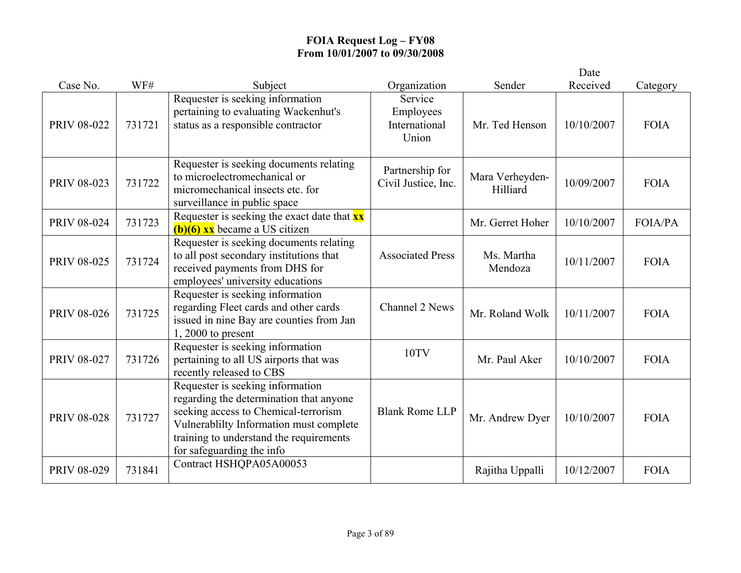|                    |        |                                                                                                                                                                                                                                        |                                                |                             | Date       |                |
|--------------------|--------|----------------------------------------------------------------------------------------------------------------------------------------------------------------------------------------------------------------------------------------|------------------------------------------------|-----------------------------|------------|----------------|
| Case No.           | WF#    | Subject                                                                                                                                                                                                                                | Organization                                   | Sender                      | Received   | Category       |
| <b>PRIV 08-022</b> | 731721 | Requester is seeking information<br>pertaining to evaluating Wackenhut's<br>status as a responsible contractor                                                                                                                         | Service<br>Employees<br>International<br>Union | Mr. Ted Henson              | 10/10/2007 | <b>FOIA</b>    |
| PRIV 08-023        | 731722 | Requester is seeking documents relating<br>to microelectromechanical or<br>micromechanical insects etc. for<br>surveillance in public space                                                                                            | Partnership for<br>Civil Justice, Inc.         | Mara Verheyden-<br>Hilliard | 10/09/2007 | <b>FOIA</b>    |
| <b>PRIV 08-024</b> | 731723 | Requester is seeking the exact date that $\mathbf{x} \mathbf{x}$<br>$(b)(6)$ xx became a US citizen                                                                                                                                    |                                                | Mr. Gerret Hoher            | 10/10/2007 | <b>FOIA/PA</b> |
| <b>PRIV 08-025</b> | 731724 | Requester is seeking documents relating<br>to all post secondary institutions that<br>received payments from DHS for<br>employees' university educations                                                                               | <b>Associated Press</b>                        | Ms. Martha<br>Mendoza       | 10/11/2007 | <b>FOIA</b>    |
| <b>PRIV 08-026</b> | 731725 | Requester is seeking information<br>regarding Fleet cards and other cards<br>issued in nine Bay are counties from Jan<br>$1,2000$ to present                                                                                           | Channel 2 News                                 | Mr. Roland Wolk             | 10/11/2007 | <b>FOIA</b>    |
| PRIV 08-027        | 731726 | Requester is seeking information<br>pertaining to all US airports that was<br>recently released to CBS                                                                                                                                 | 10TV                                           | Mr. Paul Aker               | 10/10/2007 | <b>FOIA</b>    |
| <b>PRIV 08-028</b> | 731727 | Requester is seeking information<br>regarding the determination that anyone<br>seeking access to Chemical-terrorism<br>Vulnerablilty Information must complete<br>training to understand the requirements<br>for safeguarding the info | <b>Blank Rome LLP</b>                          | Mr. Andrew Dyer             | 10/10/2007 | <b>FOIA</b>    |
| PRIV 08-029        | 731841 | Contract HSHQPA05A00053                                                                                                                                                                                                                |                                                | Rajitha Uppalli             | 10/12/2007 | <b>FOIA</b>    |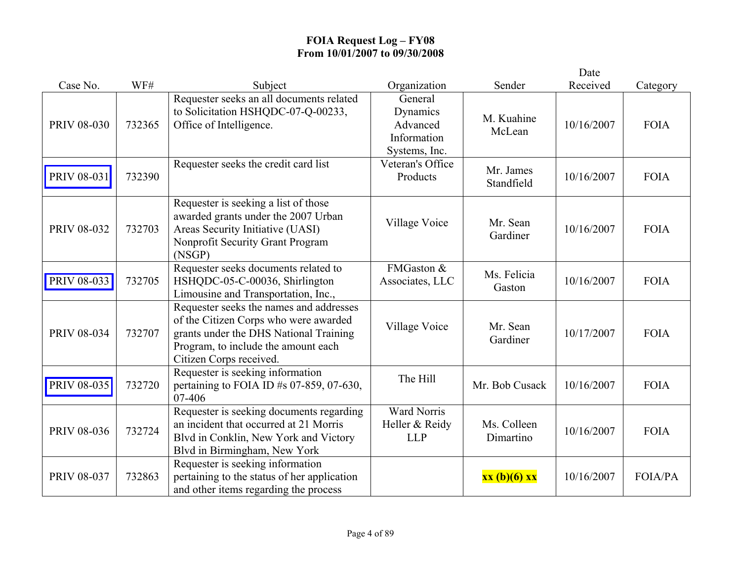|                    |        |                                                                                                                                                                                              |                                                                 |                          | Date       |                |
|--------------------|--------|----------------------------------------------------------------------------------------------------------------------------------------------------------------------------------------------|-----------------------------------------------------------------|--------------------------|------------|----------------|
| Case No.           | WF#    | Subject                                                                                                                                                                                      | Organization                                                    | Sender                   | Received   | Category       |
| <b>PRIV 08-030</b> | 732365 | Requester seeks an all documents related<br>to Solicitation HSHQDC-07-Q-00233,<br>Office of Intelligence.                                                                                    | General<br>Dynamics<br>Advanced<br>Information<br>Systems, Inc. | M. Kuahine<br>McLean     | 10/16/2007 | <b>FOIA</b>    |
| <b>PRIV 08-031</b> | 732390 | Requester seeks the credit card list                                                                                                                                                         | Veteran's Office<br>Products                                    | Mr. James<br>Standfield  | 10/16/2007 | <b>FOIA</b>    |
| PRIV 08-032        | 732703 | Requester is seeking a list of those<br>awarded grants under the 2007 Urban<br>Areas Security Initiative (UASI)<br>Nonprofit Security Grant Program<br>(NSGP)                                | Village Voice                                                   | Mr. Sean<br>Gardiner     | 10/16/2007 | <b>FOIA</b>    |
| PRIV 08-033        | 732705 | Requester seeks documents related to<br>HSHQDC-05-C-00036, Shirlington<br>Limousine and Transportation, Inc.,                                                                                | FMGaston &<br>Associates, LLC                                   | Ms. Felicia<br>Gaston    | 10/16/2007 | <b>FOIA</b>    |
| PRIV 08-034        | 732707 | Requester seeks the names and addresses<br>of the Citizen Corps who were awarded<br>grants under the DHS National Training<br>Program, to include the amount each<br>Citizen Corps received. | Village Voice                                                   | Mr. Sean<br>Gardiner     | 10/17/2007 | <b>FOIA</b>    |
| PRIV 08-035        | 732720 | Requester is seeking information<br>pertaining to FOIA ID $#s$ 07-859, 07-630,<br>07-406                                                                                                     | The Hill                                                        | Mr. Bob Cusack           | 10/16/2007 | <b>FOIA</b>    |
| <b>PRIV 08-036</b> | 732724 | Requester is seeking documents regarding<br>an incident that occurred at 21 Morris<br>Blvd in Conklin, New York and Victory<br>Blvd in Birmingham, New York                                  | <b>Ward Norris</b><br>Heller & Reidy<br><b>LLP</b>              | Ms. Colleen<br>Dimartino | 10/16/2007 | <b>FOIA</b>    |
| <b>PRIV 08-037</b> | 732863 | Requester is seeking information<br>pertaining to the status of her application<br>and other items regarding the process                                                                     |                                                                 | $xx(b)(6)$ $xx$          | 10/16/2007 | <b>FOIA/PA</b> |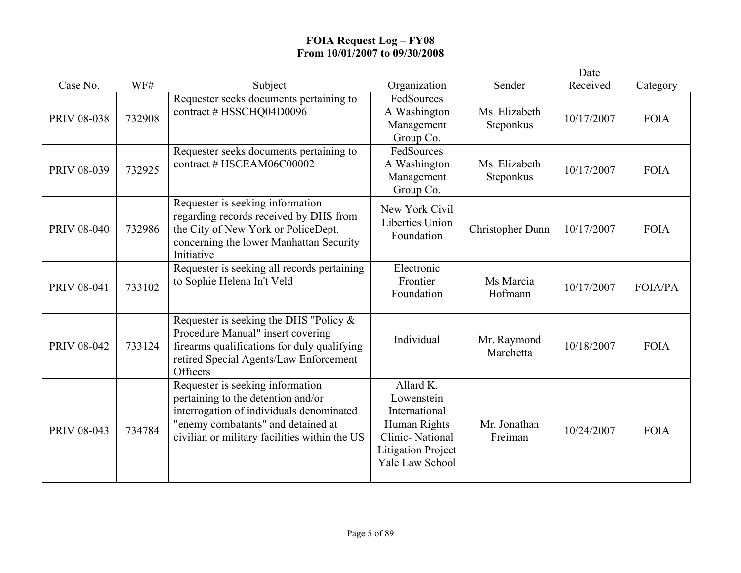|                    |        |                                                                                                                                                                                                           |                                                                                                                             |                            | Date       |                |
|--------------------|--------|-----------------------------------------------------------------------------------------------------------------------------------------------------------------------------------------------------------|-----------------------------------------------------------------------------------------------------------------------------|----------------------------|------------|----------------|
| Case No.           | WF#    | Subject                                                                                                                                                                                                   | Organization                                                                                                                | Sender                     | Received   | Category       |
| <b>PRIV 08-038</b> | 732908 | Requester seeks documents pertaining to<br>contract # HSSCHQ04D0096                                                                                                                                       | FedSources<br>A Washington<br>Management<br>Group Co.                                                                       | Ms. Elizabeth<br>Steponkus | 10/17/2007 | <b>FOIA</b>    |
| PRIV 08-039        | 732925 | Requester seeks documents pertaining to<br>contract # HSCEAM06C00002                                                                                                                                      | FedSources<br>A Washington<br>Management<br>Group Co.                                                                       | Ms. Elizabeth<br>Steponkus | 10/17/2007 | <b>FOIA</b>    |
| <b>PRIV 08-040</b> | 732986 | Requester is seeking information<br>regarding records received by DHS from<br>the City of New York or PoliceDept.<br>concerning the lower Manhattan Security<br>Initiative                                | New York Civil<br><b>Liberties Union</b><br>Foundation                                                                      | Christopher Dunn           | 10/17/2007 | <b>FOIA</b>    |
| PRIV 08-041        | 733102 | Requester is seeking all records pertaining<br>to Sophie Helena In't Veld                                                                                                                                 | Electronic<br>Frontier<br>Foundation                                                                                        | Ms Marcia<br>Hofmann       | 10/17/2007 | <b>FOIA/PA</b> |
| <b>PRIV 08-042</b> | 733124 | Requester is seeking the DHS "Policy $\&$<br>Procedure Manual" insert covering<br>firearms qualifications for duly qualifying<br>retired Special Agents/Law Enforcement<br>Officers                       | Individual                                                                                                                  | Mr. Raymond<br>Marchetta   | 10/18/2007 | <b>FOIA</b>    |
| PRIV 08-043        | 734784 | Requester is seeking information<br>pertaining to the detention and/or<br>interrogation of individuals denominated<br>"enemy combatants" and detained at<br>civilian or military facilities within the US | Allard K.<br>Lowenstein<br>International<br>Human Rights<br>Clinic-National<br><b>Litigation Project</b><br>Yale Law School | Mr. Jonathan<br>Freiman    | 10/24/2007 | <b>FOIA</b>    |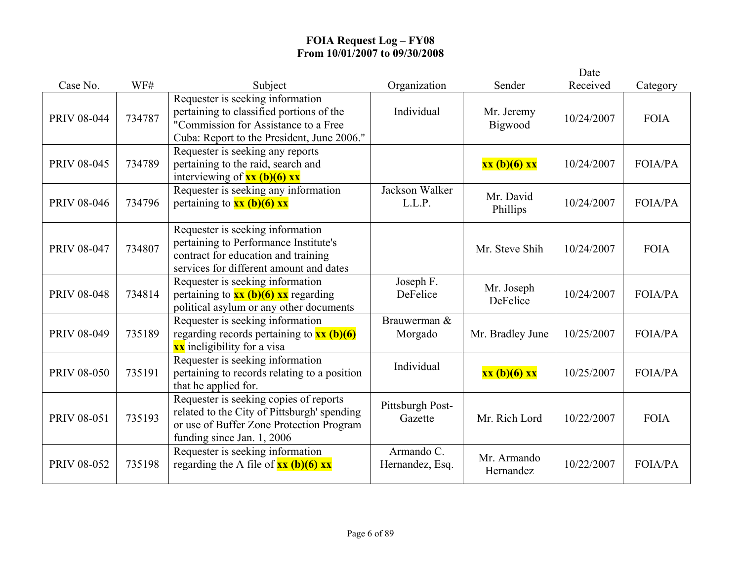|                    |        |                                                                                                                                                                    |                               |                          | Date       |                |
|--------------------|--------|--------------------------------------------------------------------------------------------------------------------------------------------------------------------|-------------------------------|--------------------------|------------|----------------|
| Case No.           | WF#    | Subject                                                                                                                                                            | Organization                  | Sender                   | Received   | Category       |
| <b>PRIV 08-044</b> | 734787 | Requester is seeking information<br>pertaining to classified portions of the<br>"Commission for Assistance to a Free<br>Cuba: Report to the President, June 2006." | Individual                    | Mr. Jeremy<br>Bigwood    | 10/24/2007 | <b>FOIA</b>    |
| <b>PRIV 08-045</b> | 734789 | Requester is seeking any reports<br>pertaining to the raid, search and<br>interviewing of $xx$ (b)(6) $xx$                                                         |                               | xx (b)(6) xx             | 10/24/2007 | <b>FOIA/PA</b> |
| <b>PRIV 08-046</b> | 734796 | Requester is seeking any information<br>pertaining to $xx$ (b)(6) xx                                                                                               | Jackson Walker<br>L.L.P.      | Mr. David<br>Phillips    | 10/24/2007 | <b>FOIA/PA</b> |
| <b>PRIV 08-047</b> | 734807 | Requester is seeking information<br>pertaining to Performance Institute's<br>contract for education and training<br>services for different amount and dates        |                               | Mr. Steve Shih           | 10/24/2007 | <b>FOIA</b>    |
| <b>PRIV 08-048</b> | 734814 | Requester is seeking information<br>pertaining to $\frac{xx(b)(6)}{x}x$ regarding<br>political asylum or any other documents                                       | Joseph F.<br>DeFelice         | Mr. Joseph<br>DeFelice   | 10/24/2007 | <b>FOIA/PA</b> |
| PRIV 08-049        | 735189 | Requester is seeking information<br>regarding records pertaining to $\frac{\text{xx (b)(6)}}{}$<br><b>xx</b> ineligibility for a visa                              | Brauwerman &<br>Morgado       | Mr. Bradley June         | 10/25/2007 | <b>FOIA/PA</b> |
| <b>PRIV 08-050</b> | 735191 | Requester is seeking information<br>pertaining to records relating to a position<br>that he applied for.                                                           | Individual                    | xx (b)(6) xx             | 10/25/2007 | <b>FOIA/PA</b> |
| <b>PRIV 08-051</b> | 735193 | Requester is seeking copies of reports<br>related to the City of Pittsburgh' spending<br>or use of Buffer Zone Protection Program<br>funding since Jan. 1, 2006    | Pittsburgh Post-<br>Gazette   | Mr. Rich Lord            | 10/22/2007 | <b>FOIA</b>    |
| <b>PRIV 08-052</b> | 735198 | Requester is seeking information<br>regarding the A file of $xx$ (b)(6) $xx$                                                                                       | Armando C.<br>Hernandez, Esq. | Mr. Armando<br>Hernandez | 10/22/2007 | <b>FOIA/PA</b> |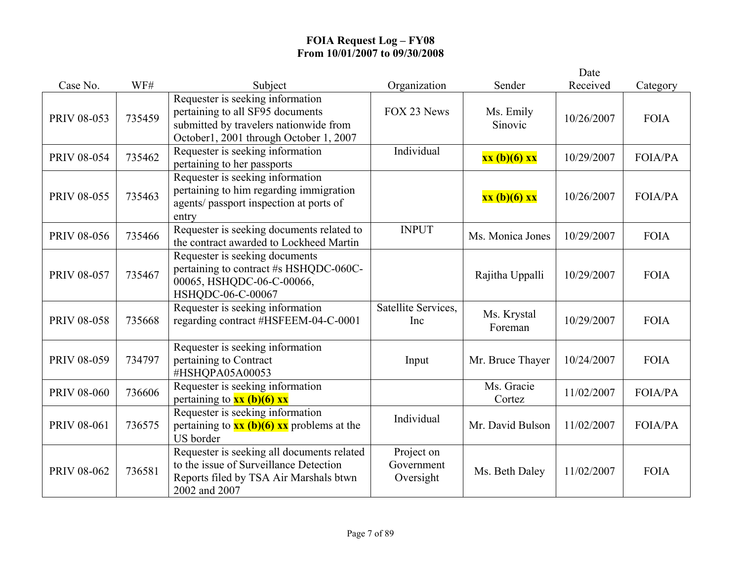|                    |        |                                                                                                                                                          |                                       |                        | Date       |                |
|--------------------|--------|----------------------------------------------------------------------------------------------------------------------------------------------------------|---------------------------------------|------------------------|------------|----------------|
| Case No.           | WF#    | Subject                                                                                                                                                  | Organization                          | Sender                 | Received   | Category       |
| PRIV 08-053        | 735459 | Requester is seeking information<br>pertaining to all SF95 documents<br>submitted by travelers nationwide from<br>October1, 2001 through October 1, 2007 | FOX 23 News                           | Ms. Emily<br>Sinovic   | 10/26/2007 | <b>FOIA</b>    |
| <b>PRIV 08-054</b> | 735462 | Requester is seeking information<br>pertaining to her passports                                                                                          | Individual                            | xx (b)(6) xx           | 10/29/2007 | <b>FOIA/PA</b> |
| <b>PRIV 08-055</b> | 735463 | Requester is seeking information<br>pertaining to him regarding immigration<br>agents/passport inspection at ports of<br>entry                           |                                       | xx (b)(6) xx           | 10/26/2007 | <b>FOIA/PA</b> |
| <b>PRIV 08-056</b> | 735466 | Requester is seeking documents related to<br>the contract awarded to Lockheed Martin                                                                     | <b>INPUT</b>                          | Ms. Monica Jones       | 10/29/2007 | <b>FOIA</b>    |
| <b>PRIV 08-057</b> | 735467 | Requester is seeking documents<br>pertaining to contract #s HSHQDC-060C-<br>00065, HSHQDC-06-C-00066,<br>HSHQDC-06-C-00067                               |                                       | Rajitha Uppalli        | 10/29/2007 | <b>FOIA</b>    |
| <b>PRIV 08-058</b> | 735668 | Requester is seeking information<br>regarding contract #HSFEEM-04-C-0001                                                                                 | Satellite Services,<br>Inc            | Ms. Krystal<br>Foreman | 10/29/2007 | <b>FOIA</b>    |
| <b>PRIV 08-059</b> | 734797 | Requester is seeking information<br>pertaining to Contract<br>#HSHQPA05A00053                                                                            | Input                                 | Mr. Bruce Thayer       | 10/24/2007 | <b>FOIA</b>    |
| <b>PRIV 08-060</b> | 736606 | Requester is seeking information<br>pertaining to $xx$ (b)(6) xx                                                                                         |                                       | Ms. Gracie<br>Cortez   | 11/02/2007 | <b>FOIA/PA</b> |
| PRIV 08-061        | 736575 | Requester is seeking information<br>pertaining to $\mathbf{xx}$ (b)(6) $\mathbf{xx}$ problems at the<br>US border                                        | Individual                            | Mr. David Bulson       | 11/02/2007 | FOIA/PA        |
| PRIV 08-062        | 736581 | Requester is seeking all documents related<br>to the issue of Surveillance Detection<br>Reports filed by TSA Air Marshals btwn<br>2002 and 2007          | Project on<br>Government<br>Oversight | Ms. Beth Daley         | 11/02/2007 | <b>FOIA</b>    |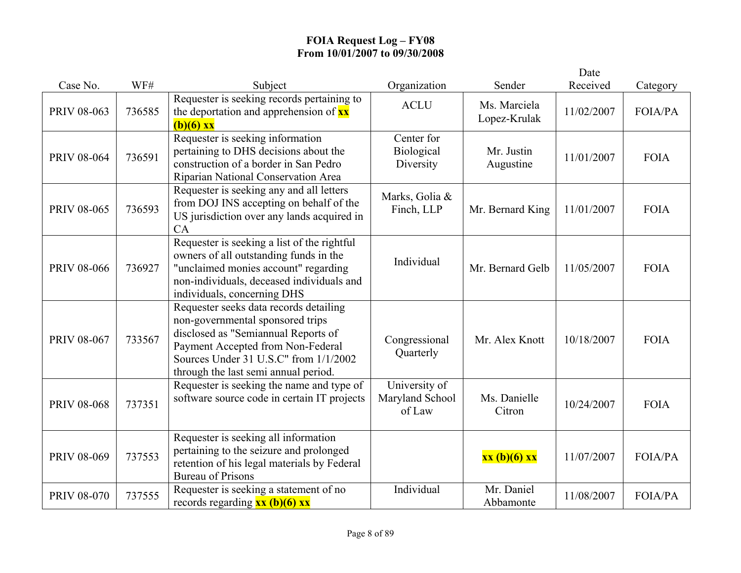|                    |        |                                                                                                                                                                                                                                         |                                            |                              | Date       |                |
|--------------------|--------|-----------------------------------------------------------------------------------------------------------------------------------------------------------------------------------------------------------------------------------------|--------------------------------------------|------------------------------|------------|----------------|
| Case No.           | WF#    | Subject                                                                                                                                                                                                                                 | Organization                               | Sender                       | Received   | Category       |
| PRIV 08-063        | 736585 | Requester is seeking records pertaining to<br>the deportation and apprehension of $\mathbf{x} \mathbf{x}$<br>$(b)(6)$ xx                                                                                                                | <b>ACLU</b>                                | Ms. Marciela<br>Lopez-Krulak | 11/02/2007 | <b>FOIA/PA</b> |
| <b>PRIV 08-064</b> | 736591 | Requester is seeking information<br>pertaining to DHS decisions about the<br>construction of a border in San Pedro<br>Riparian National Conservation Area                                                                               | Center for<br>Biological<br>Diversity      | Mr. Justin<br>Augustine      | 11/01/2007 | <b>FOIA</b>    |
| <b>PRIV 08-065</b> | 736593 | Requester is seeking any and all letters<br>from DOJ INS accepting on behalf of the<br>US jurisdiction over any lands acquired in<br>CA                                                                                                 | Marks, Golia &<br>Finch, LLP               | Mr. Bernard King             | 11/01/2007 | <b>FOIA</b>    |
| <b>PRIV 08-066</b> | 736927 | Requester is seeking a list of the rightful<br>owners of all outstanding funds in the<br>"unclaimed monies account" regarding<br>non-individuals, deceased individuals and<br>individuals, concerning DHS                               | Individual                                 | Mr. Bernard Gelb             | 11/05/2007 | <b>FOIA</b>    |
| <b>PRIV 08-067</b> | 733567 | Requester seeks data records detailing<br>non-governmental sponsored trips<br>disclosed as "Semiannual Reports of<br>Payment Accepted from Non-Federal<br>Sources Under 31 U.S.C" from 1/1/2002<br>through the last semi annual period. | Congressional<br>Quarterly                 | Mr. Alex Knott               | 10/18/2007 | <b>FOIA</b>    |
| <b>PRIV 08-068</b> | 737351 | Requester is seeking the name and type of<br>software source code in certain IT projects                                                                                                                                                | University of<br>Maryland School<br>of Law | Ms. Danielle<br>Citron       | 10/24/2007 | <b>FOIA</b>    |
| PRIV 08-069        | 737553 | Requester is seeking all information<br>pertaining to the seizure and prolonged<br>retention of his legal materials by Federal<br><b>Bureau of Prisons</b>                                                                              |                                            | xx(b)(6) xx                  | 11/07/2007 | <b>FOIA/PA</b> |
| <b>PRIV 08-070</b> | 737555 | Requester is seeking a statement of no<br>records regarding $xx$ (b)(6) $xx$                                                                                                                                                            | Individual                                 | Mr. Daniel<br>Abbamonte      | 11/08/2007 | <b>FOIA/PA</b> |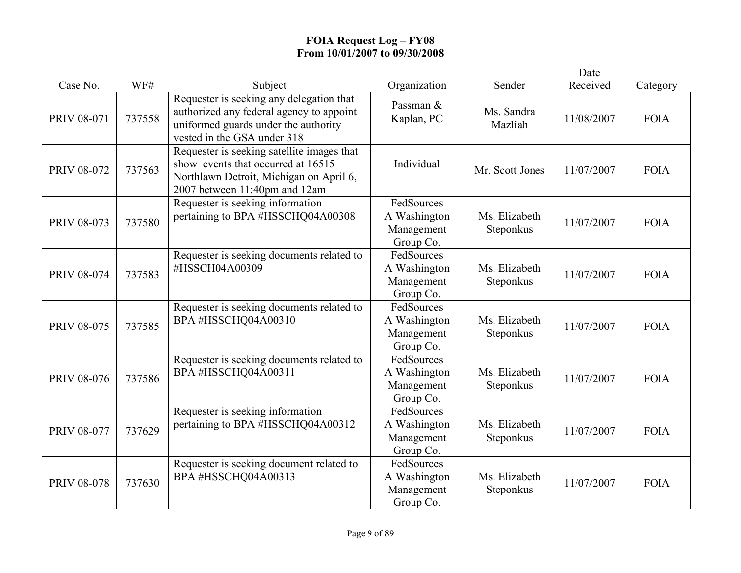|                    |        |                                                                                                                                                              |                                                       |                            | Date       |             |
|--------------------|--------|--------------------------------------------------------------------------------------------------------------------------------------------------------------|-------------------------------------------------------|----------------------------|------------|-------------|
| Case No.           | WF#    | Subject                                                                                                                                                      | Organization                                          | Sender                     | Received   | Category    |
| PRIV 08-071        | 737558 | Requester is seeking any delegation that<br>authorized any federal agency to appoint<br>uniformed guards under the authority<br>vested in the GSA under 318  | Passman &<br>Kaplan, PC                               | Ms. Sandra<br>Mazliah      | 11/08/2007 | <b>FOIA</b> |
| <b>PRIV 08-072</b> | 737563 | Requester is seeking satellite images that<br>show events that occurred at 16515<br>Northlawn Detroit, Michigan on April 6,<br>2007 between 11:40pm and 12am | Individual                                            | Mr. Scott Jones            | 11/07/2007 | <b>FOIA</b> |
| PRIV 08-073        | 737580 | Requester is seeking information<br>pertaining to BPA #HSSCHQ04A00308                                                                                        | FedSources<br>A Washington<br>Management<br>Group Co. | Ms. Elizabeth<br>Steponkus | 11/07/2007 | <b>FOIA</b> |
| <b>PRIV 08-074</b> | 737583 | Requester is seeking documents related to<br>#HSSCH04A00309                                                                                                  | FedSources<br>A Washington<br>Management<br>Group Co. | Ms. Elizabeth<br>Steponkus | 11/07/2007 | <b>FOIA</b> |
| <b>PRIV 08-075</b> | 737585 | Requester is seeking documents related to<br>BPA #HSSCHQ04A00310                                                                                             | FedSources<br>A Washington<br>Management<br>Group Co. | Ms. Elizabeth<br>Steponkus | 11/07/2007 | <b>FOIA</b> |
| <b>PRIV 08-076</b> | 737586 | Requester is seeking documents related to<br>BPA #HSSCHQ04A00311                                                                                             | FedSources<br>A Washington<br>Management<br>Group Co. | Ms. Elizabeth<br>Steponkus | 11/07/2007 | <b>FOIA</b> |
| <b>PRIV 08-077</b> | 737629 | Requester is seeking information<br>pertaining to BPA #HSSCHQ04A00312                                                                                        | FedSources<br>A Washington<br>Management<br>Group Co. | Ms. Elizabeth<br>Steponkus | 11/07/2007 | <b>FOIA</b> |
| <b>PRIV 08-078</b> | 737630 | Requester is seeking document related to<br>BPA #HSSCHQ04A00313                                                                                              | FedSources<br>A Washington<br>Management<br>Group Co. | Ms. Elizabeth<br>Steponkus | 11/07/2007 | <b>FOIA</b> |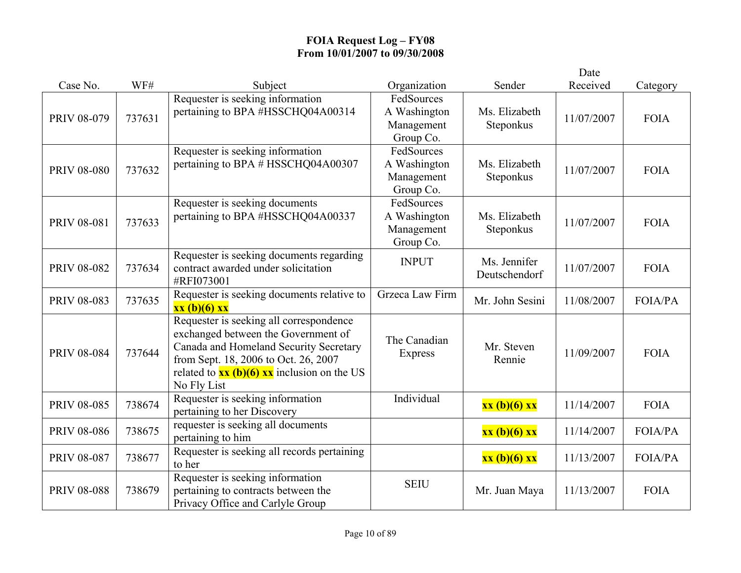|                    |        |                                                                                                                                                                                                                                          |                                                       |                               | Date       |                |
|--------------------|--------|------------------------------------------------------------------------------------------------------------------------------------------------------------------------------------------------------------------------------------------|-------------------------------------------------------|-------------------------------|------------|----------------|
| Case No.           | WF#    | Subject                                                                                                                                                                                                                                  | Organization                                          | Sender                        | Received   | Category       |
| PRIV 08-079        | 737631 | Requester is seeking information<br>pertaining to BPA #HSSCHQ04A00314                                                                                                                                                                    | FedSources<br>A Washington<br>Management<br>Group Co. | Ms. Elizabeth<br>Steponkus    | 11/07/2007 | <b>FOIA</b>    |
| <b>PRIV 08-080</b> | 737632 | Requester is seeking information<br>pertaining to BPA # HSSCHQ04A00307                                                                                                                                                                   | FedSources<br>A Washington<br>Management<br>Group Co. | Ms. Elizabeth<br>Steponkus    | 11/07/2007 | <b>FOIA</b>    |
| <b>PRIV 08-081</b> | 737633 | Requester is seeking documents<br>pertaining to BPA #HSSCHQ04A00337                                                                                                                                                                      | FedSources<br>A Washington<br>Management<br>Group Co. | Ms. Elizabeth<br>Steponkus    | 11/07/2007 | <b>FOIA</b>    |
| <b>PRIV 08-082</b> | 737634 | Requester is seeking documents regarding<br>contract awarded under solicitation<br>#RFI073001                                                                                                                                            | <b>INPUT</b>                                          | Ms. Jennifer<br>Deutschendorf | 11/07/2007 | <b>FOIA</b>    |
| PRIV 08-083        | 737635 | Requester is seeking documents relative to<br>xx (b)(6) xx                                                                                                                                                                               | Grzeca Law Firm                                       | Mr. John Sesini               | 11/08/2007 | <b>FOIA/PA</b> |
| <b>PRIV 08-084</b> | 737644 | Requester is seeking all correspondence<br>exchanged between the Government of<br>Canada and Homeland Security Secretary<br>from Sept. 18, 2006 to Oct. 26, 2007<br>related to $\frac{xx(b)(6)xx}{x}$ inclusion on the US<br>No Fly List | The Canadian<br><b>Express</b>                        | Mr. Steven<br>Rennie          | 11/09/2007 | <b>FOIA</b>    |
| <b>PRIV 08-085</b> | 738674 | Requester is seeking information<br>pertaining to her Discovery                                                                                                                                                                          | Individual                                            | xx (b)(6) xx                  | 11/14/2007 | <b>FOIA</b>    |
| <b>PRIV 08-086</b> | 738675 | requester is seeking all documents<br>pertaining to him                                                                                                                                                                                  |                                                       | xx (b)(6) xx                  | 11/14/2007 | FOIA/PA        |
| PRIV 08-087        | 738677 | Requester is seeking all records pertaining<br>to her                                                                                                                                                                                    |                                                       | xx (b)(6) xx                  | 11/13/2007 | FOIA/PA        |
| <b>PRIV 08-088</b> | 738679 | Requester is seeking information<br>pertaining to contracts between the<br>Privacy Office and Carlyle Group                                                                                                                              | <b>SEIU</b>                                           | Mr. Juan Maya                 | 11/13/2007 | <b>FOIA</b>    |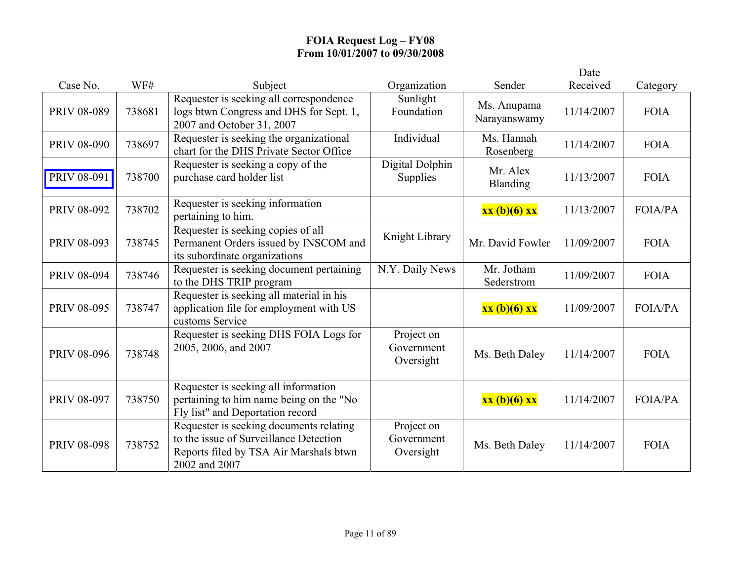|                    |        |                                                                                                                                              |                                       |                             | Date       |                |
|--------------------|--------|----------------------------------------------------------------------------------------------------------------------------------------------|---------------------------------------|-----------------------------|------------|----------------|
| Case No.           | WF#    | Subject                                                                                                                                      | Organization                          | Sender                      | Received   | Category       |
| <b>PRIV 08-089</b> | 738681 | Requester is seeking all correspondence<br>logs btwn Congress and DHS for Sept. 1,<br>2007 and October 31, 2007                              | Sunlight<br>Foundation                | Ms. Anupama<br>Narayanswamy | 11/14/2007 | <b>FOIA</b>    |
| <b>PRIV 08-090</b> | 738697 | Requester is seeking the organizational<br>chart for the DHS Private Sector Office                                                           | Individual                            | Ms. Hannah<br>Rosenberg     | 11/14/2007 | <b>FOIA</b>    |
| PRIV 08-091        | 738700 | Requester is seeking a copy of the<br>purchase card holder list                                                                              | Digital Dolphin<br>Supplies           | Mr. Alex<br><b>Blanding</b> | 11/13/2007 | <b>FOIA</b>    |
| PRIV 08-092        | 738702 | Requester is seeking information<br>pertaining to him.                                                                                       |                                       | xx (b)(6) xx                | 11/13/2007 | <b>FOIA/PA</b> |
| PRIV 08-093        | 738745 | Requester is seeking copies of all<br>Permanent Orders issued by INSCOM and<br>its subordinate organizations                                 | Knight Library                        | Mr. David Fowler            | 11/09/2007 | <b>FOIA</b>    |
| <b>PRIV 08-094</b> | 738746 | Requester is seeking document pertaining<br>to the DHS TRIP program                                                                          | N.Y. Daily News                       | Mr. Jotham<br>Sederstrom    | 11/09/2007 | <b>FOIA</b>    |
| <b>PRIV 08-095</b> | 738747 | Requester is seeking all material in his<br>application file for employment with US<br>customs Service                                       |                                       | xx (b)(6) xx                | 11/09/2007 | <b>FOIA/PA</b> |
| PRIV 08-096        | 738748 | Requester is seeking DHS FOIA Logs for<br>2005, 2006, and 2007                                                                               | Project on<br>Government<br>Oversight | Ms. Beth Daley              | 11/14/2007 | <b>FOIA</b>    |
| <b>PRIV 08-097</b> | 738750 | Requester is seeking all information<br>pertaining to him name being on the "No<br>Fly list" and Deportation record                          |                                       | xx (b)(6) xx                | 11/14/2007 | <b>FOIA/PA</b> |
| <b>PRIV 08-098</b> | 738752 | Requester is seeking documents relating<br>to the issue of Surveillance Detection<br>Reports filed by TSA Air Marshals btwn<br>2002 and 2007 | Project on<br>Government<br>Oversight | Ms. Beth Daley              | 11/14/2007 | <b>FOIA</b>    |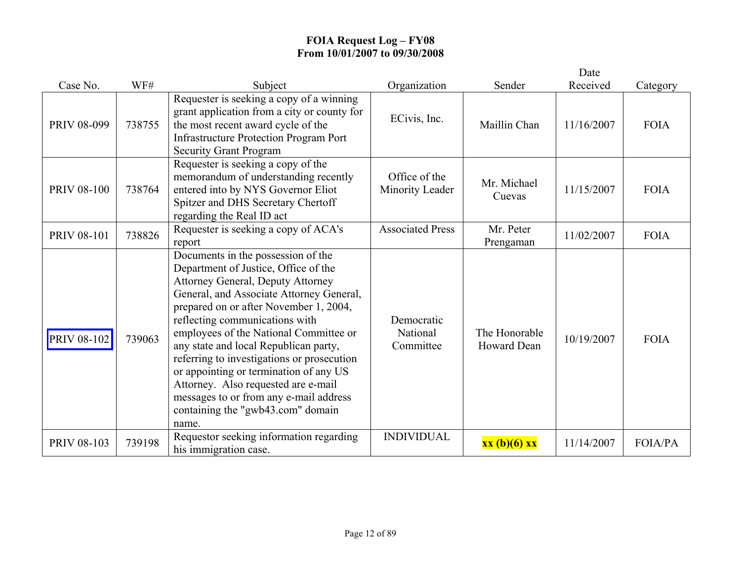|                    |        |                                                                                                                                                                                                                                                                                                                                                                                                                                                                                                                                                          |                                     |                                     | Date       |                |
|--------------------|--------|----------------------------------------------------------------------------------------------------------------------------------------------------------------------------------------------------------------------------------------------------------------------------------------------------------------------------------------------------------------------------------------------------------------------------------------------------------------------------------------------------------------------------------------------------------|-------------------------------------|-------------------------------------|------------|----------------|
| Case No.           | WF#    | Subject                                                                                                                                                                                                                                                                                                                                                                                                                                                                                                                                                  | Organization                        | Sender                              | Received   | Category       |
| PRIV 08-099        | 738755 | Requester is seeking a copy of a winning<br>grant application from a city or county for<br>the most recent award cycle of the<br><b>Infrastructure Protection Program Port</b><br><b>Security Grant Program</b>                                                                                                                                                                                                                                                                                                                                          | ECivis, Inc.                        | Maillin Chan                        | 11/16/2007 | <b>FOIA</b>    |
| <b>PRIV 08-100</b> | 738764 | Requester is seeking a copy of the<br>memorandum of understanding recently<br>entered into by NYS Governor Eliot<br>Spitzer and DHS Secretary Chertoff<br>regarding the Real ID act                                                                                                                                                                                                                                                                                                                                                                      | Office of the<br>Minority Leader    | Mr. Michael<br>Cuevas               | 11/15/2007 | <b>FOIA</b>    |
| <b>PRIV 08-101</b> | 738826 | Requester is seeking a copy of ACA's<br>report                                                                                                                                                                                                                                                                                                                                                                                                                                                                                                           | <b>Associated Press</b>             | Mr. Peter<br>Prengaman              | 11/02/2007 | <b>FOIA</b>    |
| <b>PRIV 08-102</b> | 739063 | Documents in the possession of the<br>Department of Justice, Office of the<br><b>Attorney General, Deputy Attorney</b><br>General, and Associate Attorney General,<br>prepared on or after November 1, 2004,<br>reflecting communications with<br>employees of the National Committee or<br>any state and local Republican party,<br>referring to investigations or prosecution<br>or appointing or termination of any US<br>Attorney. Also requested are e-mail<br>messages to or from any e-mail address<br>containing the "gwb43.com" domain<br>name. | Democratic<br>National<br>Committee | The Honorable<br><b>Howard Dean</b> | 10/19/2007 | <b>FOIA</b>    |
| <b>PRIV 08-103</b> | 739198 | Requestor seeking information regarding<br>his immigration case.                                                                                                                                                                                                                                                                                                                                                                                                                                                                                         | <b>INDIVIDUAL</b>                   | xx (b)(6) xx                        | 11/14/2007 | <b>FOIA/PA</b> |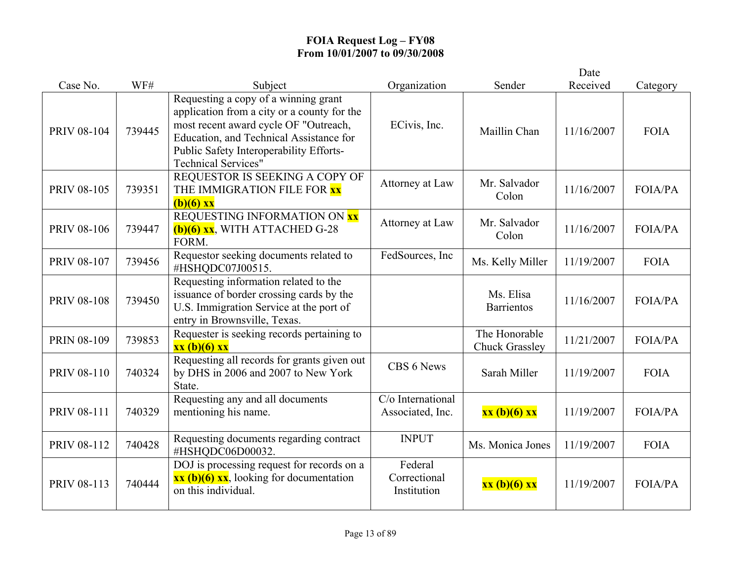|                    |        |                                                                                                                                                                                                                                                  |                                        |                                        | Date       |                |
|--------------------|--------|--------------------------------------------------------------------------------------------------------------------------------------------------------------------------------------------------------------------------------------------------|----------------------------------------|----------------------------------------|------------|----------------|
| Case No.           | WF#    | Subject                                                                                                                                                                                                                                          | Organization                           | Sender                                 | Received   | Category       |
| <b>PRIV 08-104</b> | 739445 | Requesting a copy of a winning grant<br>application from a city or a county for the<br>most recent award cycle OF "Outreach,<br>Education, and Technical Assistance for<br>Public Safety Interoperability Efforts-<br><b>Technical Services"</b> | ECivis, Inc.                           | Maillin Chan                           | 11/16/2007 | <b>FOIA</b>    |
| PRIV 08-105        | 739351 | REQUESTOR IS SEEKING A COPY OF<br>THE IMMIGRATION FILE FOR XX<br>$(b)(6)$ xx                                                                                                                                                                     | Attorney at Law                        | Mr. Salvador<br>Colon                  | 11/16/2007 | <b>FOIA/PA</b> |
| <b>PRIV 08-106</b> | 739447 | REQUESTING INFORMATION ON XX<br>$(b)(6)$ xx, WITH ATTACHED G-28<br>FORM.                                                                                                                                                                         | Attorney at Law                        | Mr. Salvador<br>Colon                  | 11/16/2007 | <b>FOIA/PA</b> |
| <b>PRIV 08-107</b> | 739456 | Requestor seeking documents related to<br>#HSHQDC07J00515.                                                                                                                                                                                       | FedSources, Inc                        | Ms. Kelly Miller                       | 11/19/2007 | <b>FOIA</b>    |
| <b>PRIV 08-108</b> | 739450 | Requesting information related to the<br>issuance of border crossing cards by the<br>U.S. Immigration Service at the port of<br>entry in Brownsville, Texas.                                                                                     |                                        | Ms. Elisa<br><b>Barrientos</b>         | 11/16/2007 | <b>FOIA/PA</b> |
| <b>PRIN 08-109</b> | 739853 | Requester is seeking records pertaining to<br>xx (b)(6) xx                                                                                                                                                                                       |                                        | The Honorable<br><b>Chuck Grassley</b> | 11/21/2007 | <b>FOIA/PA</b> |
| <b>PRIV 08-110</b> | 740324 | Requesting all records for grants given out<br>by DHS in 2006 and 2007 to New York<br>State.                                                                                                                                                     | CBS 6 News                             | Sarah Miller                           | 11/19/2007 | <b>FOIA</b>    |
| PRIV 08-111        | 740329 | Requesting any and all documents<br>mentioning his name.                                                                                                                                                                                         | C/o International<br>Associated, Inc.  | xx (b)(6) xx                           | 11/19/2007 | <b>FOIA/PA</b> |
| PRIV 08-112        | 740428 | Requesting documents regarding contract<br>#HSHQDC06D00032.                                                                                                                                                                                      | <b>INPUT</b>                           | Ms. Monica Jones                       | 11/19/2007 | <b>FOIA</b>    |
| <b>PRIV 08-113</b> | 740444 | DOJ is processing request for records on a<br>$\overline{\mathbf{xx}(\mathbf{b})(6)} \overline{\mathbf{xx}}$ , looking for documentation<br>on this individual.                                                                                  | Federal<br>Correctional<br>Institution | xx (b)(6) xx                           | 11/19/2007 | <b>FOIA/PA</b> |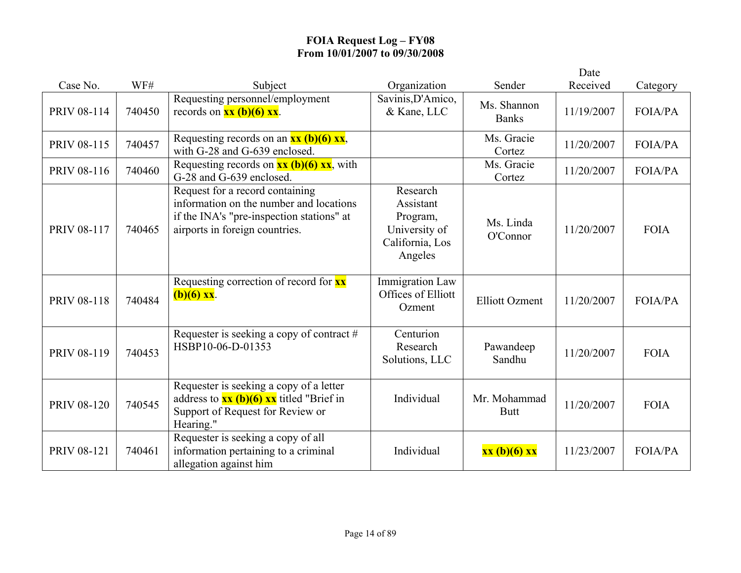|                    |        |                                                                                                                                                           |                                                                                  |                             | Date       |                |
|--------------------|--------|-----------------------------------------------------------------------------------------------------------------------------------------------------------|----------------------------------------------------------------------------------|-----------------------------|------------|----------------|
| Case No.           | WF#    | Subject                                                                                                                                                   | Organization                                                                     | Sender                      | Received   | Category       |
| PRIV 08-114        | 740450 | Requesting personnel/employment<br>records on $\frac{xx(b)(6)xx}{x}$ .                                                                                    | Savinis, D'Amico,<br>& Kane, LLC                                                 | Ms. Shannon<br><b>Banks</b> | 11/19/2007 | <b>FOIA/PA</b> |
| PRIV 08-115        | 740457 | Requesting records on an $xx$ (b)(6) $xx$ ,<br>with G-28 and G-639 enclosed.                                                                              |                                                                                  | Ms. Gracie<br>Cortez        | 11/20/2007 | <b>FOIA/PA</b> |
| PRIV 08-116        | 740460 | Requesting records on $\frac{xx}{(b)}(6)$ $\frac{xx}{(b)}$ , with<br>G-28 and G-639 enclosed.                                                             |                                                                                  | Ms. Gracie<br>Cortez        | 11/20/2007 | <b>FOIA/PA</b> |
| PRIV 08-117        | 740465 | Request for a record containing<br>information on the number and locations<br>if the INA's "pre-inspection stations" at<br>airports in foreign countries. | Research<br>Assistant<br>Program,<br>University of<br>California, Los<br>Angeles | Ms. Linda<br>O'Connor       | 11/20/2007 | <b>FOIA</b>    |
| <b>PRIV 08-118</b> | 740484 | Requesting correction of record for xx<br>$(b)(6)$ xx.                                                                                                    | <b>Immigration Law</b><br>Offices of Elliott<br>Ozment                           | <b>Elliott Ozment</b>       | 11/20/2007 | <b>FOIA/PA</b> |
| PRIV 08-119        | 740453 | Requester is seeking a copy of contract #<br>HSBP10-06-D-01353                                                                                            | Centurion<br>Research<br>Solutions, LLC                                          | Pawandeep<br>Sandhu         | 11/20/2007 | <b>FOIA</b>    |
| <b>PRIV 08-120</b> | 740545 | Requester is seeking a copy of a letter<br>address to $xx$ (b)(6) $xx$ titled "Brief in<br>Support of Request for Review or<br>Hearing."                  | Individual                                                                       | Mr. Mohammad<br><b>Butt</b> | 11/20/2007 | <b>FOIA</b>    |
| PRIV 08-121        | 740461 | Requester is seeking a copy of all<br>information pertaining to a criminal<br>allegation against him                                                      | Individual                                                                       | xx (b)(6) xx                | 11/23/2007 | <b>FOIA/PA</b> |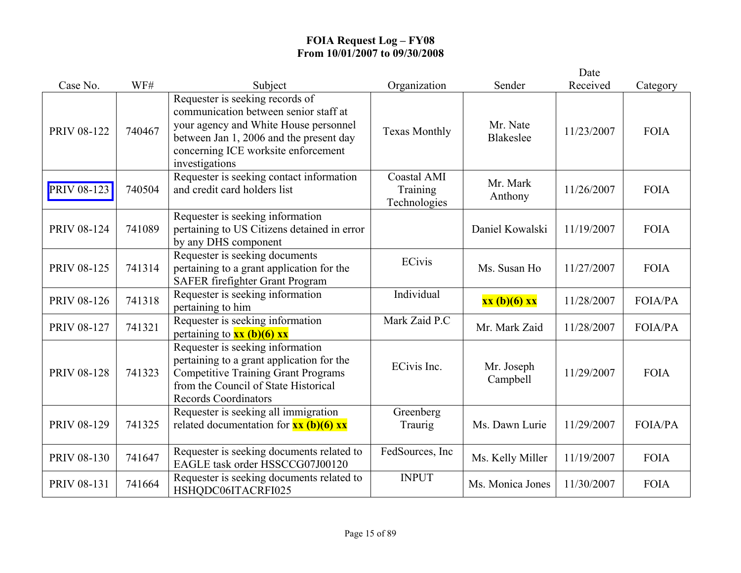|                    |        |                                                                                                                                                                                                                       |                                         |                              | Date       |                |
|--------------------|--------|-----------------------------------------------------------------------------------------------------------------------------------------------------------------------------------------------------------------------|-----------------------------------------|------------------------------|------------|----------------|
| Case No.           | WF#    | Subject                                                                                                                                                                                                               | Organization                            | Sender                       | Received   | Category       |
| <b>PRIV 08-122</b> | 740467 | Requester is seeking records of<br>communication between senior staff at<br>your agency and White House personnel<br>between Jan 1, 2006 and the present day<br>concerning ICE worksite enforcement<br>investigations | <b>Texas Monthly</b>                    | Mr. Nate<br><b>Blakeslee</b> | 11/23/2007 | <b>FOIA</b>    |
| PRIV 08-123        | 740504 | Requester is seeking contact information<br>and credit card holders list                                                                                                                                              | Coastal AMI<br>Training<br>Technologies | Mr. Mark<br>Anthony          | 11/26/2007 | <b>FOIA</b>    |
| <b>PRIV 08-124</b> | 741089 | Requester is seeking information<br>pertaining to US Citizens detained in error<br>by any DHS component                                                                                                               |                                         | Daniel Kowalski              | 11/19/2007 | <b>FOIA</b>    |
| <b>PRIV 08-125</b> | 741314 | Requester is seeking documents<br>pertaining to a grant application for the<br>SAFER firefighter Grant Program                                                                                                        | <b>ECivis</b>                           | Ms. Susan Ho                 | 11/27/2007 | <b>FOIA</b>    |
| <b>PRIV 08-126</b> | 741318 | Requester is seeking information<br>pertaining to him                                                                                                                                                                 | Individual                              | xx (b)(6) xx                 | 11/28/2007 | <b>FOIA/PA</b> |
| <b>PRIV 08-127</b> | 741321 | Requester is seeking information<br>pertaining to $xx$ (b)(6) xx                                                                                                                                                      | Mark Zaid P.C                           | Mr. Mark Zaid                | 11/28/2007 | <b>FOIA/PA</b> |
| <b>PRIV 08-128</b> | 741323 | Requester is seeking information<br>pertaining to a grant application for the<br><b>Competitive Training Grant Programs</b><br>from the Council of State Historical<br><b>Records Coordinators</b>                    | ECivis Inc.                             | Mr. Joseph<br>Campbell       | 11/29/2007 | <b>FOIA</b>    |
| PRIV 08-129        | 741325 | Requester is seeking all immigration<br>related documentation for $\frac{xx}{(b)(6)}$ $\frac{xx}{(c)}$                                                                                                                | Greenberg<br>Traurig                    | Ms. Dawn Lurie               | 11/29/2007 | FOIA/PA        |
| PRIV 08-130        | 741647 | Requester is seeking documents related to<br>EAGLE task order HSSCCG07J00120                                                                                                                                          | FedSources, Inc                         | Ms. Kelly Miller             | 11/19/2007 | <b>FOIA</b>    |
| PRIV 08-131        | 741664 | Requester is seeking documents related to<br>HSHQDC06ITACRFI025                                                                                                                                                       | <b>INPUT</b>                            | Ms. Monica Jones             | 11/30/2007 | <b>FOIA</b>    |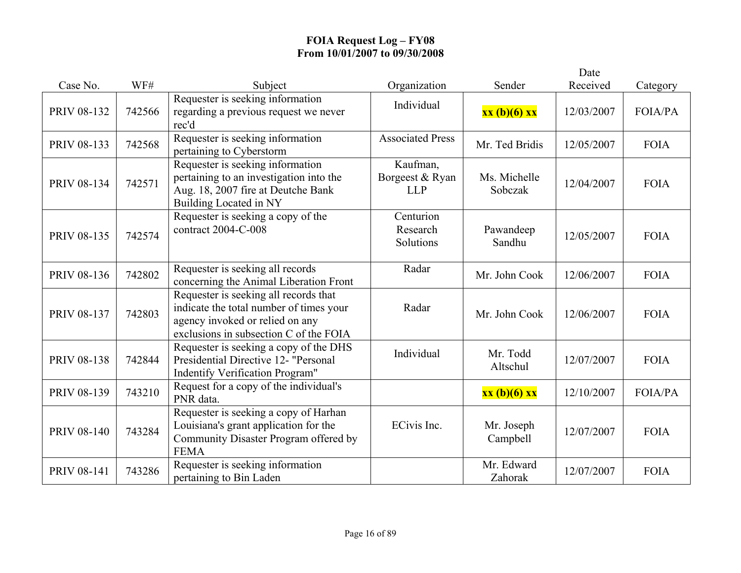|                    |        |                                                                                                                                                               |                                           |                         | Date       |                |
|--------------------|--------|---------------------------------------------------------------------------------------------------------------------------------------------------------------|-------------------------------------------|-------------------------|------------|----------------|
| Case No.           | WF#    | Subject                                                                                                                                                       | Organization                              | Sender                  | Received   | Category       |
| <b>PRIV 08-132</b> | 742566 | Requester is seeking information<br>regarding a previous request we never<br>rec'd                                                                            | Individual                                | xx (b)(6) xx            | 12/03/2007 | FOIA/PA        |
| PRIV 08-133        | 742568 | Requester is seeking information<br>pertaining to Cyberstorm                                                                                                  | <b>Associated Press</b>                   | Mr. Ted Bridis          | 12/05/2007 | <b>FOIA</b>    |
| PRIV 08-134        | 742571 | Requester is seeking information<br>pertaining to an investigation into the<br>Aug. 18, 2007 fire at Deutche Bank<br>Building Located in NY                   | Kaufman,<br>Borgeest & Ryan<br><b>LLP</b> | Ms. Michelle<br>Sobczak | 12/04/2007 | <b>FOIA</b>    |
| <b>PRIV 08-135</b> | 742574 | Requester is seeking a copy of the<br>contract 2004-C-008                                                                                                     | Centurion<br>Research<br>Solutions        | Pawandeep<br>Sandhu     | 12/05/2007 | <b>FOIA</b>    |
| PRIV 08-136        | 742802 | Requester is seeking all records<br>concerning the Animal Liberation Front                                                                                    | Radar                                     | Mr. John Cook           | 12/06/2007 | <b>FOIA</b>    |
| PRIV 08-137        | 742803 | Requester is seeking all records that<br>indicate the total number of times your<br>agency invoked or relied on any<br>exclusions in subsection C of the FOIA | Radar                                     | Mr. John Cook           | 12/06/2007 | <b>FOIA</b>    |
| <b>PRIV 08-138</b> | 742844 | Requester is seeking a copy of the DHS<br>Presidential Directive 12- "Personal<br><b>Indentify Verification Program"</b>                                      | Individual                                | Mr. Todd<br>Altschul    | 12/07/2007 | <b>FOIA</b>    |
| PRIV 08-139        | 743210 | Request for a copy of the individual's<br>PNR data.                                                                                                           |                                           | xx (b)(6) xx            | 12/10/2007 | <b>FOIA/PA</b> |
| <b>PRIV 08-140</b> | 743284 | Requester is seeking a copy of Harhan<br>Louisiana's grant application for the<br>Community Disaster Program offered by<br><b>FEMA</b>                        | ECivis Inc.                               | Mr. Joseph<br>Campbell  | 12/07/2007 | <b>FOIA</b>    |
| PRIV 08-141        | 743286 | Requester is seeking information<br>pertaining to Bin Laden                                                                                                   |                                           | Mr. Edward<br>Zahorak   | 12/07/2007 | <b>FOIA</b>    |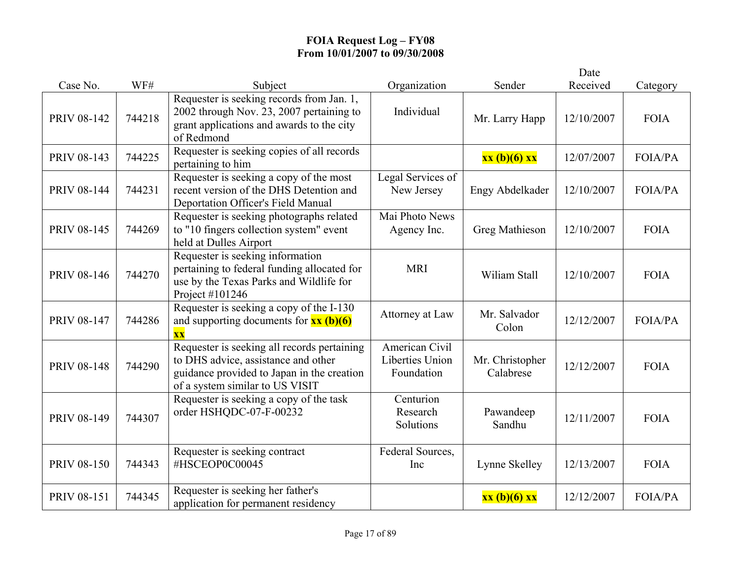|                    |        |                                                                                                                                                                     |                                                 |                              | Date       |                |
|--------------------|--------|---------------------------------------------------------------------------------------------------------------------------------------------------------------------|-------------------------------------------------|------------------------------|------------|----------------|
| Case No.           | WF#    | Subject                                                                                                                                                             | Organization                                    | Sender                       | Received   | Category       |
| PRIV 08-142        | 744218 | Requester is seeking records from Jan. 1,<br>2002 through Nov. 23, 2007 pertaining to<br>grant applications and awards to the city<br>of Redmond                    | Individual                                      | Mr. Larry Happ               | 12/10/2007 | <b>FOIA</b>    |
| PRIV 08-143        | 744225 | Requester is seeking copies of all records<br>pertaining to him                                                                                                     |                                                 | xx (b)(6) xx                 | 12/07/2007 | FOIA/PA        |
| PRIV 08-144        | 744231 | Requester is seeking a copy of the most<br>recent version of the DHS Detention and<br><b>Deportation Officer's Field Manual</b>                                     | Legal Services of<br>New Jersey                 | Engy Abdelkader              | 12/10/2007 | FOIA/PA        |
| <b>PRIV 08-145</b> | 744269 | Requester is seeking photographs related<br>to "10 fingers collection system" event<br>held at Dulles Airport                                                       | Mai Photo News<br>Agency Inc.                   | Greg Mathieson               | 12/10/2007 | <b>FOIA</b>    |
| <b>PRIV 08-146</b> | 744270 | Requester is seeking information<br>pertaining to federal funding allocated for<br>use by the Texas Parks and Wildlife for<br>Project #101246                       | <b>MRI</b>                                      | Wiliam Stall                 | 12/10/2007 | <b>FOIA</b>    |
| PRIV 08-147        | 744286 | Requester is seeking a copy of the I-130<br>and supporting documents for $xx (b)(6)$<br>$\overline{\mathbf{X}}\overline{\mathbf{X}}$                                | Attorney at Law                                 | Mr. Salvador<br>Colon        | 12/12/2007 | <b>FOIA/PA</b> |
| <b>PRIV 08-148</b> | 744290 | Requester is seeking all records pertaining<br>to DHS advice, assistance and other<br>guidance provided to Japan in the creation<br>of a system similar to US VISIT | American Civil<br>Liberties Union<br>Foundation | Mr. Christopher<br>Calabrese | 12/12/2007 | <b>FOIA</b>    |
| PRIV 08-149        | 744307 | Requester is seeking a copy of the task<br>order HSHQDC-07-F-00232                                                                                                  | Centurion<br>Research<br>Solutions              | Pawandeep<br>Sandhu          | 12/11/2007 | <b>FOIA</b>    |
| <b>PRIV 08-150</b> | 744343 | Requester is seeking contract<br>#HSCEOP0C00045                                                                                                                     | Federal Sources,<br>Inc                         | Lynne Skelley                | 12/13/2007 | <b>FOIA</b>    |
| PRIV 08-151        | 744345 | Requester is seeking her father's<br>application for permanent residency                                                                                            |                                                 | xx (b)(6) xx                 | 12/12/2007 | <b>FOIA/PA</b> |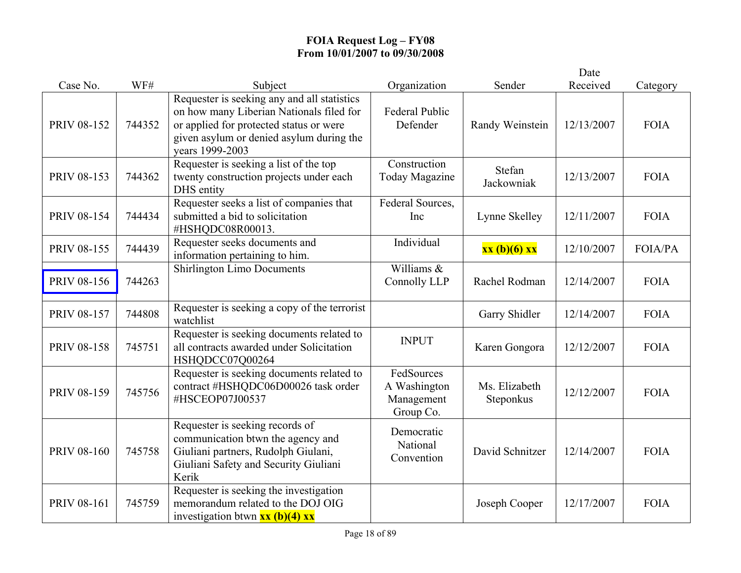|                    |        |                                                                                                                                                                                                   |                                                       |                            | Date       |             |
|--------------------|--------|---------------------------------------------------------------------------------------------------------------------------------------------------------------------------------------------------|-------------------------------------------------------|----------------------------|------------|-------------|
| Case No.           | WF#    | Subject                                                                                                                                                                                           | Organization                                          | Sender                     | Received   | Category    |
| PRIV 08-152        | 744352 | Requester is seeking any and all statistics<br>on how many Liberian Nationals filed for<br>or applied for protected status or were<br>given asylum or denied asylum during the<br>vears 1999-2003 | <b>Federal Public</b><br>Defender                     | Randy Weinstein            | 12/13/2007 | <b>FOIA</b> |
| PRIV 08-153        | 744362 | Requester is seeking a list of the top<br>twenty construction projects under each<br>DHS entity                                                                                                   | Construction<br><b>Today Magazine</b>                 | Stefan<br>Jackowniak       | 12/13/2007 | <b>FOIA</b> |
| PRIV 08-154        | 744434 | Requester seeks a list of companies that<br>submitted a bid to solicitation<br>#HSHQDC08R00013.                                                                                                   | Federal Sources,<br>Inc                               | Lynne Skelley              | 12/11/2007 | <b>FOIA</b> |
| PRIV 08-155        | 744439 | Requester seeks documents and<br>information pertaining to him.                                                                                                                                   | Individual                                            | xx (b)(6) xx               | 12/10/2007 | FOIA/PA     |
| <b>PRIV 08-156</b> | 744263 | <b>Shirlington Limo Documents</b>                                                                                                                                                                 | Williams &<br>Connolly LLP                            | Rachel Rodman              | 12/14/2007 | <b>FOIA</b> |
| PRIV 08-157        | 744808 | Requester is seeking a copy of the terrorist<br>watchlist                                                                                                                                         |                                                       | Garry Shidler              | 12/14/2007 | <b>FOIA</b> |
| <b>PRIV 08-158</b> | 745751 | Requester is seeking documents related to<br>all contracts awarded under Solicitation<br>HSHQDCC07Q00264                                                                                          | <b>INPUT</b>                                          | Karen Gongora              | 12/12/2007 | <b>FOIA</b> |
| PRIV 08-159        | 745756 | Requester is seeking documents related to<br>contract #HSHQDC06D00026 task order<br>#HSCEOP07J00537                                                                                               | FedSources<br>A Washington<br>Management<br>Group Co. | Ms. Elizabeth<br>Steponkus | 12/12/2007 | <b>FOIA</b> |
| <b>PRIV 08-160</b> | 745758 | Requester is seeking records of<br>communication btwn the agency and<br>Giuliani partners, Rudolph Giulani,<br>Giuliani Safety and Security Giuliani<br>Kerik                                     | Democratic<br>National<br>Convention                  | David Schnitzer            | 12/14/2007 | <b>FOIA</b> |
| PRIV 08-161        | 745759 | Requester is seeking the investigation<br>memorandum related to the DOJ OIG<br>investigation btwn $\frac{xx (b)(4) xx}{ }$                                                                        |                                                       | Joseph Cooper              | 12/17/2007 | <b>FOIA</b> |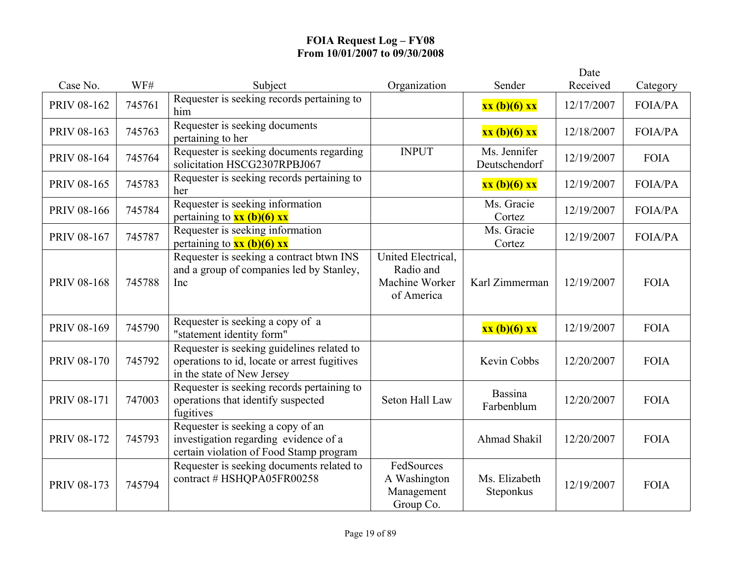|                    |        |                                                                                                                          |                                                                 |                               | Date       |                |
|--------------------|--------|--------------------------------------------------------------------------------------------------------------------------|-----------------------------------------------------------------|-------------------------------|------------|----------------|
| Case No.           | WF#    | Subject                                                                                                                  | Organization                                                    | Sender                        | Received   | Category       |
| PRIV 08-162        | 745761 | Requester is seeking records pertaining to<br>him                                                                        |                                                                 | xx (b)(6) xx                  | 12/17/2007 | FOIA/PA        |
| PRIV 08-163        | 745763 | Requester is seeking documents<br>pertaining to her                                                                      |                                                                 | xx (b)(6) xx                  | 12/18/2007 | <b>FOIA/PA</b> |
| PRIV 08-164        | 745764 | Requester is seeking documents regarding<br>solicitation HSCG2307RPBJ067                                                 | <b>INPUT</b>                                                    | Ms. Jennifer<br>Deutschendorf | 12/19/2007 | <b>FOIA</b>    |
| PRIV 08-165        | 745783 | Requester is seeking records pertaining to<br>her                                                                        |                                                                 | xx (b)(6) xx                  | 12/19/2007 | FOIA/PA        |
| <b>PRIV 08-166</b> | 745784 | Requester is seeking information<br>pertaining to $xx$ (b)(6) xx                                                         |                                                                 | Ms. Gracie<br>Cortez          | 12/19/2007 | <b>FOIA/PA</b> |
| PRIV 08-167        | 745787 | Requester is seeking information<br>pertaining to $xx$ (b)(6) xx                                                         |                                                                 | Ms. Gracie<br>Cortez          | 12/19/2007 | <b>FOIA/PA</b> |
| <b>PRIV 08-168</b> | 745788 | Requester is seeking a contract btwn INS<br>and a group of companies led by Stanley,<br>Inc                              | United Electrical,<br>Radio and<br>Machine Worker<br>of America | Karl Zimmerman                | 12/19/2007 | <b>FOIA</b>    |
| PRIV 08-169        | 745790 | Requester is seeking a copy of a<br>"statement identity form"                                                            |                                                                 | xx (b)(6) xx                  | 12/19/2007 | <b>FOIA</b>    |
| <b>PRIV 08-170</b> | 745792 | Requester is seeking guidelines related to<br>operations to id, locate or arrest fugitives<br>in the state of New Jersey |                                                                 | Kevin Cobbs                   | 12/20/2007 | <b>FOIA</b>    |
| <b>PRIV 08-171</b> | 747003 | Requester is seeking records pertaining to<br>operations that identify suspected<br>fugitives                            | Seton Hall Law                                                  | Bassina<br>Farbenblum         | 12/20/2007 | <b>FOIA</b>    |
| <b>PRIV 08-172</b> | 745793 | Requester is seeking a copy of an<br>investigation regarding evidence of a<br>certain violation of Food Stamp program    |                                                                 | Ahmad Shakil                  | 12/20/2007 | <b>FOIA</b>    |
| PRIV 08-173        | 745794 | Requester is seeking documents related to<br>contract # HSHQPA05FR00258                                                  | FedSources<br>A Washington<br>Management<br>Group Co.           | Ms. Elizabeth<br>Steponkus    | 12/19/2007 | <b>FOIA</b>    |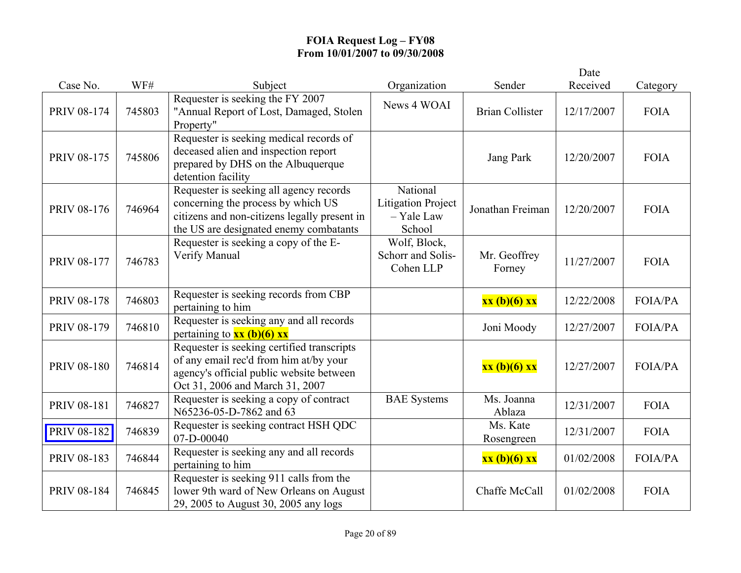|                    |        |                                                                                                                                                                         |                                                               |                        | Date       |                |
|--------------------|--------|-------------------------------------------------------------------------------------------------------------------------------------------------------------------------|---------------------------------------------------------------|------------------------|------------|----------------|
| Case No.           | WF#    | Subject                                                                                                                                                                 | Organization                                                  | Sender                 | Received   | Category       |
| PRIV 08-174        | 745803 | Requester is seeking the FY 2007<br>"Annual Report of Lost, Damaged, Stolen<br>Property"                                                                                | News 4 WOAI                                                   | <b>Brian Collister</b> | 12/17/2007 | <b>FOIA</b>    |
| PRIV 08-175        | 745806 | Requester is seeking medical records of<br>deceased alien and inspection report<br>prepared by DHS on the Albuquerque<br>detention facility                             |                                                               | Jang Park              | 12/20/2007 | <b>FOIA</b>    |
| <b>PRIV 08-176</b> | 746964 | Requester is seeking all agency records<br>concerning the process by which US<br>citizens and non-citizens legally present in<br>the US are designated enemy combatants | National<br><b>Litigation Project</b><br>- Yale Law<br>School | Jonathan Freiman       | 12/20/2007 | <b>FOIA</b>    |
| <b>PRIV 08-177</b> | 746783 | Requester is seeking a copy of the E-<br>Verify Manual                                                                                                                  | Wolf, Block,<br>Schorr and Solis-<br>Cohen LLP                | Mr. Geoffrey<br>Forney | 11/27/2007 | <b>FOIA</b>    |
| <b>PRIV 08-178</b> | 746803 | Requester is seeking records from CBP<br>pertaining to him                                                                                                              |                                                               | xx (b)(6) xx           | 12/22/2008 | <b>FOIA/PA</b> |
| PRIV 08-179        | 746810 | Requester is seeking any and all records<br>pertaining to $xx$ (b)(6) xx                                                                                                |                                                               | Joni Moody             | 12/27/2007 | <b>FOIA/PA</b> |
| <b>PRIV 08-180</b> | 746814 | Requester is seeking certified transcripts<br>of any email rec'd from him at/by your<br>agency's official public website between<br>Oct 31, 2006 and March 31, 2007     |                                                               | xx (b)(6) xx           | 12/27/2007 | <b>FOIA/PA</b> |
| PRIV 08-181        | 746827 | Requester is seeking a copy of contract<br>N65236-05-D-7862 and 63                                                                                                      | <b>BAE</b> Systems                                            | Ms. Joanna<br>Ablaza   | 12/31/2007 | <b>FOIA</b>    |
| PRIV 08-182        | 746839 | Requester is seeking contract HSH QDC<br>07-D-00040                                                                                                                     |                                                               | Ms. Kate<br>Rosengreen | 12/31/2007 | <b>FOIA</b>    |
| PRIV 08-183        | 746844 | Requester is seeking any and all records<br>pertaining to him                                                                                                           |                                                               | xx (b)(6) xx           | 01/02/2008 | <b>FOIA/PA</b> |
| <b>PRIV 08-184</b> | 746845 | Requester is seeking 911 calls from the<br>lower 9th ward of New Orleans on August<br>29, 2005 to August 30, 2005 any logs                                              |                                                               | Chaffe McCall          | 01/02/2008 | <b>FOIA</b>    |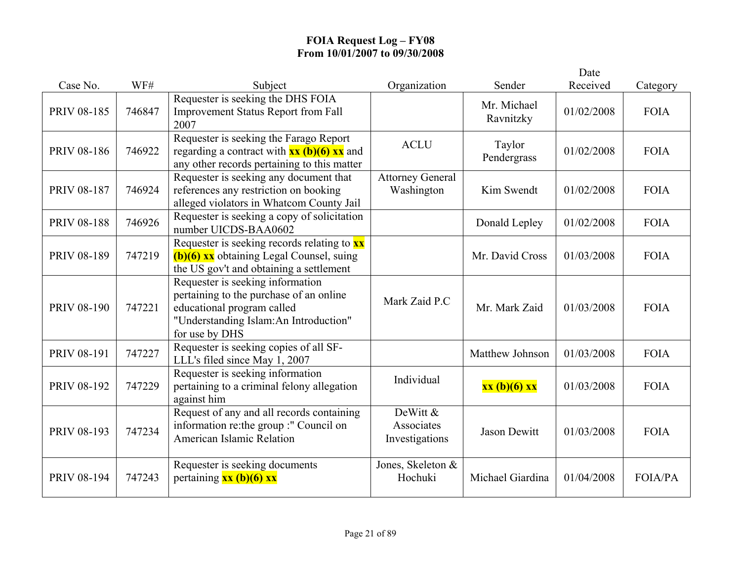|                    |        |                                                                                                                                                                      |                                          |                          | Date       |                |
|--------------------|--------|----------------------------------------------------------------------------------------------------------------------------------------------------------------------|------------------------------------------|--------------------------|------------|----------------|
| Case No.           | WF#    | Subject                                                                                                                                                              | Organization                             | Sender                   | Received   | Category       |
| <b>PRIV 08-185</b> | 746847 | Requester is seeking the DHS FOIA<br><b>Improvement Status Report from Fall</b><br>2007                                                                              |                                          | Mr. Michael<br>Ravnitzky | 01/02/2008 | <b>FOIA</b>    |
| <b>PRIV 08-186</b> | 746922 | Requester is seeking the Farago Report<br>regarding a contract with $xx (b)(6) xx$ and<br>any other records pertaining to this matter                                | <b>ACLU</b>                              | Taylor<br>Pendergrass    | 01/02/2008 | <b>FOIA</b>    |
| <b>PRIV 08-187</b> | 746924 | Requester is seeking any document that<br>references any restriction on booking<br>alleged violators in Whatcom County Jail                                          | <b>Attorney General</b><br>Washington    | Kim Swendt               | 01/02/2008 | <b>FOIA</b>    |
| <b>PRIV 08-188</b> | 746926 | Requester is seeking a copy of solicitation<br>number UICDS-BAA0602                                                                                                  |                                          | Donald Lepley            | 01/02/2008 | <b>FOIA</b>    |
| PRIV 08-189        | 747219 | Requester is seeking records relating to <b>xx</b><br>(b)(6) xx obtaining Legal Counsel, suing<br>the US gov't and obtaining a settlement                            |                                          | Mr. David Cross          | 01/03/2008 | <b>FOIA</b>    |
| <b>PRIV 08-190</b> | 747221 | Requester is seeking information<br>pertaining to the purchase of an online<br>educational program called<br>"Understanding Islam:An Introduction"<br>for use by DHS | Mark Zaid P.C                            | Mr. Mark Zaid            | 01/03/2008 | <b>FOIA</b>    |
| PRIV 08-191        | 747227 | Requester is seeking copies of all SF-<br>LLL's filed since May 1, 2007                                                                                              |                                          | Matthew Johnson          | 01/03/2008 | <b>FOIA</b>    |
| PRIV 08-192        | 747229 | Requester is seeking information<br>pertaining to a criminal felony allegation<br>against him                                                                        | Individual                               | xx (b)(6) xx             | 01/03/2008 | <b>FOIA</b>    |
| PRIV 08-193        | 747234 | Request of any and all records containing<br>information re: the group :" Council on<br>American Islamic Relation                                                    | DeWitt &<br>Associates<br>Investigations | <b>Jason Dewitt</b>      | 01/03/2008 | <b>FOIA</b>    |
| PRIV 08-194        | 747243 | Requester is seeking documents<br>pertaining $xx (b)(6) xx$                                                                                                          | Jones, Skeleton &<br>Hochuki             | Michael Giardina         | 01/04/2008 | <b>FOIA/PA</b> |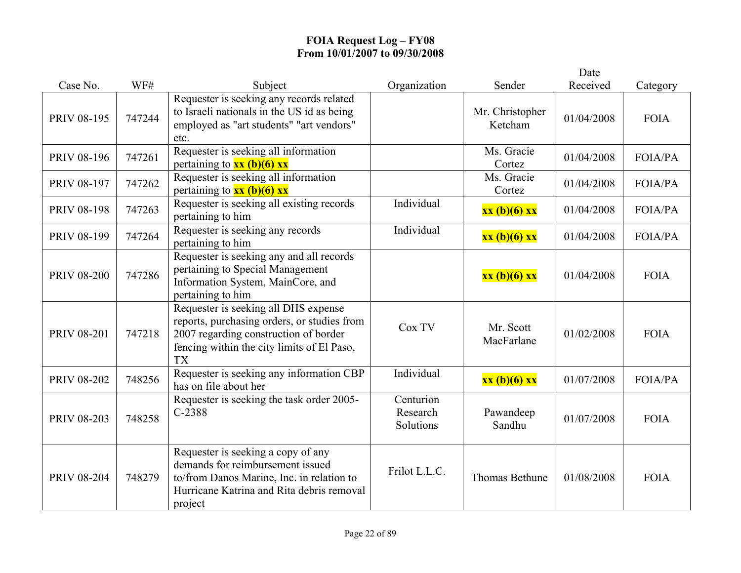|                    |        |                                                                                                                                                                                         |                                    |                            | Date       |                |
|--------------------|--------|-----------------------------------------------------------------------------------------------------------------------------------------------------------------------------------------|------------------------------------|----------------------------|------------|----------------|
| Case No.           | WF#    | Subject                                                                                                                                                                                 | Organization                       | Sender                     | Received   | Category       |
| <b>PRIV 08-195</b> | 747244 | Requester is seeking any records related<br>to Israeli nationals in the US id as being<br>employed as "art students" "art vendors"<br>etc.                                              |                                    | Mr. Christopher<br>Ketcham | 01/04/2008 | <b>FOIA</b>    |
| <b>PRIV 08-196</b> | 747261 | Requester is seeking all information<br>pertaining to $xx$ (b)(6) xx                                                                                                                    |                                    | Ms. Gracie<br>Cortez       | 01/04/2008 | FOIA/PA        |
| PRIV 08-197        | 747262 | Requester is seeking all information<br>pertaining to $xx$ (b)(6) xx                                                                                                                    |                                    | Ms. Gracie<br>Cortez       | 01/04/2008 | <b>FOIA/PA</b> |
| <b>PRIV 08-198</b> | 747263 | Requester is seeking all existing records<br>pertaining to him                                                                                                                          | Individual                         | xx (b)(6) xx               | 01/04/2008 | <b>FOIA/PA</b> |
| PRIV 08-199        | 747264 | Requester is seeking any records<br>pertaining to him                                                                                                                                   | Individual                         | xx (b)(6) xx               | 01/04/2008 | <b>FOIA/PA</b> |
| <b>PRIV 08-200</b> | 747286 | Requester is seeking any and all records<br>pertaining to Special Management<br>Information System, MainCore, and<br>pertaining to him                                                  |                                    | xx (b)(6) xx               | 01/04/2008 | <b>FOIA</b>    |
| <b>PRIV 08-201</b> | 747218 | Requester is seeking all DHS expense<br>reports, purchasing orders, or studies from<br>2007 regarding construction of border<br>fencing within the city limits of El Paso,<br><b>TX</b> | Cox TV                             | Mr. Scott<br>MacFarlane    | 01/02/2008 | <b>FOIA</b>    |
| <b>PRIV 08-202</b> | 748256 | Requester is seeking any information CBP<br>has on file about her                                                                                                                       | Individual                         | xx (b)(6) xx               | 01/07/2008 | <b>FOIA/PA</b> |
| PRIV 08-203        | 748258 | Requester is seeking the task order 2005-<br>$C-2388$                                                                                                                                   | Centurion<br>Research<br>Solutions | Pawandeep<br>Sandhu        | 01/07/2008 | <b>FOIA</b>    |
| <b>PRIV 08-204</b> | 748279 | Requester is seeking a copy of any<br>demands for reimbursement issued<br>to/from Danos Marine, Inc. in relation to<br>Hurricane Katrina and Rita debris removal<br>project             | Frilot L.L.C.                      | Thomas Bethune             | 01/08/2008 | <b>FOIA</b>    |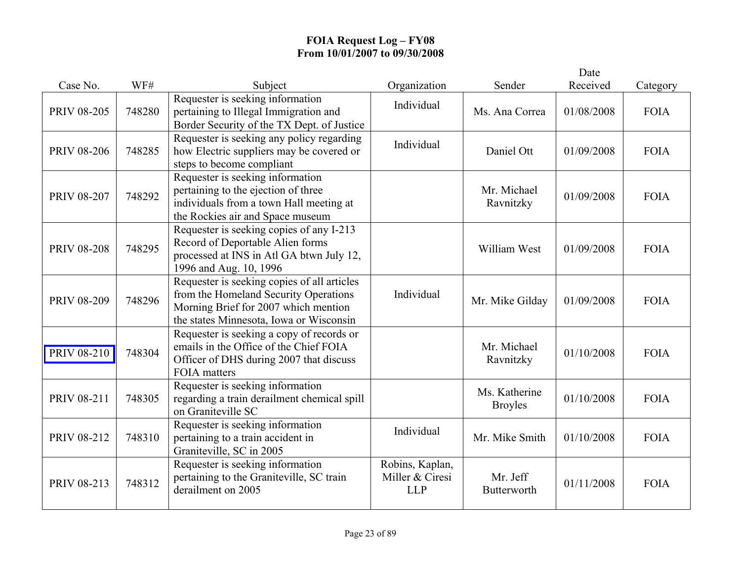|                    |        |                                                                                                                                                                         |                                                  |                                 | Date       |             |
|--------------------|--------|-------------------------------------------------------------------------------------------------------------------------------------------------------------------------|--------------------------------------------------|---------------------------------|------------|-------------|
| Case No.           | WF#    | Subject                                                                                                                                                                 | Organization                                     | Sender                          | Received   | Category    |
| <b>PRIV 08-205</b> | 748280 | Requester is seeking information<br>pertaining to Illegal Immigration and<br>Border Security of the TX Dept. of Justice                                                 | Individual                                       | Ms. Ana Correa                  | 01/08/2008 | <b>FOIA</b> |
| <b>PRIV 08-206</b> | 748285 | Requester is seeking any policy regarding<br>how Electric suppliers may be covered or<br>steps to become compliant                                                      | Individual                                       | Daniel Ott                      | 01/09/2008 | <b>FOIA</b> |
| <b>PRIV 08-207</b> | 748292 | Requester is seeking information<br>pertaining to the ejection of three<br>individuals from a town Hall meeting at<br>the Rockies air and Space museum                  |                                                  | Mr. Michael<br>Ravnitzky        | 01/09/2008 | <b>FOIA</b> |
| <b>PRIV 08-208</b> | 748295 | Requester is seeking copies of any I-213<br>Record of Deportable Alien forms<br>processed at INS in Atl GA btwn July 12,<br>1996 and Aug. 10, 1996                      |                                                  | William West                    | 01/09/2008 | <b>FOIA</b> |
| <b>PRIV 08-209</b> | 748296 | Requester is seeking copies of all articles<br>from the Homeland Security Operations<br>Morning Brief for 2007 which mention<br>the states Minnesota, Iowa or Wisconsin | Individual                                       | Mr. Mike Gilday                 | 01/09/2008 | <b>FOIA</b> |
| <b>PRIV 08-210</b> | 748304 | Requester is seeking a copy of records or<br>emails in the Office of the Chief FOIA<br>Officer of DHS during 2007 that discuss<br><b>FOIA</b> matters                   |                                                  | Mr. Michael<br>Ravnitzky        | 01/10/2008 | <b>FOIA</b> |
| PRIV 08-211        | 748305 | Requester is seeking information<br>regarding a train derailment chemical spill<br>on Graniteville SC                                                                   |                                                  | Ms. Katherine<br><b>Broyles</b> | 01/10/2008 | <b>FOIA</b> |
| PRIV 08-212        | 748310 | Requester is seeking information<br>pertaining to a train accident in<br>Graniteville, SC in 2005                                                                       | Individual                                       | Mr. Mike Smith                  | 01/10/2008 | <b>FOIA</b> |
| PRIV 08-213        | 748312 | Requester is seeking information<br>pertaining to the Graniteville, SC train<br>derailment on 2005                                                                      | Robins, Kaplan,<br>Miller & Ciresi<br><b>LLP</b> | Mr. Jeff<br>Butterworth         | 01/11/2008 | <b>FOIA</b> |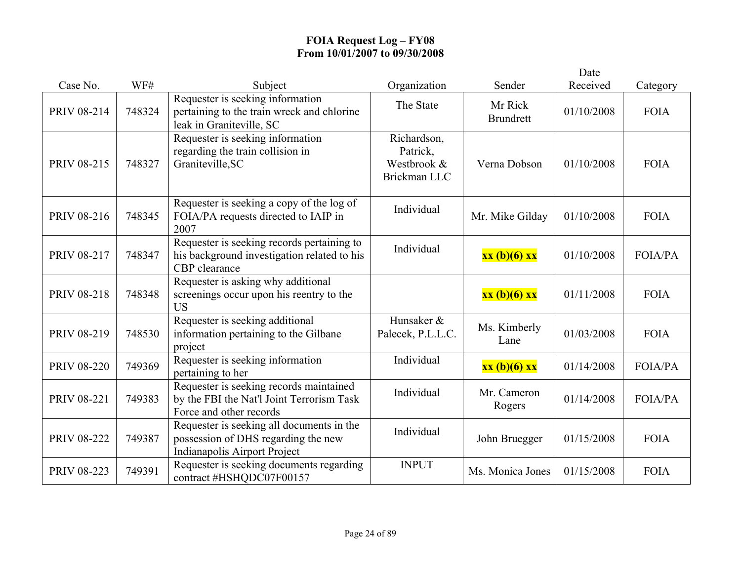|                    |        |                                                                                                                  |                                                        |                             | Date       |                |
|--------------------|--------|------------------------------------------------------------------------------------------------------------------|--------------------------------------------------------|-----------------------------|------------|----------------|
| Case No.           | WF#    | Subject                                                                                                          | Organization                                           | Sender                      | Received   | Category       |
| PRIV 08-214        | 748324 | Requester is seeking information<br>pertaining to the train wreck and chlorine<br>leak in Graniteville, SC       | The State                                              | Mr Rick<br><b>Brundrett</b> | 01/10/2008 | <b>FOIA</b>    |
| PRIV 08-215        | 748327 | Requester is seeking information<br>regarding the train collision in<br>Graniteville, SC                         | Richardson,<br>Patrick,<br>Westbrook &<br>Brickman LLC | Verna Dobson                | 01/10/2008 | <b>FOIA</b>    |
| PRIV 08-216        | 748345 | Requester is seeking a copy of the log of<br>FOIA/PA requests directed to IAIP in<br>2007                        | Individual                                             | Mr. Mike Gilday             | 01/10/2008 | <b>FOIA</b>    |
| PRIV 08-217        | 748347 | Requester is seeking records pertaining to<br>his background investigation related to his<br>CBP clearance       | Individual                                             | xx (b)(6) xx                | 01/10/2008 | <b>FOIA/PA</b> |
| PRIV 08-218        | 748348 | Requester is asking why additional<br>screenings occur upon his reentry to the<br><b>US</b>                      |                                                        | xx (b)(6) xx                | 01/11/2008 | <b>FOIA</b>    |
| PRIV 08-219        | 748530 | Requester is seeking additional<br>information pertaining to the Gilbane<br>project                              | Hunsaker &<br>Palecek, P.L.L.C.                        | Ms. Kimberly<br>Lane        | 01/03/2008 | <b>FOIA</b>    |
| <b>PRIV 08-220</b> | 749369 | Requester is seeking information<br>pertaining to her                                                            | Individual                                             | xx (b)(6) xx                | 01/14/2008 | <b>FOIA/PA</b> |
| <b>PRIV 08-221</b> | 749383 | Requester is seeking records maintained<br>by the FBI the Nat'l Joint Terrorism Task<br>Force and other records  | Individual                                             | Mr. Cameron<br>Rogers       | 01/14/2008 | <b>FOIA/PA</b> |
| <b>PRIV 08-222</b> | 749387 | Requester is seeking all documents in the<br>possession of DHS regarding the new<br>Indianapolis Airport Project | Individual                                             | John Bruegger               | 01/15/2008 | <b>FOIA</b>    |
| PRIV 08-223        | 749391 | Requester is seeking documents regarding<br>contract #HSHQDC07F00157                                             | <b>INPUT</b>                                           | Ms. Monica Jones            | 01/15/2008 | <b>FOIA</b>    |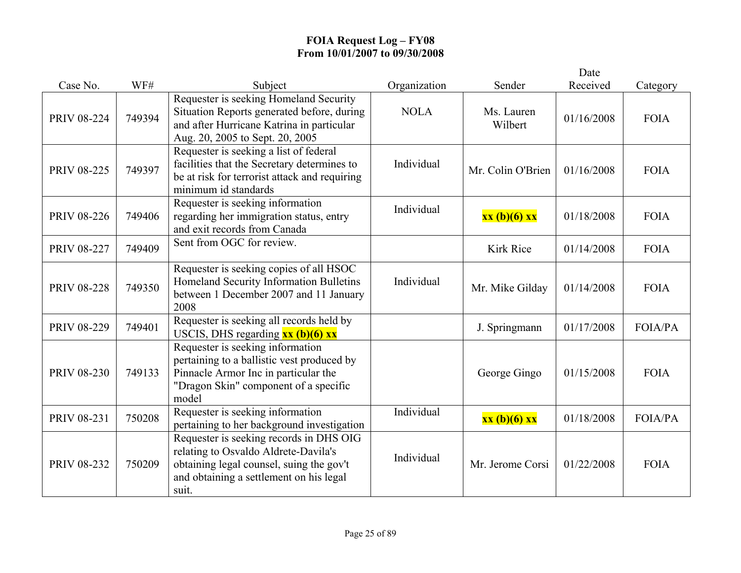|                    |        |                                                                                                                                                                                 |              |                       | Date       |                |
|--------------------|--------|---------------------------------------------------------------------------------------------------------------------------------------------------------------------------------|--------------|-----------------------|------------|----------------|
| Case No.           | WF#    | Subject                                                                                                                                                                         | Organization | Sender                | Received   | Category       |
| <b>PRIV 08-224</b> | 749394 | Requester is seeking Homeland Security<br>Situation Reports generated before, during<br>and after Hurricane Katrina in particular<br>Aug. 20, 2005 to Sept. 20, 2005            | <b>NOLA</b>  | Ms. Lauren<br>Wilbert | 01/16/2008 | <b>FOIA</b>    |
| <b>PRIV 08-225</b> | 749397 | Requester is seeking a list of federal<br>facilities that the Secretary determines to<br>be at risk for terrorist attack and requiring<br>minimum id standards                  | Individual   | Mr. Colin O'Brien     | 01/16/2008 | <b>FOIA</b>    |
| <b>PRIV 08-226</b> | 749406 | Requester is seeking information<br>regarding her immigration status, entry<br>and exit records from Canada                                                                     | Individual   | xx (b)(6) xx          | 01/18/2008 | <b>FOIA</b>    |
| <b>PRIV 08-227</b> | 749409 | Sent from OGC for review.                                                                                                                                                       |              | <b>Kirk Rice</b>      | 01/14/2008 | <b>FOIA</b>    |
| <b>PRIV 08-228</b> | 749350 | Requester is seeking copies of all HSOC<br>Homeland Security Information Bulletins<br>between 1 December 2007 and 11 January<br>2008                                            | Individual   | Mr. Mike Gilday       | 01/14/2008 | <b>FOIA</b>    |
| <b>PRIV 08-229</b> | 749401 | Requester is seeking all records held by<br>USCIS, DHS regarding $xx$ (b)(6) $xx$                                                                                               |              | J. Springmann         | 01/17/2008 | <b>FOIA/PA</b> |
| <b>PRIV 08-230</b> | 749133 | Requester is seeking information<br>pertaining to a ballistic vest produced by<br>Pinnacle Armor Inc in particular the<br>"Dragon Skin" component of a specific<br>model        |              | George Gingo          | 01/15/2008 | <b>FOIA</b>    |
| PRIV 08-231        | 750208 | Requester is seeking information<br>pertaining to her background investigation                                                                                                  | Individual   | xx (b)(6) xx          | 01/18/2008 | <b>FOIA/PA</b> |
| <b>PRIV 08-232</b> | 750209 | Requester is seeking records in DHS OIG<br>relating to Osvaldo Aldrete-Davila's<br>obtaining legal counsel, suing the gov't<br>and obtaining a settlement on his legal<br>suit. | Individual   | Mr. Jerome Corsi      | 01/22/2008 | <b>FOIA</b>    |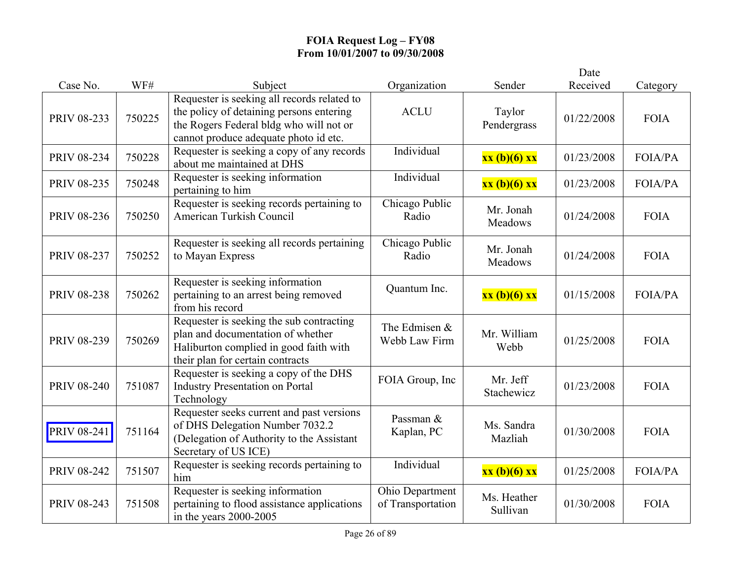|                    |        |                                                                                                                                                                             |                                      |                         | Date       |                |
|--------------------|--------|-----------------------------------------------------------------------------------------------------------------------------------------------------------------------------|--------------------------------------|-------------------------|------------|----------------|
| Case No.           | WF#    | Subject                                                                                                                                                                     | Organization                         | Sender                  | Received   | Category       |
| PRIV 08-233        | 750225 | Requester is seeking all records related to<br>the policy of detaining persons entering<br>the Rogers Federal bldg who will not or<br>cannot produce adequate photo id etc. | <b>ACLU</b>                          | Taylor<br>Pendergrass   | 01/22/2008 | <b>FOIA</b>    |
| PRIV 08-234        | 750228 | Requester is seeking a copy of any records<br>about me maintained at DHS                                                                                                    | Individual                           | xx (b)(6) xx            | 01/23/2008 | <b>FOIA/PA</b> |
| PRIV 08-235        | 750248 | Requester is seeking information<br>pertaining to him                                                                                                                       | Individual                           | xx (b)(6) xx            | 01/23/2008 | <b>FOIA/PA</b> |
| PRIV 08-236        | 750250 | Requester is seeking records pertaining to<br>American Turkish Council                                                                                                      | Chicago Public<br>Radio              | Mr. Jonah<br>Meadows    | 01/24/2008 | <b>FOIA</b>    |
| PRIV 08-237        | 750252 | Requester is seeking all records pertaining<br>to Mayan Express                                                                                                             | Chicago Public<br>Radio              | Mr. Jonah<br>Meadows    | 01/24/2008 | <b>FOIA</b>    |
| <b>PRIV 08-238</b> | 750262 | Requester is seeking information<br>pertaining to an arrest being removed<br>from his record                                                                                | Quantum Inc.                         | xx (b)(6) xx            | 01/15/2008 | <b>FOIA/PA</b> |
| PRIV 08-239        | 750269 | Requester is seeking the sub contracting<br>plan and documentation of whether<br>Haliburton complied in good faith with<br>their plan for certain contracts                 | The Edmisen $&$<br>Webb Law Firm     | Mr. William<br>Webb     | 01/25/2008 | <b>FOIA</b>    |
| <b>PRIV 08-240</b> | 751087 | Requester is seeking a copy of the DHS<br><b>Industry Presentation on Portal</b><br>Technology                                                                              | FOIA Group, Inc                      | Mr. Jeff<br>Stachewicz  | 01/23/2008 | <b>FOIA</b>    |
| PRIV 08-241        | 751164 | Requester seeks current and past versions<br>of DHS Delegation Number 7032.2<br>(Delegation of Authority to the Assistant<br>Secretary of US ICE)                           | Passman &<br>Kaplan, PC              | Ms. Sandra<br>Mazliah   | 01/30/2008 | <b>FOIA</b>    |
| <b>PRIV 08-242</b> | 751507 | Requester is seeking records pertaining to<br>him                                                                                                                           | Individual                           | xx (b)(6) xx            | 01/25/2008 | FOIA/PA        |
| PRIV 08-243        | 751508 | Requester is seeking information<br>pertaining to flood assistance applications<br>in the years $2000-2005$                                                                 | Ohio Department<br>of Transportation | Ms. Heather<br>Sullivan | 01/30/2008 | <b>FOIA</b>    |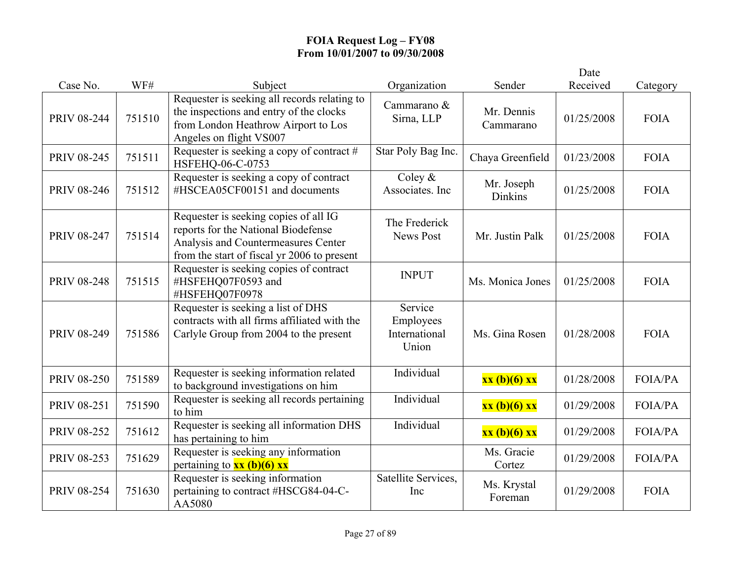|                    |        |                                                                                                                                                                    |                                                |                         | Date       |                |
|--------------------|--------|--------------------------------------------------------------------------------------------------------------------------------------------------------------------|------------------------------------------------|-------------------------|------------|----------------|
| Case No.           | WF#    | Subject                                                                                                                                                            | Organization                                   | Sender                  | Received   | Category       |
| <b>PRIV 08-244</b> | 751510 | Requester is seeking all records relating to<br>the inspections and entry of the clocks<br>from London Heathrow Airport to Los<br>Angeles on flight VS007          | Cammarano &<br>Sirna, LLP                      | Mr. Dennis<br>Cammarano | 01/25/2008 | <b>FOIA</b>    |
| <b>PRIV 08-245</b> | 751511 | Requester is seeking a copy of contract #<br>HSFEHQ-06-C-0753                                                                                                      | Star Poly Bag Inc.                             | Chaya Greenfield        | 01/23/2008 | <b>FOIA</b>    |
| <b>PRIV 08-246</b> | 751512 | Requester is seeking a copy of contract<br>#HSCEA05CF00151 and documents                                                                                           | Coley $\&$<br>Associates. Inc                  | Mr. Joseph<br>Dinkins   | 01/25/2008 | <b>FOIA</b>    |
| <b>PRIV 08-247</b> | 751514 | Requester is seeking copies of all IG<br>reports for the National Biodefense<br>Analysis and Countermeasures Center<br>from the start of fiscal yr 2006 to present | The Frederick<br><b>News Post</b>              | Mr. Justin Palk         | 01/25/2008 | <b>FOIA</b>    |
| <b>PRIV 08-248</b> | 751515 | Requester is seeking copies of contract<br>#HSFEHQ07F0593 and<br>#HSFEHQ07F0978                                                                                    | <b>INPUT</b>                                   | Ms. Monica Jones        | 01/25/2008 | <b>FOIA</b>    |
| PRIV 08-249        | 751586 | Requester is seeking a list of DHS<br>contracts with all firms affiliated with the<br>Carlyle Group from 2004 to the present                                       | Service<br>Employees<br>International<br>Union | Ms. Gina Rosen          | 01/28/2008 | <b>FOIA</b>    |
| <b>PRIV 08-250</b> | 751589 | Requester is seeking information related<br>to background investigations on him                                                                                    | Individual                                     | xx (b)(6) xx            | 01/28/2008 | <b>FOIA/PA</b> |
| PRIV 08-251        | 751590 | Requester is seeking all records pertaining<br>to him                                                                                                              | Individual                                     | xx (b)(6) xx            | 01/29/2008 | FOIA/PA        |
| <b>PRIV 08-252</b> | 751612 | Requester is seeking all information DHS<br>has pertaining to him                                                                                                  | Individual                                     | xx (b)(6) xx            | 01/29/2008 | <b>FOIA/PA</b> |
| PRIV 08-253        | 751629 | Requester is seeking any information<br>pertaining to $xx$ (b)(6) xx                                                                                               |                                                | Ms. Gracie<br>Cortez    | 01/29/2008 | <b>FOIA/PA</b> |
| <b>PRIV 08-254</b> | 751630 | Requester is seeking information<br>pertaining to contract #HSCG84-04-C-<br>AA5080                                                                                 | Satellite Services,<br>Inc                     | Ms. Krystal<br>Foreman  | 01/29/2008 | <b>FOIA</b>    |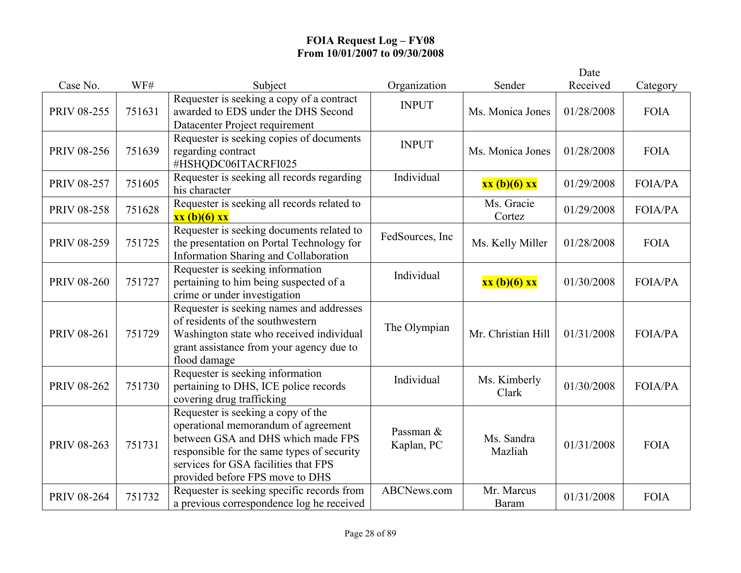|                    |        |                                                                                                                                                                                                                                          |                         |                            | Date       |                |
|--------------------|--------|------------------------------------------------------------------------------------------------------------------------------------------------------------------------------------------------------------------------------------------|-------------------------|----------------------------|------------|----------------|
| Case No.           | WF#    | Subject                                                                                                                                                                                                                                  | Organization            | Sender                     | Received   | Category       |
| PRIV 08-255        | 751631 | Requester is seeking a copy of a contract<br>awarded to EDS under the DHS Second<br>Datacenter Project requirement                                                                                                                       | <b>INPUT</b>            | Ms. Monica Jones           | 01/28/2008 | <b>FOIA</b>    |
| <b>PRIV 08-256</b> | 751639 | Requester is seeking copies of documents<br>regarding contract<br>#HSHQDC06ITACRFI025                                                                                                                                                    | <b>INPUT</b>            | Ms. Monica Jones           | 01/28/2008 | <b>FOIA</b>    |
| <b>PRIV 08-257</b> | 751605 | Requester is seeking all records regarding<br>his character                                                                                                                                                                              | Individual              | xx (b)(6) xx               | 01/29/2008 | <b>FOIA/PA</b> |
| <b>PRIV 08-258</b> | 751628 | Requester is seeking all records related to<br>$\overline{\mathbf{X}}\mathbf{X}$ (b)(6) $\overline{\mathbf{X}}\mathbf{X}$                                                                                                                |                         | Ms. Gracie<br>Cortez       | 01/29/2008 | <b>FOIA/PA</b> |
| PRIV 08-259        | 751725 | Requester is seeking documents related to<br>the presentation on Portal Technology for<br>Information Sharing and Collaboration                                                                                                          | FedSources, Inc         | Ms. Kelly Miller           | 01/28/2008 | <b>FOIA</b>    |
| PRIV 08-260        | 751727 | Requester is seeking information<br>pertaining to him being suspected of a<br>crime or under investigation                                                                                                                               | Individual              | xx (b)(6) xx               | 01/30/2008 | FOIA/PA        |
| PRIV 08-261        | 751729 | Requester is seeking names and addresses<br>of residents of the southwestern<br>Washington state who received individual<br>grant assistance from your agency due to<br>flood damage                                                     | The Olympian            | Mr. Christian Hill         | 01/31/2008 | <b>FOIA/PA</b> |
| PRIV 08-262        | 751730 | Requester is seeking information<br>pertaining to DHS, ICE police records<br>covering drug trafficking                                                                                                                                   | Individual              | Ms. Kimberly<br>Clark      | 01/30/2008 | <b>FOIA/PA</b> |
| PRIV 08-263        | 751731 | Requester is seeking a copy of the<br>operational memorandum of agreement<br>between GSA and DHS which made FPS<br>responsible for the same types of security<br>services for GSA facilities that FPS<br>provided before FPS move to DHS | Passman &<br>Kaplan, PC | Ms. Sandra<br>Mazliah      | 01/31/2008 | <b>FOIA</b>    |
| <b>PRIV 08-264</b> | 751732 | Requester is seeking specific records from<br>a previous correspondence log he received                                                                                                                                                  | ABCNews.com             | Mr. Marcus<br><b>Baram</b> | 01/31/2008 | <b>FOIA</b>    |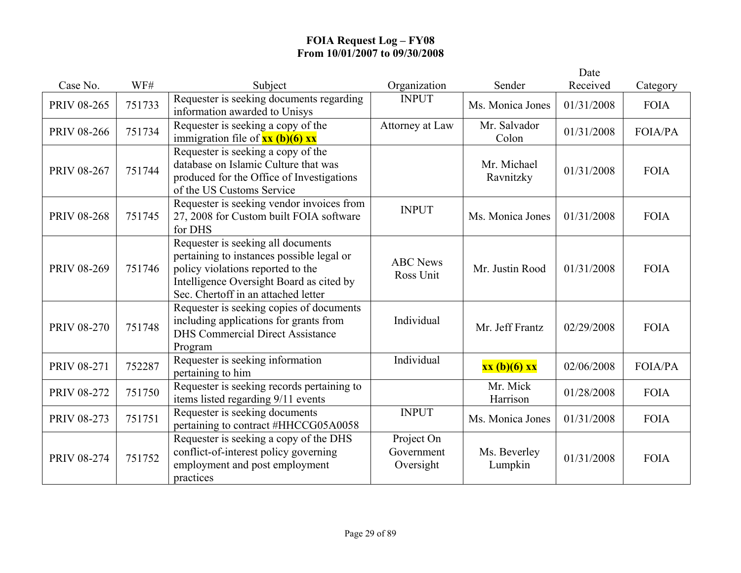|                    |        |                                                                                                                                                                                                         |                                       |                          | Date       |                |
|--------------------|--------|---------------------------------------------------------------------------------------------------------------------------------------------------------------------------------------------------------|---------------------------------------|--------------------------|------------|----------------|
| Case No.           | WF#    | Subject                                                                                                                                                                                                 | Organization                          | Sender                   | Received   | Category       |
| <b>PRIV 08-265</b> | 751733 | Requester is seeking documents regarding<br>information awarded to Unisys                                                                                                                               | <b>INPUT</b>                          | Ms. Monica Jones         | 01/31/2008 | <b>FOIA</b>    |
| <b>PRIV 08-266</b> | 751734 | Requester is seeking a copy of the<br>immigration file of $\frac{xx (b)(6) xx}{ }$                                                                                                                      | Attorney at Law                       | Mr. Salvador<br>Colon    | 01/31/2008 | <b>FOIA/PA</b> |
| PRIV 08-267        | 751744 | Requester is seeking a copy of the<br>database on Islamic Culture that was<br>produced for the Office of Investigations<br>of the US Customs Service                                                    |                                       | Mr. Michael<br>Ravnitzky | 01/31/2008 | <b>FOIA</b>    |
| <b>PRIV 08-268</b> | 751745 | Requester is seeking vendor invoices from<br>27, 2008 for Custom built FOIA software<br>for DHS                                                                                                         | <b>INPUT</b>                          | Ms. Monica Jones         | 01/31/2008 | <b>FOIA</b>    |
| <b>PRIV 08-269</b> | 751746 | Requester is seeking all documents<br>pertaining to instances possible legal or<br>policy violations reported to the<br>Intelligence Oversight Board as cited by<br>Sec. Chertoff in an attached letter | <b>ABC</b> News<br>Ross Unit          | Mr. Justin Rood          | 01/31/2008 | <b>FOIA</b>    |
| PRIV 08-270        | 751748 | Requester is seeking copies of documents<br>including applications for grants from<br><b>DHS</b> Commercial Direct Assistance<br>Program                                                                | Individual                            | Mr. Jeff Frantz          | 02/29/2008 | <b>FOIA</b>    |
| <b>PRIV 08-271</b> | 752287 | Requester is seeking information<br>pertaining to him                                                                                                                                                   | Individual                            | xx (b)(6) xx             | 02/06/2008 | <b>FOIA/PA</b> |
| <b>PRIV 08-272</b> | 751750 | Requester is seeking records pertaining to<br>items listed regarding 9/11 events                                                                                                                        |                                       | Mr. Mick<br>Harrison     | 01/28/2008 | <b>FOIA</b>    |
| PRIV 08-273        | 751751 | Requester is seeking documents<br>pertaining to contract #HHCCG05A0058                                                                                                                                  | <b>INPUT</b>                          | Ms. Monica Jones         | 01/31/2008 | <b>FOIA</b>    |
| <b>PRIV 08-274</b> | 751752 | Requester is seeking a copy of the DHS<br>conflict-of-interest policy governing<br>employment and post employment<br>practices                                                                          | Project On<br>Government<br>Oversight | Ms. Beverley<br>Lumpkin  | 01/31/2008 | <b>FOIA</b>    |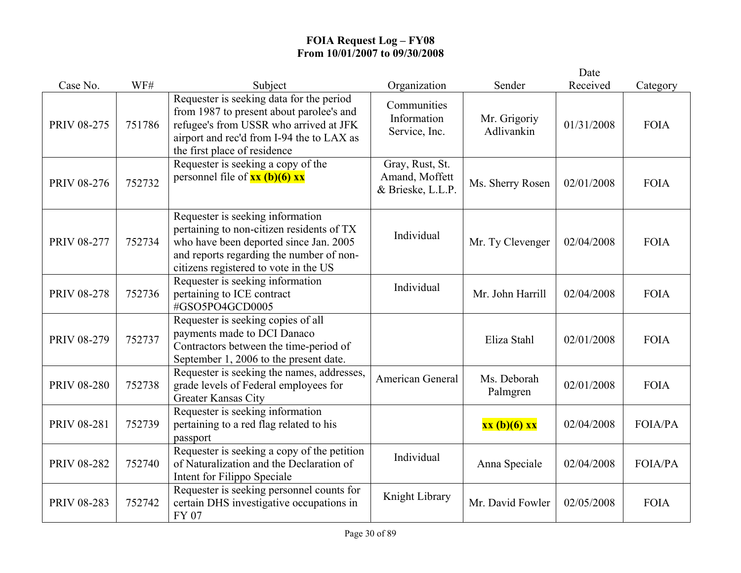|                    |        |                                                                                                                                                                                                              |                                                        |                            | Date       |                |
|--------------------|--------|--------------------------------------------------------------------------------------------------------------------------------------------------------------------------------------------------------------|--------------------------------------------------------|----------------------------|------------|----------------|
| Case No.           | WF#    | Subject                                                                                                                                                                                                      | Organization                                           | Sender                     | Received   | Category       |
| <b>PRIV 08-275</b> | 751786 | Requester is seeking data for the period<br>from 1987 to present about parolee's and<br>refugee's from USSR who arrived at JFK<br>airport and rec'd from I-94 the to LAX as<br>the first place of residence  | Communities<br>Information<br>Service, Inc.            | Mr. Grigoriy<br>Adlivankin | 01/31/2008 | <b>FOIA</b>    |
| <b>PRIV 08-276</b> | 752732 | Requester is seeking a copy of the<br>personnel file of $xx$ (b)(6) $xx$                                                                                                                                     | Gray, Rust, St.<br>Amand, Moffett<br>& Brieske, L.L.P. | Ms. Sherry Rosen           | 02/01/2008 | <b>FOIA</b>    |
| <b>PRIV 08-277</b> | 752734 | Requester is seeking information<br>pertaining to non-citizen residents of TX<br>who have been deported since Jan. 2005<br>and reports regarding the number of non-<br>citizens registered to vote in the US | Individual                                             | Mr. Ty Clevenger           | 02/04/2008 | <b>FOIA</b>    |
| <b>PRIV 08-278</b> | 752736 | Requester is seeking information<br>pertaining to ICE contract<br>#GSO5PO4GCD0005                                                                                                                            | Individual                                             | Mr. John Harrill           | 02/04/2008 | <b>FOIA</b>    |
| <b>PRIV 08-279</b> | 752737 | Requester is seeking copies of all<br>payments made to DCI Danaco<br>Contractors between the time-period of<br>September 1, 2006 to the present date.                                                        |                                                        | Eliza Stahl                | 02/01/2008 | <b>FOIA</b>    |
| <b>PRIV 08-280</b> | 752738 | Requester is seeking the names, addresses,<br>grade levels of Federal employees for<br><b>Greater Kansas City</b>                                                                                            | American General                                       | Ms. Deborah<br>Palmgren    | 02/01/2008 | <b>FOIA</b>    |
| <b>PRIV 08-281</b> | 752739 | Requester is seeking information<br>pertaining to a red flag related to his<br>passport                                                                                                                      |                                                        | xx (b)(6) xx               | 02/04/2008 | <b>FOIA/PA</b> |
| <b>PRIV 08-282</b> | 752740 | Requester is seeking a copy of the petition<br>of Naturalization and the Declaration of<br>Intent for Filippo Speciale                                                                                       | Individual                                             | Anna Speciale              | 02/04/2008 | <b>FOIA/PA</b> |
| PRIV 08-283        | 752742 | Requester is seeking personnel counts for<br>certain DHS investigative occupations in<br>FY 07                                                                                                               | Knight Library                                         | Mr. David Fowler           | 02/05/2008 | <b>FOIA</b>    |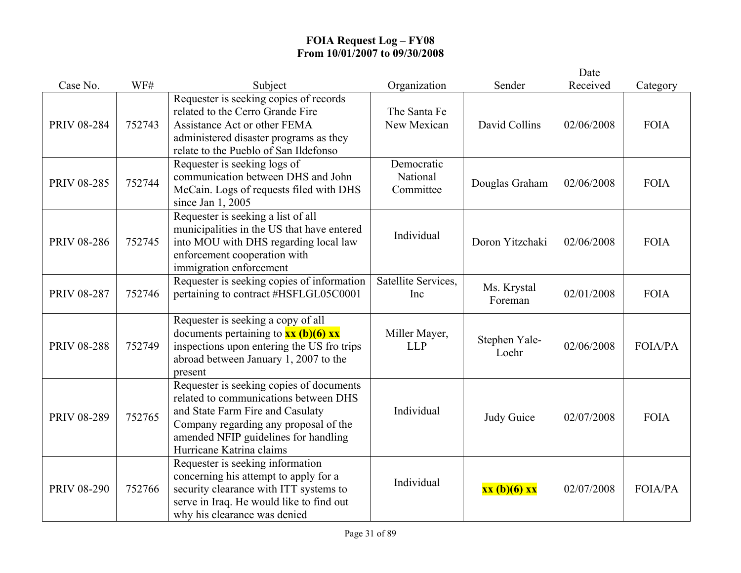|                    |        |                                                                                                                                                                                                                                    |                                     |                        | Date       |                |
|--------------------|--------|------------------------------------------------------------------------------------------------------------------------------------------------------------------------------------------------------------------------------------|-------------------------------------|------------------------|------------|----------------|
| Case No.           | WF#    | Subject                                                                                                                                                                                                                            | Organization                        | Sender                 | Received   | Category       |
| PRIV 08-284        | 752743 | Requester is seeking copies of records<br>related to the Cerro Grande Fire<br>Assistance Act or other FEMA<br>administered disaster programs as they<br>relate to the Pueblo of San Ildefonso                                      | The Santa Fe<br>New Mexican         | David Collins          | 02/06/2008 | <b>FOIA</b>    |
| PRIV 08-285        | 752744 | Requester is seeking logs of<br>communication between DHS and John<br>McCain. Logs of requests filed with DHS<br>since Jan 1, 2005                                                                                                 | Democratic<br>National<br>Committee | Douglas Graham         | 02/06/2008 | <b>FOIA</b>    |
| PRIV 08-286        | 752745 | Requester is seeking a list of all<br>municipalities in the US that have entered<br>into MOU with DHS regarding local law<br>enforcement cooperation with<br>immigration enforcement                                               | Individual                          | Doron Yitzchaki        | 02/06/2008 | <b>FOIA</b>    |
| <b>PRIV 08-287</b> | 752746 | Requester is seeking copies of information<br>pertaining to contract #HSFLGL05C0001                                                                                                                                                | Satellite Services,<br>Inc          | Ms. Krystal<br>Foreman | 02/01/2008 | <b>FOIA</b>    |
| <b>PRIV 08-288</b> | 752749 | Requester is seeking a copy of all<br>documents pertaining to $xx$ (b)(6) $xx$<br>inspections upon entering the US fro trips<br>abroad between January 1, 2007 to the<br>present                                                   | Miller Mayer,<br><b>LLP</b>         | Stephen Yale-<br>Loehr | 02/06/2008 | <b>FOIA/PA</b> |
| PRIV 08-289        | 752765 | Requester is seeking copies of documents<br>related to communications between DHS<br>and State Farm Fire and Casulaty<br>Company regarding any proposal of the<br>amended NFIP guidelines for handling<br>Hurricane Katrina claims | Individual                          | Judy Guice             | 02/07/2008 | <b>FOIA</b>    |
| <b>PRIV 08-290</b> | 752766 | Requester is seeking information<br>concerning his attempt to apply for a<br>security clearance with ITT systems to<br>serve in Iraq. He would like to find out<br>why his clearance was denied                                    | Individual                          | xx (b)(6) xx           | 02/07/2008 | <b>FOIA/PA</b> |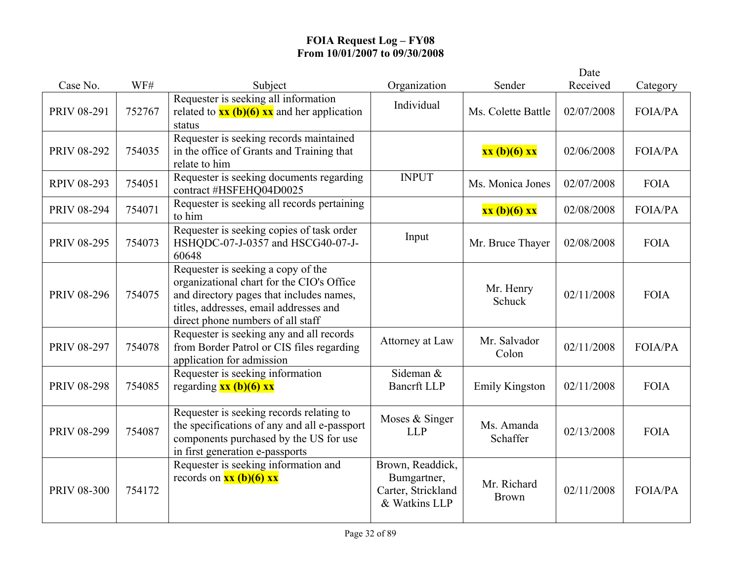|                    |        |                                                                                                                                                                                                            |                                                                        |                             | Date       |                |
|--------------------|--------|------------------------------------------------------------------------------------------------------------------------------------------------------------------------------------------------------------|------------------------------------------------------------------------|-----------------------------|------------|----------------|
| Case No.           | WF#    | Subject                                                                                                                                                                                                    | Organization                                                           | Sender                      | Received   | Category       |
| PRIV 08-291        | 752767 | Requester is seeking all information<br>related to $\frac{xx(b)(6)}{x}$ and her application<br>status                                                                                                      | Individual                                                             | Ms. Colette Battle          | 02/07/2008 | <b>FOIA/PA</b> |
| PRIV 08-292        | 754035 | Requester is seeking records maintained<br>in the office of Grants and Training that<br>relate to him                                                                                                      |                                                                        | xx (b)(6) xx                | 02/06/2008 | <b>FOIA/PA</b> |
| <b>RPIV 08-293</b> | 754051 | Requester is seeking documents regarding<br>contract #HSFEHQ04D0025                                                                                                                                        | <b>INPUT</b>                                                           | Ms. Monica Jones            | 02/07/2008 | <b>FOIA</b>    |
| <b>PRIV 08-294</b> | 754071 | Requester is seeking all records pertaining<br>to him                                                                                                                                                      |                                                                        | xx (b)(6) xx                | 02/08/2008 | <b>FOIA/PA</b> |
| PRIV 08-295        | 754073 | Requester is seeking copies of task order<br>HSHQDC-07-J-0357 and HSCG40-07-J-<br>60648                                                                                                                    | Input                                                                  | Mr. Bruce Thayer            | 02/08/2008 | <b>FOIA</b>    |
| <b>PRIV 08-296</b> | 754075 | Requester is seeking a copy of the<br>organizational chart for the CIO's Office<br>and directory pages that includes names,<br>titles, addresses, email addresses and<br>direct phone numbers of all staff |                                                                        | Mr. Henry<br>Schuck         | 02/11/2008 | <b>FOIA</b>    |
| PRIV 08-297        | 754078 | Requester is seeking any and all records<br>from Border Patrol or CIS files regarding<br>application for admission                                                                                         | Attorney at Law                                                        | Mr. Salvador<br>Colon       | 02/11/2008 | <b>FOIA/PA</b> |
| <b>PRIV 08-298</b> | 754085 | Requester is seeking information<br>regarding $xx$ (b)(6) $xx$                                                                                                                                             | Sideman &<br><b>Bancrft LLP</b>                                        | <b>Emily Kingston</b>       | 02/11/2008 | <b>FOIA</b>    |
| PRIV 08-299        | 754087 | Requester is seeking records relating to<br>the specifications of any and all e-passport<br>components purchased by the US for use<br>in first generation e-passports                                      | Moses & Singer<br><b>LLP</b>                                           | Ms. Amanda<br>Schaffer      | 02/13/2008 | <b>FOIA</b>    |
| <b>PRIV 08-300</b> | 754172 | Requester is seeking information and<br>records on $\frac{xx(b)(6)}{x}$                                                                                                                                    | Brown, Readdick,<br>Bumgartner,<br>Carter, Strickland<br>& Watkins LLP | Mr. Richard<br><b>Brown</b> | 02/11/2008 | FOIA/PA        |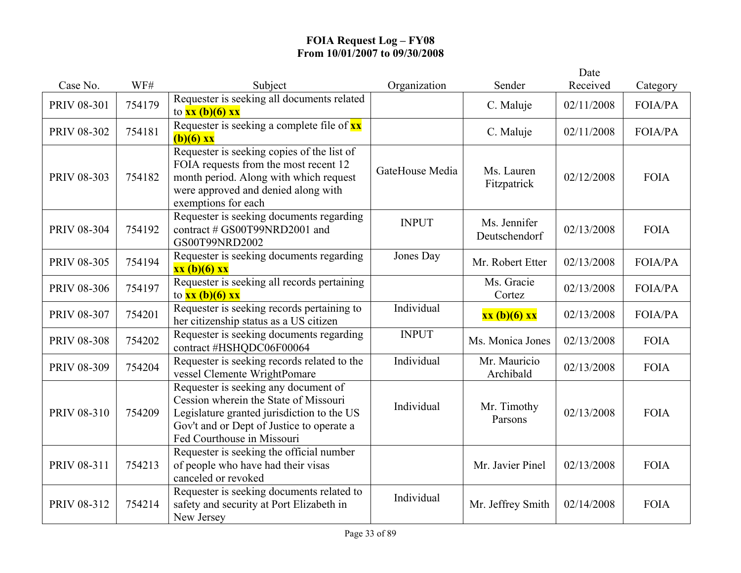|                    |        |                                                                                                                                                                                                        |                 |                               | Date       |                |
|--------------------|--------|--------------------------------------------------------------------------------------------------------------------------------------------------------------------------------------------------------|-----------------|-------------------------------|------------|----------------|
| Case No.           | WF#    | Subject                                                                                                                                                                                                | Organization    | Sender                        | Received   | Category       |
| PRIV 08-301        | 754179 | Requester is seeking all documents related<br>to $xx$ (b)(6) $xx$                                                                                                                                      |                 | C. Maluje                     | 02/11/2008 | <b>FOIA/PA</b> |
| PRIV 08-302        | 754181 | Requester is seeking a complete file of xx<br>$(b)(6)$ xx                                                                                                                                              |                 | C. Maluje                     | 02/11/2008 | <b>FOIA/PA</b> |
| PRIV 08-303        | 754182 | Requester is seeking copies of the list of<br>FOIA requests from the most recent 12<br>month period. Along with which request<br>were approved and denied along with<br>exemptions for each            | GateHouse Media | Ms. Lauren<br>Fitzpatrick     | 02/12/2008 | <b>FOIA</b>    |
| PRIV 08-304        | 754192 | Requester is seeking documents regarding<br>contract # GS00T99NRD2001 and<br>GS00T99NRD2002                                                                                                            | <b>INPUT</b>    | Ms. Jennifer<br>Deutschendorf | 02/13/2008 | <b>FOIA</b>    |
| <b>PRIV 08-305</b> | 754194 | Requester is seeking documents regarding<br>xx (b)(6) xx                                                                                                                                               | Jones Day       | Mr. Robert Etter              | 02/13/2008 | <b>FOIA/PA</b> |
| <b>PRIV 08-306</b> | 754197 | Requester is seeking all records pertaining<br>to $xx(b)(6)$ xx                                                                                                                                        |                 | Ms. Gracie<br>Cortez          | 02/13/2008 | <b>FOIA/PA</b> |
| PRIV 08-307        | 754201 | Requester is seeking records pertaining to<br>her citizenship status as a US citizen                                                                                                                   | Individual      | xx (b)(6) xx                  | 02/13/2008 | <b>FOIA/PA</b> |
| <b>PRIV 08-308</b> | 754202 | Requester is seeking documents regarding<br>contract #HSHQDC06F00064                                                                                                                                   | <b>INPUT</b>    | Ms. Monica Jones              | 02/13/2008 | <b>FOIA</b>    |
| PRIV 08-309        | 754204 | Requester is seeking records related to the<br>vessel Clemente WrightPomare                                                                                                                            | Individual      | Mr. Mauricio<br>Archibald     | 02/13/2008 | <b>FOIA</b>    |
| PRIV 08-310        | 754209 | Requester is seeking any document of<br>Cession wherein the State of Missouri<br>Legislature granted jurisdiction to the US<br>Gov't and or Dept of Justice to operate a<br>Fed Courthouse in Missouri | Individual      | Mr. Timothy<br>Parsons        | 02/13/2008 | <b>FOIA</b>    |
| PRIV 08-311        | 754213 | Requester is seeking the official number<br>of people who have had their visas<br>canceled or revoked                                                                                                  |                 | Mr. Javier Pinel              | 02/13/2008 | <b>FOIA</b>    |
| PRIV 08-312        | 754214 | Requester is seeking documents related to<br>safety and security at Port Elizabeth in<br>New Jersey                                                                                                    | Individual      | Mr. Jeffrey Smith             | 02/14/2008 | <b>FOIA</b>    |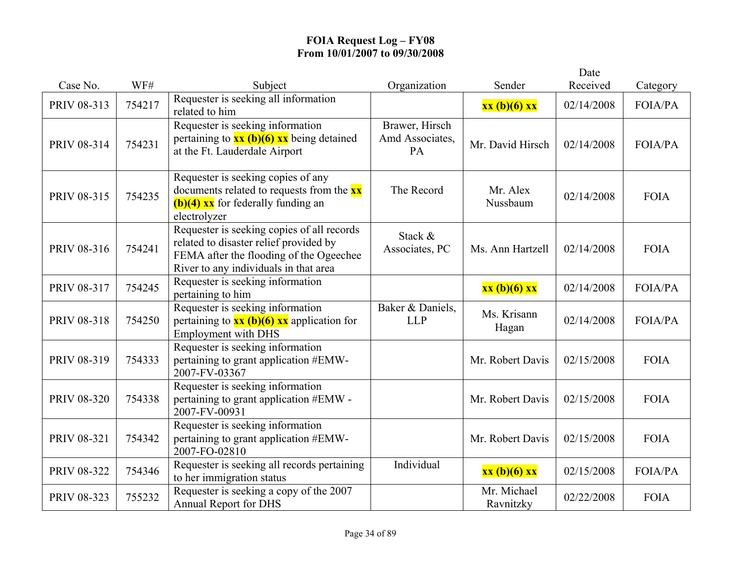|                    |        |                                                                                                                                                                          |                                         |                          | Date       |                |
|--------------------|--------|--------------------------------------------------------------------------------------------------------------------------------------------------------------------------|-----------------------------------------|--------------------------|------------|----------------|
| Case No.           | WF#    | Subject                                                                                                                                                                  | Organization                            | Sender                   | Received   | Category       |
| PRIV 08-313        | 754217 | Requester is seeking all information<br>related to him                                                                                                                   |                                         | xx (b)(6) xx             | 02/14/2008 | <b>FOIA/PA</b> |
| PRIV 08-314        | 754231 | Requester is seeking information<br>pertaining to $\frac{xx(b)(6)}{x}x$ being detained<br>at the Ft. Lauderdale Airport                                                  | Brawer, Hirsch<br>Amd Associates,<br>PA | Mr. David Hirsch         | 02/14/2008 | <b>FOIA/PA</b> |
| PRIV 08-315        | 754235 | Requester is seeking copies of any<br>documents related to requests from the <b>xx</b><br>$(b)(4)$ xx for federally funding an<br>electrolyzer                           | The Record                              | Mr. Alex<br>Nussbaum     | 02/14/2008 | <b>FOIA</b>    |
| PRIV 08-316        | 754241 | Requester is seeking copies of all records<br>related to disaster relief provided by<br>FEMA after the flooding of the Ogeechee<br>River to any individuals in that area | Stack &<br>Associates, PC               | Ms. Ann Hartzell         | 02/14/2008 | <b>FOIA</b>    |
| PRIV 08-317        | 754245 | Requester is seeking information<br>pertaining to him                                                                                                                    |                                         | xx (b)(6) xx             | 02/14/2008 | <b>FOIA/PA</b> |
| PRIV 08-318        | 754250 | Requester is seeking information<br>pertaining to $\frac{xx(b)(6)}{x} \cdot \frac{x}{x}$ application for<br><b>Employment with DHS</b>                                   | Baker & Daniels,<br><b>LLP</b>          | Ms. Krisann<br>Hagan     | 02/14/2008 | <b>FOIA/PA</b> |
| PRIV 08-319        | 754333 | Requester is seeking information<br>pertaining to grant application #EMW-<br>2007-FV-03367                                                                               |                                         | Mr. Robert Davis         | 02/15/2008 | <b>FOIA</b>    |
| <b>PRIV 08-320</b> | 754338 | Requester is seeking information<br>pertaining to grant application #EMW -<br>2007-FV-00931                                                                              |                                         | Mr. Robert Davis         | 02/15/2008 | <b>FOIA</b>    |
| PRIV 08-321        | 754342 | Requester is seeking information<br>pertaining to grant application #EMW-<br>2007-FO-02810                                                                               |                                         | Mr. Robert Davis         | 02/15/2008 | <b>FOIA</b>    |
| PRIV 08-322        | 754346 | Requester is seeking all records pertaining<br>to her immigration status                                                                                                 | Individual                              | xx (b)(6) xx             | 02/15/2008 | <b>FOIA/PA</b> |
| PRIV 08-323        | 755232 | Requester is seeking a copy of the 2007<br><b>Annual Report for DHS</b>                                                                                                  |                                         | Mr. Michael<br>Ravnitzky | 02/22/2008 | <b>FOIA</b>    |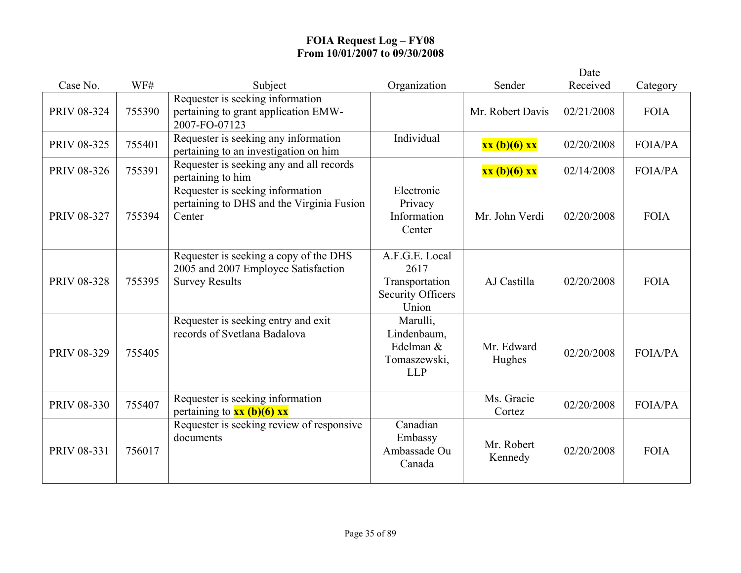|             |        |                                                                                                        |                                                                               |                       | Date       |                |
|-------------|--------|--------------------------------------------------------------------------------------------------------|-------------------------------------------------------------------------------|-----------------------|------------|----------------|
| Case No.    | WF#    | Subject                                                                                                | Organization                                                                  | Sender                | Received   | Category       |
| PRIV 08-324 | 755390 | Requester is seeking information<br>pertaining to grant application EMW-<br>2007-FO-07123              |                                                                               | Mr. Robert Davis      | 02/21/2008 | <b>FOIA</b>    |
| PRIV 08-325 | 755401 | Requester is seeking any information<br>pertaining to an investigation on him                          | Individual                                                                    | xx (b)(6) xx          | 02/20/2008 | FOIA/PA        |
| PRIV 08-326 | 755391 | Requester is seeking any and all records<br>pertaining to him                                          |                                                                               | xx (b)(6) xx          | 02/14/2008 | <b>FOIA/PA</b> |
| PRIV 08-327 | 755394 | Requester is seeking information<br>pertaining to DHS and the Virginia Fusion<br>Center                | Electronic<br>Privacy<br>Information<br>Center                                | Mr. John Verdi        | 02/20/2008 | <b>FOIA</b>    |
| PRIV 08-328 | 755395 | Requester is seeking a copy of the DHS<br>2005 and 2007 Employee Satisfaction<br><b>Survey Results</b> | A.F.G.E. Local<br>2617<br>Transportation<br><b>Security Officers</b><br>Union | AJ Castilla           | 02/20/2008 | <b>FOIA</b>    |
| PRIV 08-329 | 755405 | Requester is seeking entry and exit<br>records of Svetlana Badalova                                    | Marulli,<br>Lindenbaum,<br>Edelman &<br>Tomaszewski,<br><b>LLP</b>            | Mr. Edward<br>Hughes  | 02/20/2008 | <b>FOIA/PA</b> |
| PRIV 08-330 | 755407 | Requester is seeking information<br>pertaining to $xx$ (b)(6) $xx$                                     |                                                                               | Ms. Gracie<br>Cortez  | 02/20/2008 | <b>FOIA/PA</b> |
| PRIV 08-331 | 756017 | Requester is seeking review of responsive<br>documents                                                 | Canadian<br>Embassy<br>Ambassade Ou<br>Canada                                 | Mr. Robert<br>Kennedy | 02/20/2008 | <b>FOIA</b>    |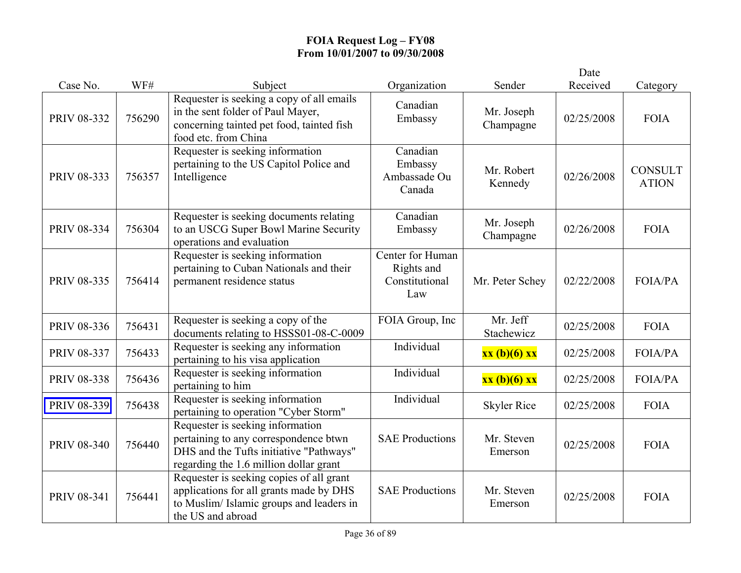|                    |        |                                                                                                                                                                |                                                         |                         | Date       |                                |
|--------------------|--------|----------------------------------------------------------------------------------------------------------------------------------------------------------------|---------------------------------------------------------|-------------------------|------------|--------------------------------|
| Case No.           | WF#    | Subject                                                                                                                                                        | Organization                                            | Sender                  | Received   | Category                       |
| PRIV 08-332        | 756290 | Requester is seeking a copy of all emails<br>in the sent folder of Paul Mayer,<br>concerning tainted pet food, tainted fish<br>food etc. from China            | Canadian<br>Embassy                                     | Mr. Joseph<br>Champagne | 02/25/2008 | <b>FOIA</b>                    |
| PRIV 08-333        | 756357 | Requester is seeking information<br>pertaining to the US Capitol Police and<br>Intelligence                                                                    | Canadian<br>Embassy<br>Ambassade Ou<br>Canada           | Mr. Robert<br>Kennedy   | 02/26/2008 | <b>CONSULT</b><br><b>ATION</b> |
| PRIV 08-334        | 756304 | Requester is seeking documents relating<br>to an USCG Super Bowl Marine Security<br>operations and evaluation                                                  | Canadian<br>Embassy                                     | Mr. Joseph<br>Champagne | 02/26/2008 | <b>FOIA</b>                    |
| PRIV 08-335        | 756414 | Requester is seeking information<br>pertaining to Cuban Nationals and their<br>permanent residence status                                                      | Center for Human<br>Rights and<br>Constitutional<br>Law | Mr. Peter Schey         | 02/22/2008 | <b>FOIA/PA</b>                 |
| PRIV 08-336        | 756431 | Requester is seeking a copy of the<br>documents relating to HSSS01-08-C-0009                                                                                   | FOIA Group, Inc                                         | Mr. Jeff<br>Stachewicz  | 02/25/2008 | <b>FOIA</b>                    |
| PRIV 08-337        | 756433 | Requester is seeking any information<br>pertaining to his visa application                                                                                     | Individual                                              | xx (b)(6) xx            | 02/25/2008 | <b>FOIA/PA</b>                 |
| PRIV 08-338        | 756436 | Requester is seeking information<br>pertaining to him                                                                                                          | Individual                                              | xx (b)(6) xx            | 02/25/2008 | <b>FOIA/PA</b>                 |
| PRIV 08-339        | 756438 | Requester is seeking information<br>pertaining to operation "Cyber Storm"                                                                                      | Individual                                              | <b>Skyler Rice</b>      | 02/25/2008 | <b>FOIA</b>                    |
| <b>PRIV 08-340</b> | 756440 | Requester is seeking information<br>pertaining to any correspondence btwn<br>DHS and the Tufts initiative "Pathways"<br>regarding the 1.6 million dollar grant | <b>SAE Productions</b>                                  | Mr. Steven<br>Emerson   | 02/25/2008 | <b>FOIA</b>                    |
| PRIV 08-341        | 756441 | Requester is seeking copies of all grant<br>applications for all grants made by DHS<br>to Muslim/Islamic groups and leaders in<br>the US and abroad            | <b>SAE Productions</b>                                  | Mr. Steven<br>Emerson   | 02/25/2008 | <b>FOIA</b>                    |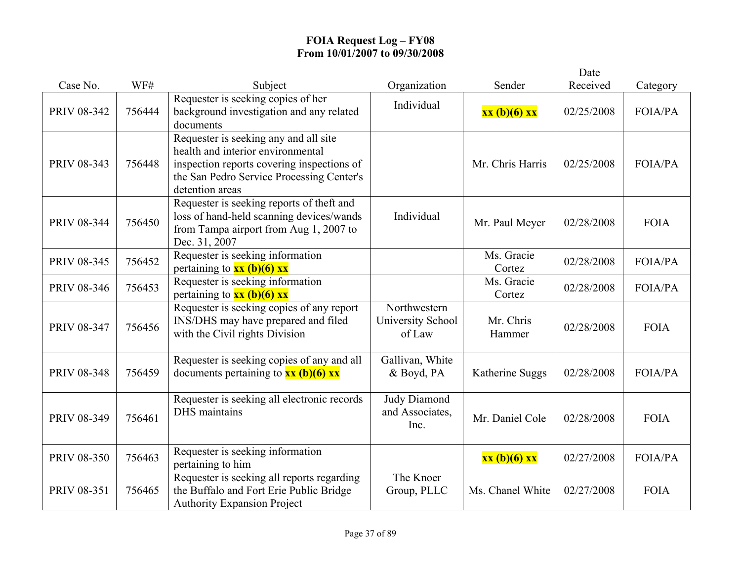|                    |        |                                                                                                                                                                                          |                                             |                      | Date       |                |
|--------------------|--------|------------------------------------------------------------------------------------------------------------------------------------------------------------------------------------------|---------------------------------------------|----------------------|------------|----------------|
| Case No.           | WF#    | Subject                                                                                                                                                                                  | Organization                                | Sender               | Received   | Category       |
| PRIV 08-342        | 756444 | Requester is seeking copies of her<br>background investigation and any related<br>documents                                                                                              | Individual                                  | xx (b)(6) xx         | 02/25/2008 | <b>FOIA/PA</b> |
| PRIV 08-343        | 756448 | Requester is seeking any and all site<br>health and interior environmental<br>inspection reports covering inspections of<br>the San Pedro Service Processing Center's<br>detention areas |                                             | Mr. Chris Harris     | 02/25/2008 | <b>FOIA/PA</b> |
| PRIV 08-344        | 756450 | Requester is seeking reports of theft and<br>loss of hand-held scanning devices/wands<br>from Tampa airport from Aug 1, 2007 to<br>Dec. 31, 2007                                         | Individual                                  | Mr. Paul Meyer       | 02/28/2008 | <b>FOIA</b>    |
| PRIV 08-345        | 756452 | Requester is seeking information<br>pertaining to $\frac{xx}{b}(6)$ xx                                                                                                                   |                                             | Ms. Gracie<br>Cortez | 02/28/2008 | <b>FOIA/PA</b> |
| PRIV 08-346        | 756453 | Requester is seeking information<br>pertaining to $xx$ (b)(6) xx                                                                                                                         |                                             | Ms. Gracie<br>Cortez | 02/28/2008 | <b>FOIA/PA</b> |
| PRIV 08-347        | 756456 | Requester is seeking copies of any report<br>INS/DHS may have prepared and filed<br>with the Civil rights Division                                                                       | Northwestern<br>University School<br>of Law | Mr. Chris<br>Hammer  | 02/28/2008 | <b>FOIA</b>    |
| <b>PRIV 08-348</b> | 756459 | Requester is seeking copies of any and all<br>documents pertaining to $xx$ (b)(6) xx                                                                                                     | Gallivan, White<br>& Boyd, PA               | Katherine Suggs      | 02/28/2008 | <b>FOIA/PA</b> |
| PRIV 08-349        | 756461 | Requester is seeking all electronic records<br>DHS maintains                                                                                                                             | Judy Diamond<br>and Associates,<br>Inc.     | Mr. Daniel Cole      | 02/28/2008 | <b>FOIA</b>    |
| PRIV 08-350        | 756463 | Requester is seeking information<br>pertaining to him                                                                                                                                    |                                             | xx (b)(6) xx         | 02/27/2008 | FOIA/PA        |
| PRIV 08-351        | 756465 | Requester is seeking all reports regarding<br>the Buffalo and Fort Erie Public Bridge<br><b>Authority Expansion Project</b>                                                              | The Knoer<br>Group, PLLC                    | Ms. Chanel White     | 02/27/2008 | <b>FOIA</b>    |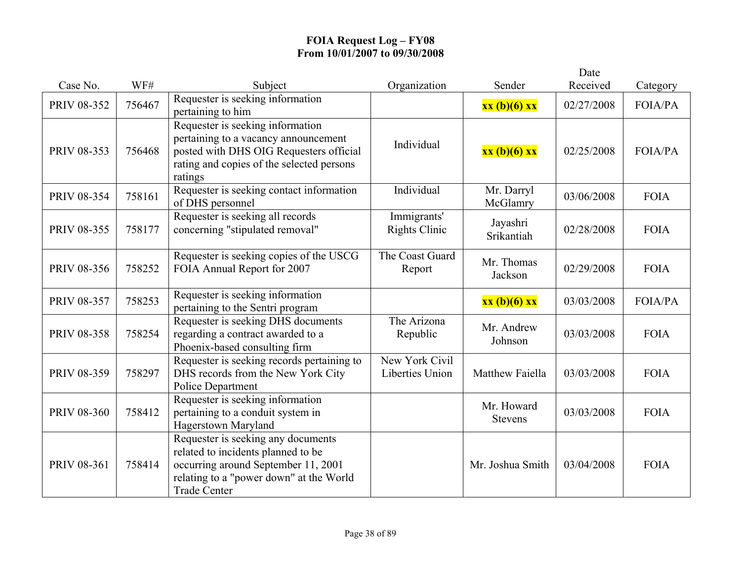|             |        |                                                                                                                                                                                   |                                          |                              | Date       |                |
|-------------|--------|-----------------------------------------------------------------------------------------------------------------------------------------------------------------------------------|------------------------------------------|------------------------------|------------|----------------|
| Case No.    | WF#    | Subject                                                                                                                                                                           | Organization                             | Sender                       | Received   | Category       |
| PRIV 08-352 | 756467 | Requester is seeking information<br>pertaining to him                                                                                                                             |                                          | xx (b)(6) xx                 | 02/27/2008 | FOIA/PA        |
| PRIV 08-353 | 756468 | Requester is seeking information<br>pertaining to a vacancy announcement<br>posted with DHS OIG Requesters official<br>rating and copies of the selected persons<br>ratings       | Individual                               | xx (b)(6) xx                 | 02/25/2008 | <b>FOIA/PA</b> |
| PRIV 08-354 | 758161 | Requester is seeking contact information<br>of DHS personnel                                                                                                                      | Individual                               | Mr. Darryl<br>McGlamry       | 03/06/2008 | <b>FOIA</b>    |
| PRIV 08-355 | 758177 | Requester is seeking all records<br>concerning "stipulated removal"                                                                                                               | Immigrants'<br><b>Rights Clinic</b>      | Jayashri<br>Srikantiah       | 02/28/2008 | <b>FOIA</b>    |
| PRIV 08-356 | 758252 | Requester is seeking copies of the USCG<br>FOIA Annual Report for 2007                                                                                                            | The Coast Guard<br>Report                | Mr. Thomas<br>Jackson        | 02/29/2008 | <b>FOIA</b>    |
| PRIV 08-357 | 758253 | Requester is seeking information<br>pertaining to the Sentri program                                                                                                              |                                          | xx (b)(6) xx                 | 03/03/2008 | <b>FOIA/PA</b> |
| PRIV 08-358 | 758254 | Requester is seeking DHS documents<br>regarding a contract awarded to a<br>Phoenix-based consulting firm                                                                          | The Arizona<br>Republic                  | Mr. Andrew<br>Johnson        | 03/03/2008 | <b>FOIA</b>    |
| PRIV 08-359 | 758297 | Requester is seeking records pertaining to<br>DHS records from the New York City<br>Police Department                                                                             | New York Civil<br><b>Liberties Union</b> | Matthew Faiella              | 03/03/2008 | <b>FOIA</b>    |
| PRIV 08-360 | 758412 | Requester is seeking information<br>pertaining to a conduit system in<br>Hagerstown Maryland                                                                                      |                                          | Mr. Howard<br><b>Stevens</b> | 03/03/2008 | <b>FOIA</b>    |
| PRIV 08-361 | 758414 | Requester is seeking any documents<br>related to incidents planned to be<br>occurring around September 11, 2001<br>relating to a "power down" at the World<br><b>Trade Center</b> |                                          | Mr. Joshua Smith             | 03/04/2008 | <b>FOIA</b>    |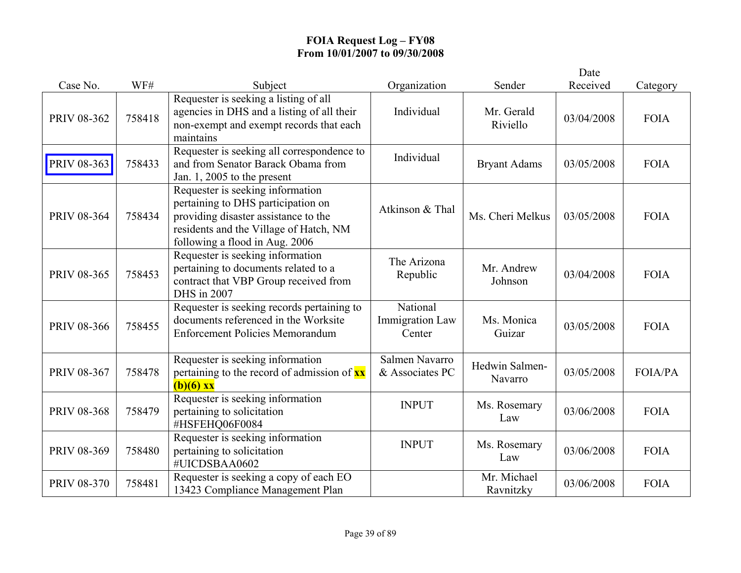|                    |        |                                                                                                                                                                                            |                                              |                           | Date       |                |
|--------------------|--------|--------------------------------------------------------------------------------------------------------------------------------------------------------------------------------------------|----------------------------------------------|---------------------------|------------|----------------|
| Case No.           | WF#    | Subject                                                                                                                                                                                    | Organization                                 | Sender                    | Received   | Category       |
| PRIV 08-362        | 758418 | Requester is seeking a listing of all<br>agencies in DHS and a listing of all their<br>non-exempt and exempt records that each<br>maintains                                                | Individual                                   | Mr. Gerald<br>Riviello    | 03/04/2008 | <b>FOIA</b>    |
| PRIV 08-363        | 758433 | Requester is seeking all correspondence to<br>and from Senator Barack Obama from<br>Jan. 1, 2005 to the present                                                                            | Individual                                   | <b>Bryant Adams</b>       | 03/05/2008 | <b>FOIA</b>    |
| PRIV 08-364        | 758434 | Requester is seeking information<br>pertaining to DHS participation on<br>providing disaster assistance to the<br>residents and the Village of Hatch, NM<br>following a flood in Aug. 2006 | Atkinson & Thal                              | Ms. Cheri Melkus          | 03/05/2008 | <b>FOIA</b>    |
| PRIV 08-365        | 758453 | Requester is seeking information<br>pertaining to documents related to a<br>contract that VBP Group received from<br>DHS in 2007                                                           | The Arizona<br>Republic                      | Mr. Andrew<br>Johnson     | 03/04/2008 | <b>FOIA</b>    |
| <b>PRIV 08-366</b> | 758455 | Requester is seeking records pertaining to<br>documents referenced in the Worksite<br><b>Enforcement Policies Memorandum</b>                                                               | National<br><b>Immigration Law</b><br>Center | Ms. Monica<br>Guizar      | 03/05/2008 | <b>FOIA</b>    |
| PRIV 08-367        | 758478 | Requester is seeking information<br>pertaining to the record of admission of $\mathbf{x} \mathbf{x}$<br>$(b)(6)$ xx                                                                        | Salmen Navarro<br>& Associates PC            | Hedwin Salmen-<br>Navarro | 03/05/2008 | <b>FOIA/PA</b> |
| <b>PRIV 08-368</b> | 758479 | Requester is seeking information<br>pertaining to solicitation<br>#HSFEHQ06F0084                                                                                                           | <b>INPUT</b>                                 | Ms. Rosemary<br>Law       | 03/06/2008 | <b>FOIA</b>    |
| PRIV 08-369        | 758480 | Requester is seeking information<br>pertaining to solicitation<br>#UICDSBAA0602                                                                                                            | <b>INPUT</b>                                 | Ms. Rosemary<br>Law       | 03/06/2008 | <b>FOIA</b>    |
| PRIV 08-370        | 758481 | Requester is seeking a copy of each EO<br>13423 Compliance Management Plan                                                                                                                 |                                              | Mr. Michael<br>Ravnitzky  | 03/06/2008 | <b>FOIA</b>    |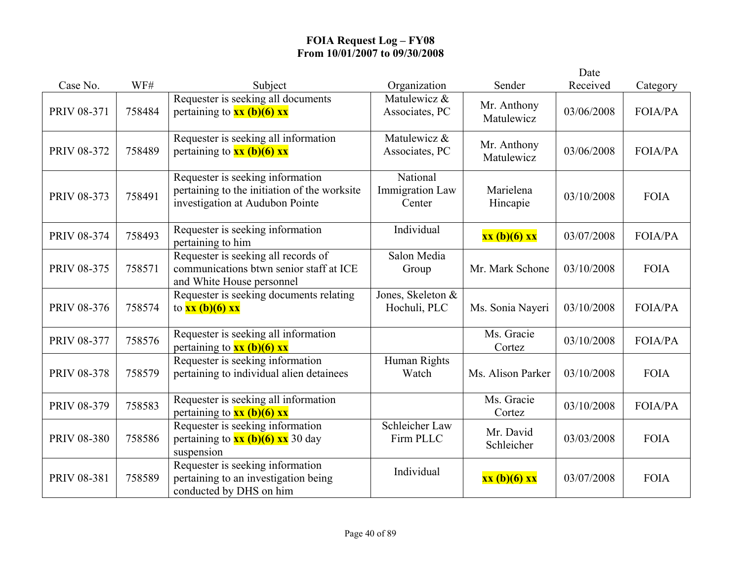|                    |        |                                                                                                                     |                                              |                           | Date       |                |
|--------------------|--------|---------------------------------------------------------------------------------------------------------------------|----------------------------------------------|---------------------------|------------|----------------|
| Case No.           | WF#    | Subject                                                                                                             | Organization                                 | Sender                    | Received   | Category       |
| PRIV 08-371        | 758484 | Requester is seeking all documents<br>pertaining to $xx$ (b)(6) xx                                                  | Matulewicz &<br>Associates, PC               | Mr. Anthony<br>Matulewicz | 03/06/2008 | FOIA/PA        |
| PRIV 08-372        | 758489 | Requester is seeking all information<br>pertaining to $xx (b)(6) xx$                                                | Matulewicz &<br>Associates, PC               | Mr. Anthony<br>Matulewicz | 03/06/2008 | <b>FOIA/PA</b> |
| PRIV 08-373        | 758491 | Requester is seeking information<br>pertaining to the initiation of the worksite<br>investigation at Audubon Pointe | National<br><b>Immigration Law</b><br>Center | Marielena<br>Hincapie     | 03/10/2008 | <b>FOIA</b>    |
| PRIV 08-374        | 758493 | Requester is seeking information<br>pertaining to him                                                               | Individual                                   | xx (b)(6) xx              | 03/07/2008 | <b>FOIA/PA</b> |
| PRIV 08-375        | 758571 | Requester is seeking all records of<br>communications btwn senior staff at ICE<br>and White House personnel         | Salon Media<br>Group                         | Mr. Mark Schone           | 03/10/2008 | <b>FOIA</b>    |
| PRIV 08-376        | 758574 | Requester is seeking documents relating<br>to $xx$ (b)(6) $xx$                                                      | Jones, Skeleton &<br>Hochuli, PLC            | Ms. Sonia Nayeri          | 03/10/2008 | FOIA/PA        |
| <b>PRIV 08-377</b> | 758576 | Requester is seeking all information<br>pertaining to $xx$ (b)(6) xx                                                |                                              | Ms. Gracie<br>Cortez      | 03/10/2008 | <b>FOIA/PA</b> |
| PRIV 08-378        | 758579 | Requester is seeking information<br>pertaining to individual alien detainees                                        | Human Rights<br>Watch                        | Ms. Alison Parker         | 03/10/2008 | <b>FOIA</b>    |
| PRIV 08-379        | 758583 | Requester is seeking all information<br>pertaining to $xx$ (b)(6) $xx$                                              |                                              | Ms. Gracie<br>Cortez      | 03/10/2008 | <b>FOIA/PA</b> |
| <b>PRIV 08-380</b> | 758586 | Requester is seeking information<br>pertaining to $\frac{xx(b)(6)xx}{x}$ 30 day<br>suspension                       | Schleicher Law<br>Firm PLLC                  | Mr. David<br>Schleicher   | 03/03/2008 | <b>FOIA</b>    |
| PRIV 08-381        | 758589 | Requester is seeking information<br>pertaining to an investigation being<br>conducted by DHS on him                 | Individual                                   | xx (b)(6) xx              | 03/07/2008 | <b>FOIA</b>    |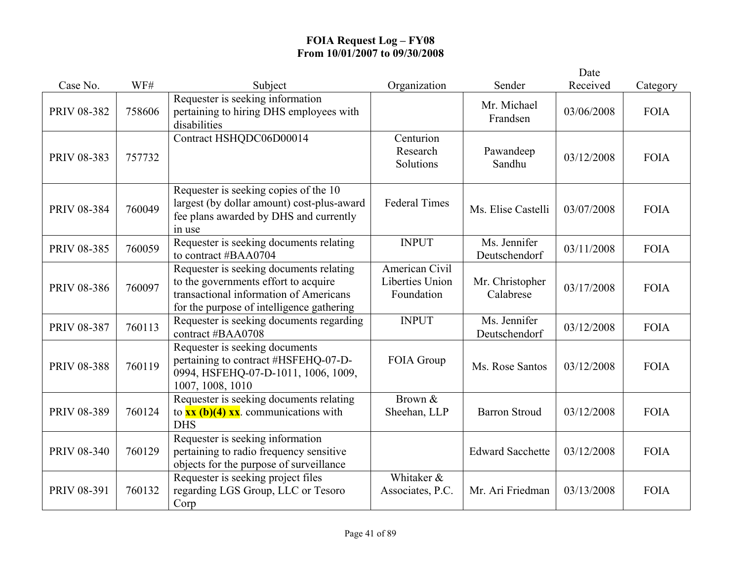|                    |        |                                                                                                                                                                        |                                                        |                               | Date       |             |
|--------------------|--------|------------------------------------------------------------------------------------------------------------------------------------------------------------------------|--------------------------------------------------------|-------------------------------|------------|-------------|
| Case No.           | WF#    | Subject                                                                                                                                                                | Organization                                           | Sender                        | Received   | Category    |
| PRIV 08-382        | 758606 | Requester is seeking information<br>pertaining to hiring DHS employees with<br>disabilities                                                                            |                                                        | Mr. Michael<br>Frandsen       | 03/06/2008 | <b>FOIA</b> |
| PRIV 08-383        | 757732 | Contract HSHQDC06D00014                                                                                                                                                | Centurion<br>Research<br>Solutions                     | Pawandeep<br>Sandhu           | 03/12/2008 | <b>FOIA</b> |
| PRIV 08-384        | 760049 | Requester is seeking copies of the 10<br>largest (by dollar amount) cost-plus-award<br>fee plans awarded by DHS and currently<br>in use                                | <b>Federal Times</b>                                   | Ms. Elise Castelli            | 03/07/2008 | <b>FOIA</b> |
| PRIV 08-385        | 760059 | Requester is seeking documents relating<br>to contract #BAA0704                                                                                                        | <b>INPUT</b>                                           | Ms. Jennifer<br>Deutschendorf | 03/11/2008 | <b>FOIA</b> |
| <b>PRIV 08-386</b> | 760097 | Requester is seeking documents relating<br>to the governments effort to acquire<br>transactional information of Americans<br>for the purpose of intelligence gathering | American Civil<br><b>Liberties Union</b><br>Foundation | Mr. Christopher<br>Calabrese  | 03/17/2008 | <b>FOIA</b> |
| PRIV 08-387        | 760113 | Requester is seeking documents regarding<br>contract #BAA0708                                                                                                          | <b>INPUT</b>                                           | Ms. Jennifer<br>Deutschendorf | 03/12/2008 | <b>FOIA</b> |
| <b>PRIV 08-388</b> | 760119 | Requester is seeking documents<br>pertaining to contract #HSFEHQ-07-D-<br>0994, HSFEHQ-07-D-1011, 1006, 1009,<br>1007, 1008, 1010                                      | FOIA Group                                             | Ms. Rose Santos               | 03/12/2008 | <b>FOIA</b> |
| PRIV 08-389        | 760124 | Requester is seeking documents relating<br>to $\overline{\mathbf{x}\mathbf{x}(\mathbf{b})(4) \mathbf{x}\mathbf{x}}$ . communications with<br><b>DHS</b>                | Brown &<br>Sheehan, LLP                                | <b>Barron Stroud</b>          | 03/12/2008 | <b>FOIA</b> |
| <b>PRIV 08-340</b> | 760129 | Requester is seeking information<br>pertaining to radio frequency sensitive<br>objects for the purpose of surveillance                                                 |                                                        | <b>Edward Sacchette</b>       | 03/12/2008 | <b>FOIA</b> |
| PRIV 08-391        | 760132 | Requester is seeking project files<br>regarding LGS Group, LLC or Tesoro<br>Corp                                                                                       | Whitaker &<br>Associates, P.C.                         | Mr. Ari Friedman              | 03/13/2008 | <b>FOIA</b> |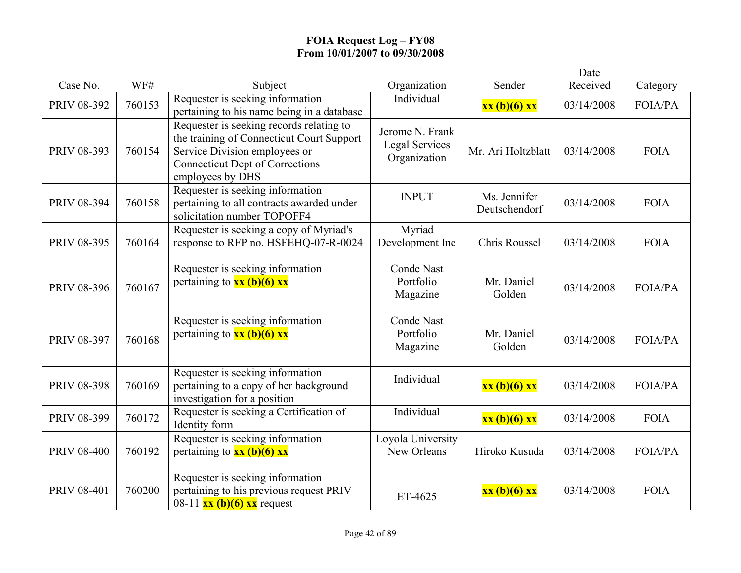|                    |        |                                                                                                                                                                                      |                                                          |                               | Date       |                |
|--------------------|--------|--------------------------------------------------------------------------------------------------------------------------------------------------------------------------------------|----------------------------------------------------------|-------------------------------|------------|----------------|
| Case No.           | WF#    | Subject                                                                                                                                                                              | Organization                                             | Sender                        | Received   | Category       |
| PRIV 08-392        | 760153 | Requester is seeking information<br>pertaining to his name being in a database                                                                                                       | Individual                                               | xx (b)(6) xx                  | 03/14/2008 | FOIA/PA        |
| PRIV 08-393        | 760154 | Requester is seeking records relating to<br>the training of Connecticut Court Support<br>Service Division employees or<br><b>Connecticut Dept of Corrections</b><br>employees by DHS | Jerome N. Frank<br><b>Legal Services</b><br>Organization | Mr. Ari Holtzblatt            | 03/14/2008 | <b>FOIA</b>    |
| PRIV 08-394        | 760158 | Requester is seeking information<br>pertaining to all contracts awarded under<br>solicitation number TOPOFF4                                                                         | <b>INPUT</b>                                             | Ms. Jennifer<br>Deutschendorf | 03/14/2008 | <b>FOIA</b>    |
| PRIV 08-395        | 760164 | Requester is seeking a copy of Myriad's<br>response to RFP no. HSFEHQ-07-R-0024                                                                                                      | Myriad<br>Development Inc                                | Chris Roussel                 | 03/14/2008 | <b>FOIA</b>    |
| PRIV 08-396        | 760167 | Requester is seeking information<br>pertaining to $xx$ (b)(6) $xx$                                                                                                                   | <b>Conde Nast</b><br>Portfolio<br>Magazine               | Mr. Daniel<br>Golden          | 03/14/2008 | <b>FOIA/PA</b> |
| PRIV 08-397        | 760168 | Requester is seeking information<br>pertaining to $xx$ (b)(6) $xx$                                                                                                                   | <b>Conde Nast</b><br>Portfolio<br>Magazine               | Mr. Daniel<br>Golden          | 03/14/2008 | <b>FOIA/PA</b> |
| PRIV 08-398        | 760169 | Requester is seeking information<br>pertaining to a copy of her background<br>investigation for a position                                                                           | Individual                                               | xx (b)(6) xx                  | 03/14/2008 | <b>FOIA/PA</b> |
| PRIV 08-399        | 760172 | Requester is seeking a Certification of<br>Identity form                                                                                                                             | Individual                                               | xx (b)(6) xx                  | 03/14/2008 | <b>FOIA</b>    |
| <b>PRIV 08-400</b> | 760192 | Requester is seeking information<br>pertaining to $xx (b)(6) xx$                                                                                                                     | Loyola University<br>New Orleans                         | Hiroko Kusuda                 | 03/14/2008 | <b>FOIA/PA</b> |
| <b>PRIV 08-401</b> | 760200 | Requester is seeking information<br>pertaining to his previous request PRIV<br>08-11 $\overline{\text{xx (b)(6) xx}}$ request                                                        | ET-4625                                                  | xx (b)(6) xx                  | 03/14/2008 | <b>FOIA</b>    |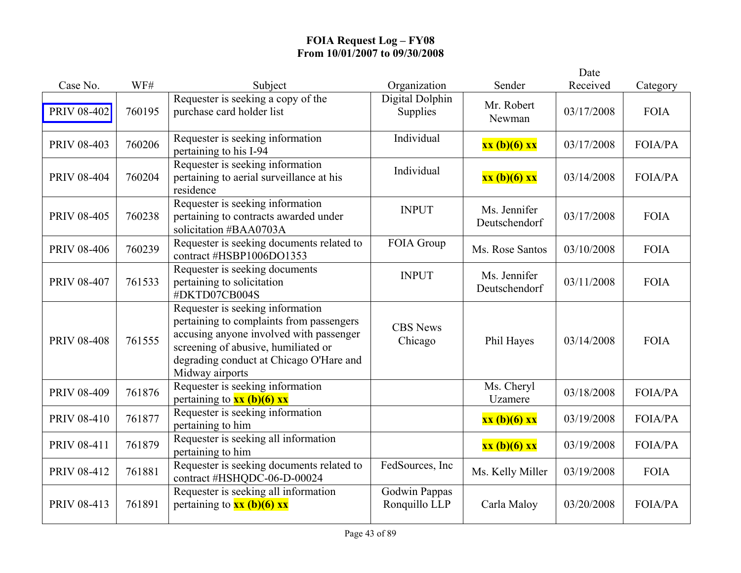|                    |        |                                                                                                                                                                                                                              |                                |                               | Date       |                |
|--------------------|--------|------------------------------------------------------------------------------------------------------------------------------------------------------------------------------------------------------------------------------|--------------------------------|-------------------------------|------------|----------------|
| Case No.           | WF#    | Subject                                                                                                                                                                                                                      | Organization                   | Sender                        | Received   | Category       |
| <b>PRIV 08-402</b> | 760195 | Requester is seeking a copy of the<br>purchase card holder list                                                                                                                                                              | Digital Dolphin<br>Supplies    | Mr. Robert<br>Newman          | 03/17/2008 | <b>FOIA</b>    |
| PRIV 08-403        | 760206 | Requester is seeking information<br>pertaining to his I-94                                                                                                                                                                   | Individual                     | xx (b)(6) xx                  | 03/17/2008 | <b>FOIA/PA</b> |
| <b>PRIV 08-404</b> | 760204 | Requester is seeking information<br>pertaining to aerial surveillance at his<br>residence                                                                                                                                    | Individual                     | xx (b)(6) xx                  | 03/14/2008 | <b>FOIA/PA</b> |
| <b>PRIV 08-405</b> | 760238 | Requester is seeking information<br>pertaining to contracts awarded under<br>solicitation #BAA0703A                                                                                                                          | <b>INPUT</b>                   | Ms. Jennifer<br>Deutschendorf | 03/17/2008 | <b>FOIA</b>    |
| PRIV 08-406        | 760239 | Requester is seeking documents related to<br>contract #HSBP1006DO1353                                                                                                                                                        | FOIA Group                     | Ms. Rose Santos               | 03/10/2008 | <b>FOIA</b>    |
| <b>PRIV 08-407</b> | 761533 | Requester is seeking documents<br>pertaining to solicitation<br>#DKTD07CB004S                                                                                                                                                | <b>INPUT</b>                   | Ms. Jennifer<br>Deutschendorf | 03/11/2008 | <b>FOIA</b>    |
| <b>PRIV 08-408</b> | 761555 | Requester is seeking information<br>pertaining to complaints from passengers<br>accusing anyone involved with passenger<br>screening of abusive, humiliated or<br>degrading conduct at Chicago O'Hare and<br>Midway airports | <b>CBS</b> News<br>Chicago     | Phil Hayes                    | 03/14/2008 | <b>FOIA</b>    |
| PRIV 08-409        | 761876 | Requester is seeking information<br>pertaining to $xx$ (b)(6) $xx$                                                                                                                                                           |                                | Ms. Cheryl<br>Uzamere         | 03/18/2008 | <b>FOIA/PA</b> |
| <b>PRIV 08-410</b> | 761877 | Requester is seeking information<br>pertaining to him                                                                                                                                                                        |                                | xx (b)(6) xx                  | 03/19/2008 | <b>FOIA/PA</b> |
| PRIV 08-411        | 761879 | Requester is seeking all information<br>pertaining to him                                                                                                                                                                    |                                | xx (b)(6) xx                  | 03/19/2008 | <b>FOIA/PA</b> |
| <b>PRIV 08-412</b> | 761881 | Requester is seeking documents related to<br>contract #HSHQDC-06-D-00024                                                                                                                                                     | FedSources, Inc                | Ms. Kelly Miller              | 03/19/2008 | <b>FOIA</b>    |
| PRIV 08-413        | 761891 | Requester is seeking all information<br>pertaining to $xx$ (b)(6) xx                                                                                                                                                         | Godwin Pappas<br>Ronquillo LLP | Carla Maloy                   | 03/20/2008 | <b>FOIA/PA</b> |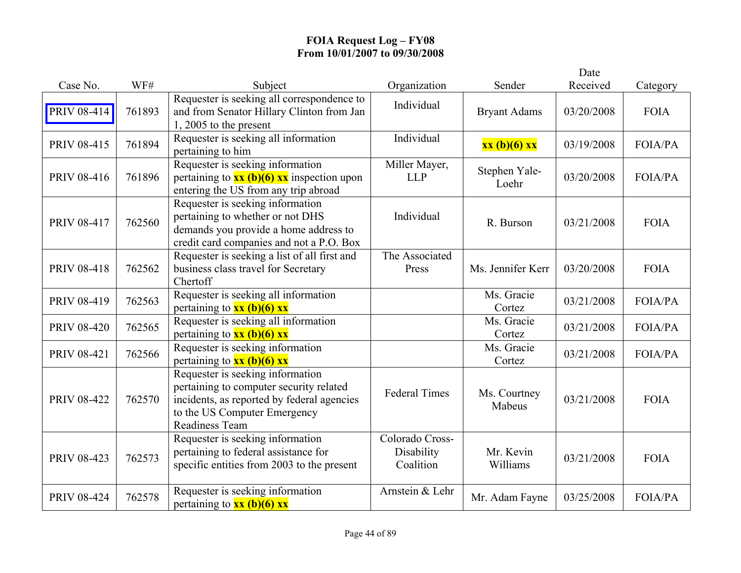|                    |        |                                                                                                                                                                             |                                            |                        | Date       |                |
|--------------------|--------|-----------------------------------------------------------------------------------------------------------------------------------------------------------------------------|--------------------------------------------|------------------------|------------|----------------|
| Case No.           | WF#    | Subject                                                                                                                                                                     | Organization                               | Sender                 | Received   | Category       |
| PRIV 08-414        | 761893 | Requester is seeking all correspondence to<br>and from Senator Hillary Clinton from Jan<br>1, 2005 to the present                                                           | Individual                                 | <b>Bryant Adams</b>    | 03/20/2008 | <b>FOIA</b>    |
| <b>PRIV 08-415</b> | 761894 | Requester is seeking all information<br>pertaining to him                                                                                                                   | Individual                                 | xx (b)(6) xx           | 03/19/2008 | <b>FOIA/PA</b> |
| PRIV 08-416        | 761896 | Requester is seeking information<br>pertaining to $\mathbf{xx}$ (b)(6) $\mathbf{xx}$ inspection upon<br>entering the US from any trip abroad                                | Miller Mayer,<br><b>LLP</b>                | Stephen Yale-<br>Loehr | 03/20/2008 | <b>FOIA/PA</b> |
| PRIV 08-417        | 762560 | Requester is seeking information<br>pertaining to whether or not DHS<br>demands you provide a home address to<br>credit card companies and not a P.O. Box                   | Individual                                 | R. Burson              | 03/21/2008 | <b>FOIA</b>    |
| <b>PRIV 08-418</b> | 762562 | Requester is seeking a list of all first and<br>business class travel for Secretary<br>Chertoff                                                                             | The Associated<br>Press                    | Ms. Jennifer Kerr      | 03/20/2008 | <b>FOIA</b>    |
| PRIV 08-419        | 762563 | Requester is seeking all information<br>pertaining to $xx$ (b)(6) xx                                                                                                        |                                            | Ms. Gracie<br>Cortez   | 03/21/2008 | <b>FOIA/PA</b> |
| <b>PRIV 08-420</b> | 762565 | Requester is seeking all information<br>pertaining to $xx$ (b)(6) $xx$                                                                                                      |                                            | Ms. Gracie<br>Cortez   | 03/21/2008 | FOIA/PA        |
| PRIV 08-421        | 762566 | Requester is seeking information<br>pertaining to $xx$ (b)(6) $xx$                                                                                                          |                                            | Ms. Gracie<br>Cortez   | 03/21/2008 | <b>FOIA/PA</b> |
| <b>PRIV 08-422</b> | 762570 | Requester is seeking information<br>pertaining to computer security related<br>incidents, as reported by federal agencies<br>to the US Computer Emergency<br>Readiness Team | <b>Federal Times</b>                       | Ms. Courtney<br>Mabeus | 03/21/2008 | <b>FOIA</b>    |
| PRIV 08-423        | 762573 | Requester is seeking information<br>pertaining to federal assistance for<br>specific entities from 2003 to the present                                                      | Colorado Cross-<br>Disability<br>Coalition | Mr. Kevin<br>Williams  | 03/21/2008 | <b>FOIA</b>    |
| <b>PRIV 08-424</b> | 762578 | Requester is seeking information<br>pertaining to $xx$ (b)(6) xx                                                                                                            | Arnstein & Lehr                            | Mr. Adam Fayne         | 03/25/2008 | <b>FOIA/PA</b> |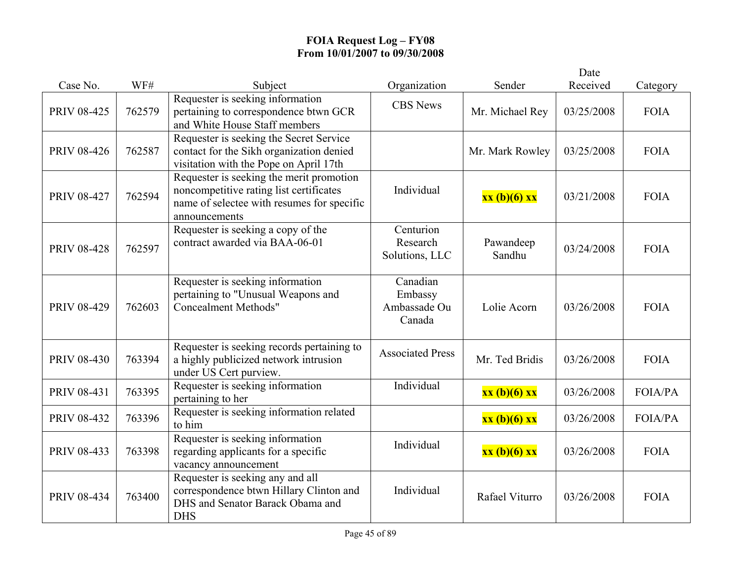|                    |        |                                                                                                                                                    |                                               |                     | Date       |                |
|--------------------|--------|----------------------------------------------------------------------------------------------------------------------------------------------------|-----------------------------------------------|---------------------|------------|----------------|
| Case No.           | WF#    | Subject                                                                                                                                            | Organization                                  | Sender              | Received   | Category       |
| <b>PRIV 08-425</b> | 762579 | Requester is seeking information<br>pertaining to correspondence btwn GCR<br>and White House Staff members                                         | <b>CBS</b> News                               | Mr. Michael Rey     | 03/25/2008 | <b>FOIA</b>    |
| <b>PRIV 08-426</b> | 762587 | Requester is seeking the Secret Service<br>contact for the Sikh organization denied<br>visitation with the Pope on April 17th                      |                                               | Mr. Mark Rowley     | 03/25/2008 | <b>FOIA</b>    |
| PRIV 08-427        | 762594 | Requester is seeking the merit promotion<br>noncompetitive rating list certificates<br>name of selectee with resumes for specific<br>announcements | Individual                                    | xx (b)(6) xx        | 03/21/2008 | <b>FOIA</b>    |
| <b>PRIV 08-428</b> | 762597 | Requester is seeking a copy of the<br>contract awarded via BAA-06-01                                                                               | Centurion<br>Research<br>Solutions, LLC       | Pawandeep<br>Sandhu | 03/24/2008 | <b>FOIA</b>    |
| <b>PRIV 08-429</b> | 762603 | Requester is seeking information<br>pertaining to "Unusual Weapons and<br><b>Concealment Methods"</b>                                              | Canadian<br>Embassy<br>Ambassade Ou<br>Canada | Lolie Acorn         | 03/26/2008 | <b>FOIA</b>    |
| PRIV 08-430        | 763394 | Requester is seeking records pertaining to<br>a highly publicized network intrusion<br>under US Cert purview.                                      | <b>Associated Press</b>                       | Mr. Ted Bridis      | 03/26/2008 | <b>FOIA</b>    |
| PRIV 08-431        | 763395 | Requester is seeking information<br>pertaining to her                                                                                              | Individual                                    | xx (b)(6) xx        | 03/26/2008 | <b>FOIA/PA</b> |
| <b>PRIV 08-432</b> | 763396 | Requester is seeking information related<br>to him                                                                                                 |                                               | xx (b)(6) xx        | 03/26/2008 | <b>FOIA/PA</b> |
| PRIV 08-433        | 763398 | Requester is seeking information<br>regarding applicants for a specific<br>vacancy announcement                                                    | Individual                                    | xx (b)(6) xx        | 03/26/2008 | <b>FOIA</b>    |
| PRIV 08-434        | 763400 | Requester is seeking any and all<br>correspondence btwn Hillary Clinton and<br>DHS and Senator Barack Obama and<br><b>DHS</b>                      | Individual                                    | Rafael Viturro      | 03/26/2008 | <b>FOIA</b>    |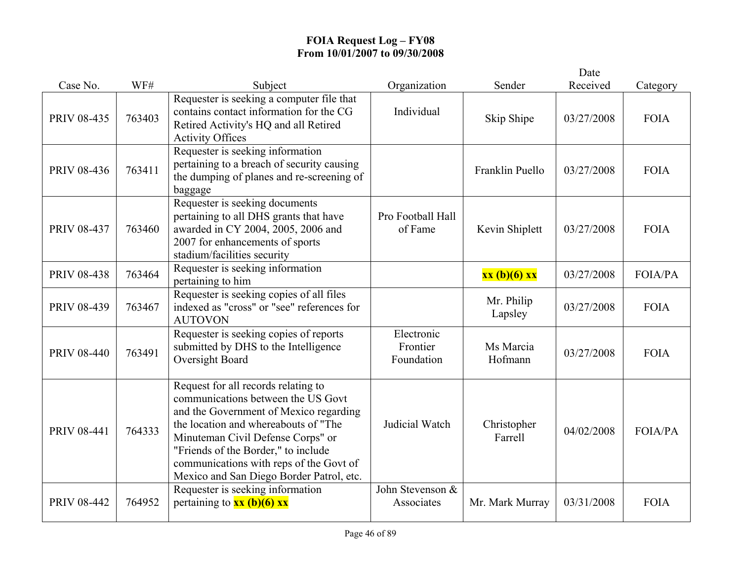|                    |        |                                                                                                                                                                                                                                                                                                                                |                                      |                        | Date       |                |
|--------------------|--------|--------------------------------------------------------------------------------------------------------------------------------------------------------------------------------------------------------------------------------------------------------------------------------------------------------------------------------|--------------------------------------|------------------------|------------|----------------|
| Case No.           | WF#    | Subject                                                                                                                                                                                                                                                                                                                        | Organization                         | Sender                 | Received   | Category       |
| PRIV 08-435        | 763403 | Requester is seeking a computer file that<br>contains contact information for the CG<br>Retired Activity's HQ and all Retired<br><b>Activity Offices</b>                                                                                                                                                                       | Individual                           | Skip Shipe             | 03/27/2008 | <b>FOIA</b>    |
| PRIV 08-436        | 763411 | Requester is seeking information<br>pertaining to a breach of security causing<br>the dumping of planes and re-screening of<br>baggage                                                                                                                                                                                         |                                      | Franklin Puello        | 03/27/2008 | <b>FOIA</b>    |
| <b>PRIV 08-437</b> | 763460 | Requester is seeking documents<br>pertaining to all DHS grants that have<br>awarded in CY 2004, 2005, 2006 and<br>2007 for enhancements of sports<br>stadium/facilities security                                                                                                                                               | Pro Football Hall<br>of Fame         | Kevin Shiplett         | 03/27/2008 | <b>FOIA</b>    |
| <b>PRIV 08-438</b> | 763464 | Requester is seeking information<br>pertaining to him                                                                                                                                                                                                                                                                          |                                      | xx (b)(6) xx           | 03/27/2008 | <b>FOIA/PA</b> |
| PRIV 08-439        | 763467 | Requester is seeking copies of all files<br>indexed as "cross" or "see" references for<br><b>AUTOVON</b>                                                                                                                                                                                                                       |                                      | Mr. Philip<br>Lapsley  | 03/27/2008 | <b>FOIA</b>    |
| <b>PRIV 08-440</b> | 763491 | Requester is seeking copies of reports<br>submitted by DHS to the Intelligence<br>Oversight Board                                                                                                                                                                                                                              | Electronic<br>Frontier<br>Foundation | Ms Marcia<br>Hofmann   | 03/27/2008 | <b>FOIA</b>    |
| <b>PRIV 08-441</b> | 764333 | Request for all records relating to<br>communications between the US Govt<br>and the Government of Mexico regarding<br>the location and whereabouts of "The<br>Minuteman Civil Defense Corps" or<br>"Friends of the Border," to include<br>communications with reps of the Govt of<br>Mexico and San Diego Border Patrol, etc. | Judicial Watch                       | Christopher<br>Farrell | 04/02/2008 | <b>FOIA/PA</b> |
| <b>PRIV 08-442</b> | 764952 | Requester is seeking information<br>pertaining to $xx$ (b)(6) $xx$                                                                                                                                                                                                                                                             | John Stevenson &<br>Associates       | Mr. Mark Murray        | 03/31/2008 | <b>FOIA</b>    |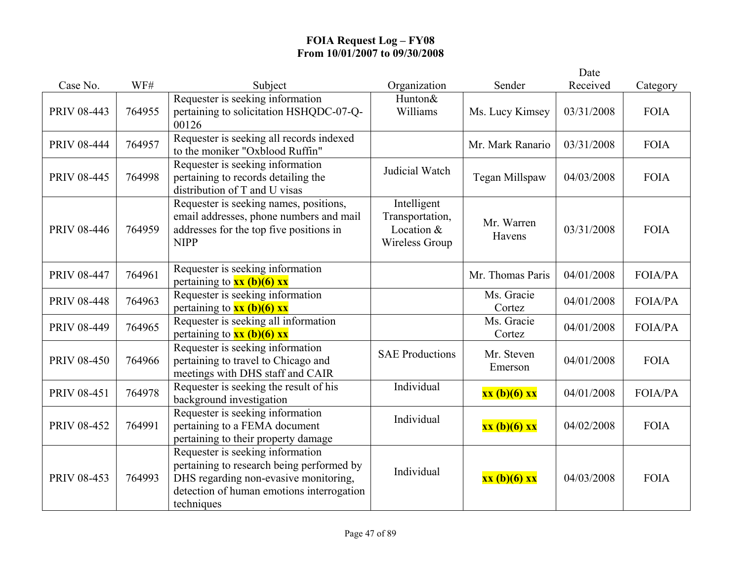|                    |        |                                                                                                                                                                                   |                                                                |                       | Date       |                |
|--------------------|--------|-----------------------------------------------------------------------------------------------------------------------------------------------------------------------------------|----------------------------------------------------------------|-----------------------|------------|----------------|
| Case No.           | WF#    | Subject                                                                                                                                                                           | Organization                                                   | Sender                | Received   | Category       |
| PRIV 08-443        | 764955 | Requester is seeking information<br>pertaining to solicitation HSHQDC-07-Q-<br>00126                                                                                              | Hunton&<br>Williams                                            | Ms. Lucy Kimsey       | 03/31/2008 | <b>FOIA</b>    |
| <b>PRIV 08-444</b> | 764957 | Requester is seeking all records indexed<br>to the moniker "Oxblood Ruffin"                                                                                                       |                                                                | Mr. Mark Ranario      | 03/31/2008 | <b>FOIA</b>    |
| <b>PRIV 08-445</b> | 764998 | Requester is seeking information<br>pertaining to records detailing the<br>distribution of T and U visas                                                                          | Judicial Watch                                                 | Tegan Millspaw        | 04/03/2008 | <b>FOIA</b>    |
| <b>PRIV 08-446</b> | 764959 | Requester is seeking names, positions,<br>email addresses, phone numbers and mail<br>addresses for the top five positions in<br><b>NIPP</b>                                       | Intelligent<br>Transportation,<br>Location &<br>Wireless Group | Mr. Warren<br>Havens  | 03/31/2008 | <b>FOIA</b>    |
| <b>PRIV 08-447</b> | 764961 | Requester is seeking information<br>pertaining to $xx$ (b)(6) xx                                                                                                                  |                                                                | Mr. Thomas Paris      | 04/01/2008 | FOIA/PA        |
| PRIV 08-448        | 764963 | Requester is seeking information<br>pertaining to $xx$ (b)(6) xx                                                                                                                  |                                                                | Ms. Gracie<br>Cortez  | 04/01/2008 | <b>FOIA/PA</b> |
| <b>PRIV 08-449</b> | 764965 | Requester is seeking all information<br>pertaining to $xx$ (b)(6) xx                                                                                                              |                                                                | Ms. Gracie<br>Cortez  | 04/01/2008 | FOIA/PA        |
| PRIV 08-450        | 764966 | Requester is seeking information<br>pertaining to travel to Chicago and<br>meetings with DHS staff and CAIR                                                                       | <b>SAE Productions</b>                                         | Mr. Steven<br>Emerson | 04/01/2008 | <b>FOIA</b>    |
| PRIV 08-451        | 764978 | Requester is seeking the result of his<br>background investigation                                                                                                                | Individual                                                     | xx (b)(6) xx          | 04/01/2008 | <b>FOIA/PA</b> |
| PRIV 08-452        | 764991 | Requester is seeking information<br>pertaining to a FEMA document<br>pertaining to their property damage                                                                          | Individual                                                     | xx (b)(6) xx          | 04/02/2008 | <b>FOIA</b>    |
| PRIV 08-453        | 764993 | Requester is seeking information<br>pertaining to research being performed by<br>DHS regarding non-evasive monitoring,<br>detection of human emotions interrogation<br>techniques | Individual                                                     | xx (b)(6) xx          | 04/03/2008 | <b>FOIA</b>    |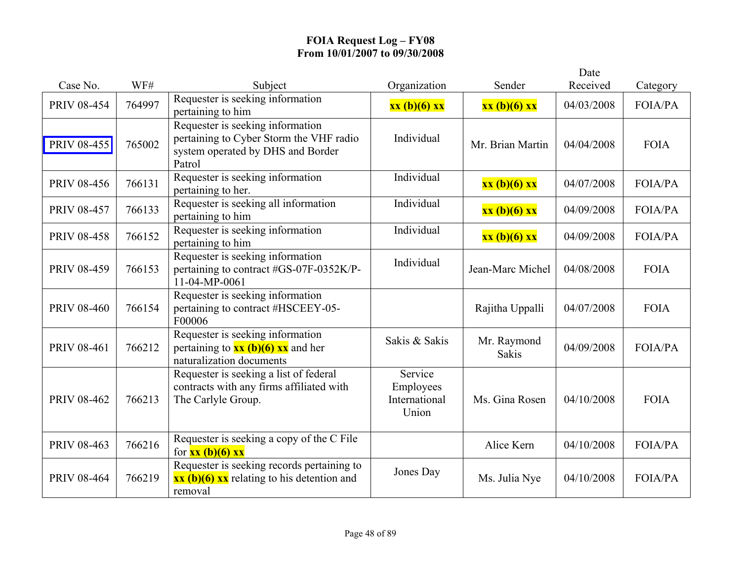|                    |        |                                                                                                                                |                                                |                             | Date       |                |
|--------------------|--------|--------------------------------------------------------------------------------------------------------------------------------|------------------------------------------------|-----------------------------|------------|----------------|
| Case No.           | WF#    | Subject                                                                                                                        | Organization                                   | Sender                      | Received   | Category       |
| <b>PRIV 08-454</b> | 764997 | Requester is seeking information<br>pertaining to him                                                                          | xx (b)(6) xx                                   | xx (b)(6) xx                | 04/03/2008 | <b>FOIA/PA</b> |
| <b>PRIV 08-455</b> | 765002 | Requester is seeking information<br>pertaining to Cyber Storm the VHF radio<br>system operated by DHS and Border<br>Patrol     | Individual                                     | Mr. Brian Martin            | 04/04/2008 | <b>FOIA</b>    |
| <b>PRIV 08-456</b> | 766131 | Requester is seeking information<br>pertaining to her.                                                                         | Individual                                     | xx (b)(6) xx                | 04/07/2008 | <b>FOIA/PA</b> |
| <b>PRIV 08-457</b> | 766133 | Requester is seeking all information<br>pertaining to him                                                                      | Individual                                     | xx (b)(6) xx                | 04/09/2008 | FOIA/PA        |
| <b>PRIV 08-458</b> | 766152 | Requester is seeking information<br>pertaining to him                                                                          | Individual                                     | xx (b)(6) xx                | 04/09/2008 | <b>FOIA/PA</b> |
| <b>PRIV 08-459</b> | 766153 | Requester is seeking information<br>pertaining to contract #GS-07F-0352K/P-<br>11-04-MP-0061                                   | Individual                                     | Jean-Marc Michel            | 04/08/2008 | <b>FOIA</b>    |
| <b>PRIV 08-460</b> | 766154 | Requester is seeking information<br>pertaining to contract #HSCEEY-05-<br>F00006                                               |                                                | Rajitha Uppalli             | 04/07/2008 | <b>FOIA</b>    |
| PRIV 08-461        | 766212 | Requester is seeking information<br>pertaining to $\frac{xx(b)}{(6)}$ $\frac{xx}{x}$ and her<br>naturalization documents       | Sakis & Sakis                                  | Mr. Raymond<br><b>Sakis</b> | 04/09/2008 | <b>FOIA/PA</b> |
| <b>PRIV 08-462</b> | 766213 | Requester is seeking a list of federal<br>contracts with any firms affiliated with<br>The Carlyle Group.                       | Service<br>Employees<br>International<br>Union | Ms. Gina Rosen              | 04/10/2008 | <b>FOIA</b>    |
| PRIV 08-463        | 766216 | Requester is seeking a copy of the C File<br>for $xx (b)(6) xx$                                                                |                                                | Alice Kern                  | 04/10/2008 | <b>FOIA/PA</b> |
| <b>PRIV 08-464</b> | 766219 | Requester is seeking records pertaining to<br>$\overline{\text{xx (b)(6)} \text{xx}}$ relating to his detention and<br>removal | Jones Day                                      | Ms. Julia Nye               | 04/10/2008 | <b>FOIA/PA</b> |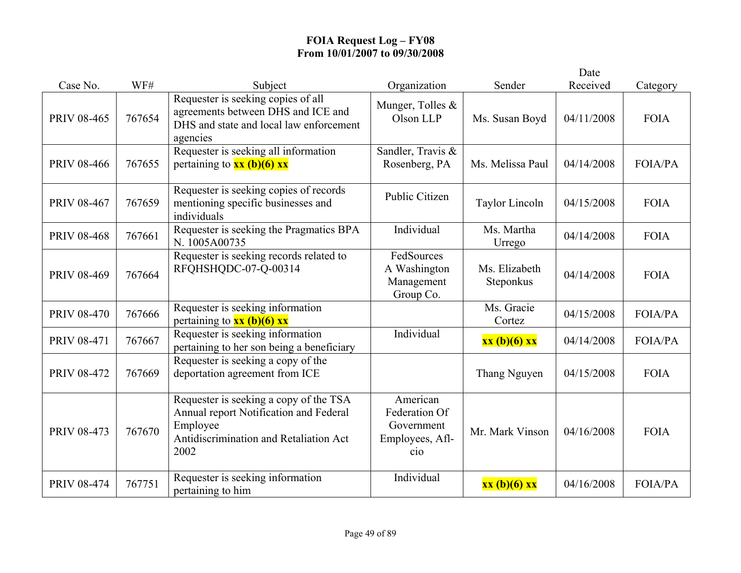|                    |        |                                                                                                                                                |                                                                              |                            | Date       |                |
|--------------------|--------|------------------------------------------------------------------------------------------------------------------------------------------------|------------------------------------------------------------------------------|----------------------------|------------|----------------|
| Case No.           | WF#    | Subject                                                                                                                                        | Organization                                                                 | Sender                     | Received   | Category       |
| PRIV 08-465        | 767654 | Requester is seeking copies of all<br>agreements between DHS and ICE and<br>DHS and state and local law enforcement<br>agencies                | Munger, Tolles &<br>Olson LLP                                                | Ms. Susan Boyd             | 04/11/2008 | <b>FOIA</b>    |
| <b>PRIV 08-466</b> | 767655 | Requester is seeking all information<br>pertaining to $xx$ (b)(6) $xx$                                                                         | Sandler, Travis &<br>Rosenberg, PA                                           | Ms. Melissa Paul           | 04/14/2008 | FOIA/PA        |
| PRIV 08-467        | 767659 | Requester is seeking copies of records<br>mentioning specific businesses and<br>individuals                                                    | Public Citizen                                                               | <b>Taylor Lincoln</b>      | 04/15/2008 | <b>FOIA</b>    |
| <b>PRIV 08-468</b> | 767661 | Requester is seeking the Pragmatics BPA<br>N. 1005A00735                                                                                       | Individual                                                                   | Ms. Martha<br>Urrego       | 04/14/2008 | <b>FOIA</b>    |
| PRIV 08-469        | 767664 | Requester is seeking records related to<br>RFOHSHODC-07-Q-00314                                                                                | FedSources<br>A Washington<br>Management<br>Group Co.                        | Ms. Elizabeth<br>Steponkus | 04/14/2008 | <b>FOIA</b>    |
| <b>PRIV 08-470</b> | 767666 | Requester is seeking information<br>pertaining to $\frac{xx(b)(6)xx}{x^2}$                                                                     |                                                                              | Ms. Gracie<br>Cortez       | 04/15/2008 | FOIA/PA        |
| PRIV 08-471        | 767667 | Requester is seeking information<br>pertaining to her son being a beneficiary                                                                  | Individual                                                                   | xx (b)(6) xx               | 04/14/2008 | <b>FOIA/PA</b> |
| <b>PRIV 08-472</b> | 767669 | Requester is seeking a copy of the<br>deportation agreement from ICE                                                                           |                                                                              | Thang Nguyen               | 04/15/2008 | <b>FOIA</b>    |
| PRIV 08-473        | 767670 | Requester is seeking a copy of the TSA<br>Annual report Notification and Federal<br>Employee<br>Antidiscrimination and Retaliation Act<br>2002 | American<br>Federation Of<br>Government<br>Employees, Afl-<br>$\dot{\rm co}$ | Mr. Mark Vinson            | 04/16/2008 | <b>FOIA</b>    |
| <b>PRIV 08-474</b> | 767751 | Requester is seeking information<br>pertaining to him                                                                                          | Individual                                                                   | xx (b)(6) xx               | 04/16/2008 | FOIA/PA        |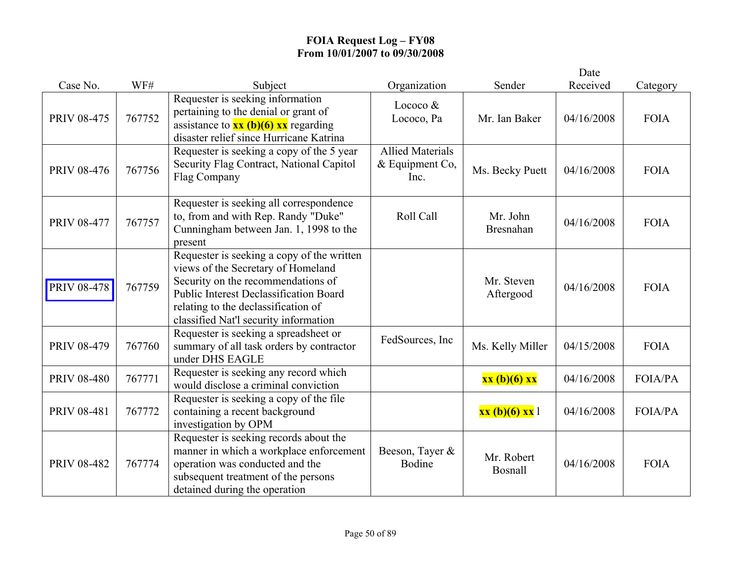|                    |        |                                                                                                                                                                                                                                                         |                                                      |                              | Date       |                |
|--------------------|--------|---------------------------------------------------------------------------------------------------------------------------------------------------------------------------------------------------------------------------------------------------------|------------------------------------------------------|------------------------------|------------|----------------|
| Case No.           | WF#    | Subject                                                                                                                                                                                                                                                 | Organization                                         | Sender                       | Received   | Category       |
| <b>PRIV 08-475</b> | 767752 | Requester is seeking information<br>pertaining to the denial or grant of<br>assistance to $\frac{xx(b)(6)}{x}x$ regarding<br>disaster relief since Hurricane Katrina                                                                                    | Lococo $&$<br>Lococo, Pa                             | Mr. Ian Baker                | 04/16/2008 | <b>FOIA</b>    |
| <b>PRIV 08-476</b> | 767756 | Requester is seeking a copy of the 5 year<br>Security Flag Contract, National Capitol<br>Flag Company                                                                                                                                                   | <b>Allied Materials</b><br>$&$ Equipment Co,<br>Inc. | Ms. Becky Puett              | 04/16/2008 | <b>FOIA</b>    |
| <b>PRIV 08-477</b> | 767757 | Requester is seeking all correspondence<br>to, from and with Rep. Randy "Duke"<br>Cunningham between Jan. 1, 1998 to the<br>present                                                                                                                     | Roll Call                                            | Mr. John<br><b>Bresnahan</b> | 04/16/2008 | <b>FOIA</b>    |
| <b>PRIV 08-478</b> | 767759 | Requester is seeking a copy of the written<br>views of the Secretary of Homeland<br>Security on the recommendations of<br><b>Public Interest Declassification Board</b><br>relating to the declassification of<br>classified Nat'l security information |                                                      | Mr. Steven<br>Aftergood      | 04/16/2008 | <b>FOIA</b>    |
| <b>PRIV 08-479</b> | 767760 | Requester is seeking a spreadsheet or<br>summary of all task orders by contractor<br>under DHS EAGLE                                                                                                                                                    | FedSources, Inc.                                     | Ms. Kelly Miller             | 04/15/2008 | <b>FOIA</b>    |
| <b>PRIV 08-480</b> | 767771 | Requester is seeking any record which<br>would disclose a criminal conviction                                                                                                                                                                           |                                                      | xx (b)(6) xx                 | 04/16/2008 | <b>FOIA/PA</b> |
| PRIV 08-481        | 767772 | Requester is seeking a copy of the file<br>containing a recent background<br>investigation by OPM                                                                                                                                                       |                                                      | xx (b)(6) xx 1               | 04/16/2008 | FOIA/PA        |
| <b>PRIV 08-482</b> | 767774 | Requester is seeking records about the<br>manner in which a workplace enforcement<br>operation was conducted and the<br>subsequent treatment of the persons<br>detained during the operation                                                            | Beeson, Tayer &<br>Bodine                            | Mr. Robert<br>Bosnall        | 04/16/2008 | <b>FOIA</b>    |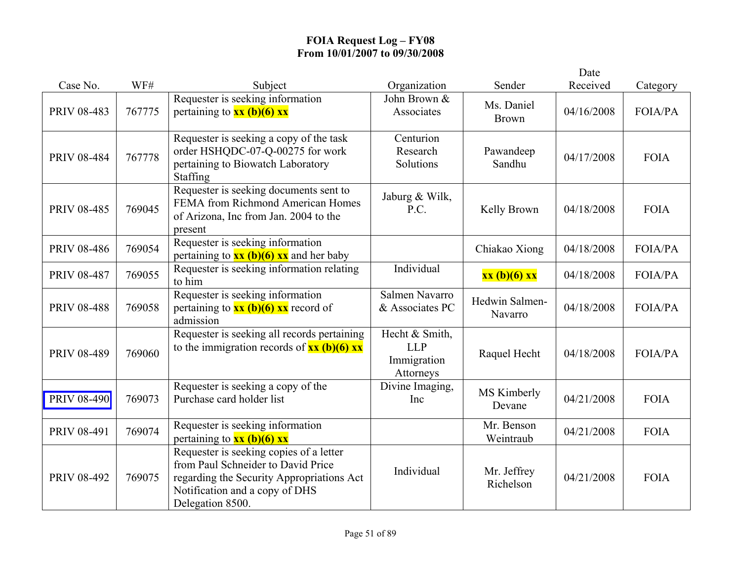|                    |        |                                                                                                                                                                                  |                                                          |                            | Date       |                |
|--------------------|--------|----------------------------------------------------------------------------------------------------------------------------------------------------------------------------------|----------------------------------------------------------|----------------------------|------------|----------------|
| Case No.           | WF#    | Subject                                                                                                                                                                          | Organization                                             | Sender                     | Received   | Category       |
| PRIV 08-483        | 767775 | Requester is seeking information<br>pertaining to $xx$ (b)(6) $xx$                                                                                                               | John Brown &<br>Associates                               | Ms. Daniel<br><b>Brown</b> | 04/16/2008 | FOIA/PA        |
| <b>PRIV 08-484</b> | 767778 | Requester is seeking a copy of the task<br>order HSHQDC-07-Q-00275 for work<br>pertaining to Biowatch Laboratory<br>Staffing                                                     | Centurion<br>Research<br>Solutions                       | Pawandeep<br>Sandhu        | 04/17/2008 | <b>FOIA</b>    |
| <b>PRIV 08-485</b> | 769045 | Requester is seeking documents sent to<br>FEMA from Richmond American Homes<br>of Arizona, Inc from Jan. 2004 to the<br>present                                                  | Jaburg & Wilk,<br>P.C.                                   | Kelly Brown                | 04/18/2008 | <b>FOIA</b>    |
| <b>PRIV 08-486</b> | 769054 | Requester is seeking information<br>pertaining to $\frac{xx (b)(6) xx}{x}$ and her baby                                                                                          |                                                          | Chiakao Xiong              | 04/18/2008 | <b>FOIA/PA</b> |
| <b>PRIV 08-487</b> | 769055 | Requester is seeking information relating<br>to him                                                                                                                              | Individual                                               | xx (b)(6) xx               | 04/18/2008 | FOIA/PA        |
| <b>PRIV 08-488</b> | 769058 | Requester is seeking information<br>pertaining to $\frac{xx(b)(6)}{x}$ xx record of<br>admission                                                                                 | Salmen Navarro<br>& Associates PC                        | Hedwin Salmen-<br>Navarro  | 04/18/2008 | FOIA/PA        |
| PRIV 08-489        | 769060 | Requester is seeking all records pertaining<br>to the immigration records of $xx$ (b)(6) $xx$                                                                                    | Hecht & Smith,<br><b>LLP</b><br>Immigration<br>Attorneys | Raquel Hecht               | 04/18/2008 | <b>FOIA/PA</b> |
| <b>PRIV 08-490</b> | 769073 | Requester is seeking a copy of the<br>Purchase card holder list                                                                                                                  | Divine Imaging,<br>Inc                                   | MS Kimberly<br>Devane      | 04/21/2008 | <b>FOIA</b>    |
| PRIV 08-491        | 769074 | Requester is seeking information<br>pertaining to $xx$ (b)(6) $xx$                                                                                                               |                                                          | Mr. Benson<br>Weintraub    | 04/21/2008 | <b>FOIA</b>    |
| PRIV 08-492        | 769075 | Requester is seeking copies of a letter<br>from Paul Schneider to David Price<br>regarding the Security Appropriations Act<br>Notification and a copy of DHS<br>Delegation 8500. | Individual                                               | Mr. Jeffrey<br>Richelson   | 04/21/2008 | <b>FOIA</b>    |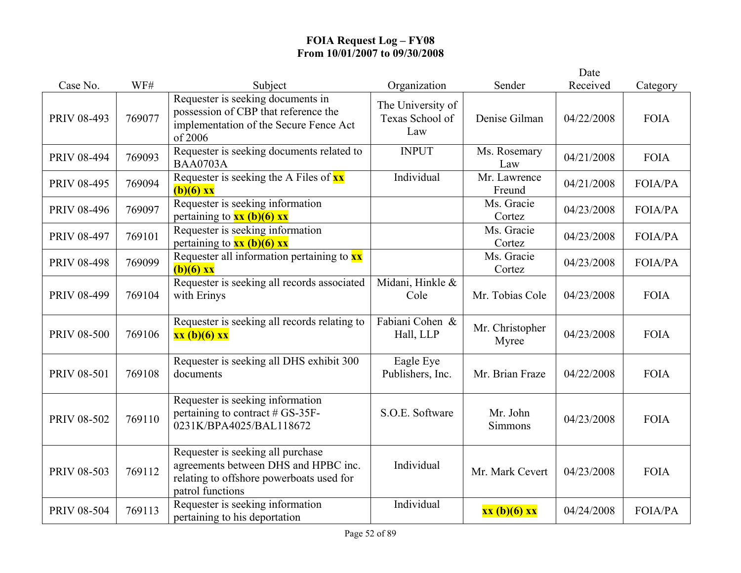|                    |        |                                                                                                                                           |                                             |                          | Date       |                |
|--------------------|--------|-------------------------------------------------------------------------------------------------------------------------------------------|---------------------------------------------|--------------------------|------------|----------------|
| Case No.           | WF#    | Subject                                                                                                                                   | Organization                                | Sender                   | Received   | Category       |
| PRIV 08-493        | 769077 | Requester is seeking documents in<br>possession of CBP that reference the<br>implementation of the Secure Fence Act<br>of 2006            | The University of<br>Texas School of<br>Law | Denise Gilman            | 04/22/2008 | <b>FOIA</b>    |
| PRIV 08-494        | 769093 | Requester is seeking documents related to<br><b>BAA0703A</b>                                                                              | <b>INPUT</b>                                | Ms. Rosemary<br>Law      | 04/21/2008 | <b>FOIA</b>    |
| PRIV 08-495        | 769094 | Requester is seeking the A Files of xx<br>$(b)(6)$ xx                                                                                     | Individual                                  | Mr. Lawrence<br>Freund   | 04/21/2008 | <b>FOIA/PA</b> |
| <b>PRIV 08-496</b> | 769097 | Requester is seeking information<br>pertaining to $xx$ (b)(6) xx                                                                          |                                             | Ms. Gracie<br>Cortez     | 04/23/2008 | <b>FOIA/PA</b> |
| PRIV 08-497        | 769101 | Requester is seeking information<br>pertaining to $xx$ (b)(6) $xx$                                                                        |                                             | Ms. Gracie<br>Cortez     | 04/23/2008 | <b>FOIA/PA</b> |
| <b>PRIV 08-498</b> | 769099 | Requester all information pertaining to $\overline{\mathbf{x}\mathbf{x}}$<br>$(b)(6)$ xx                                                  |                                             | Ms. Gracie<br>Cortez     | 04/23/2008 | <b>FOIA/PA</b> |
| PRIV 08-499        | 769104 | Requester is seeking all records associated<br>with Erinys                                                                                | Midani, Hinkle &<br>Cole                    | Mr. Tobias Cole          | 04/23/2008 | <b>FOIA</b>    |
| <b>PRIV 08-500</b> | 769106 | Requester is seeking all records relating to<br>xx (b)(6) xx                                                                              | Fabiani Cohen &<br>Hall, LLP                | Mr. Christopher<br>Myree | 04/23/2008 | <b>FOIA</b>    |
| PRIV 08-501        | 769108 | Requester is seeking all DHS exhibit 300<br>documents                                                                                     | Eagle Eye<br>Publishers, Inc.               | Mr. Brian Fraze          | 04/22/2008 | <b>FOIA</b>    |
| PRIV 08-502        | 769110 | Requester is seeking information<br>pertaining to contract # GS-35F-<br>0231K/BPA4025/BAL118672                                           | S.O.E. Software                             | Mr. John<br>Simmons      | 04/23/2008 | <b>FOIA</b>    |
| PRIV 08-503        | 769112 | Requester is seeking all purchase<br>agreements between DHS and HPBC inc.<br>relating to offshore powerboats used for<br>patrol functions | Individual                                  | Mr. Mark Cevert          | 04/23/2008 | <b>FOIA</b>    |
| PRIV 08-504        | 769113 | Requester is seeking information<br>pertaining to his deportation                                                                         | Individual                                  | xx (b)(6) xx             | 04/24/2008 | <b>FOIA/PA</b> |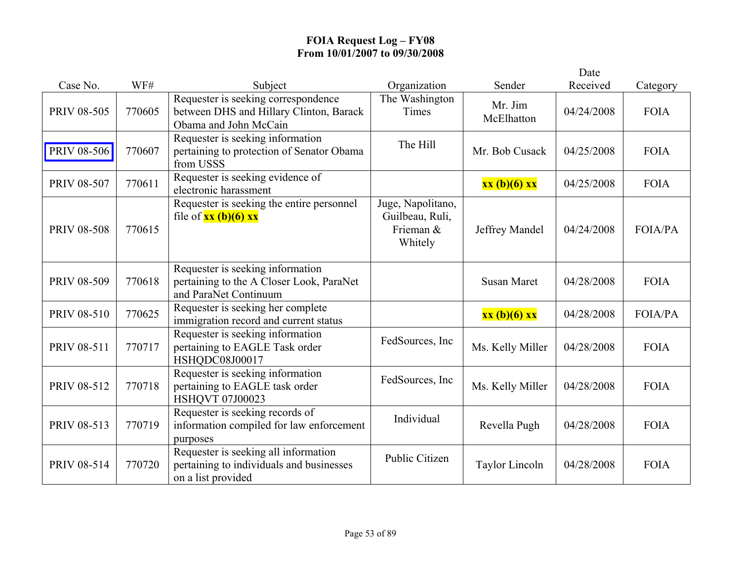|                    |        |                                                                                                         |                                                              |                       | Date       |                |
|--------------------|--------|---------------------------------------------------------------------------------------------------------|--------------------------------------------------------------|-----------------------|------------|----------------|
| Case No.           | WF#    | Subject                                                                                                 | Organization                                                 | Sender                | Received   | Category       |
| PRIV 08-505        | 770605 | Requester is seeking correspondence<br>between DHS and Hillary Clinton, Barack<br>Obama and John McCain | The Washington<br>Times                                      | Mr. Jim<br>McElhatton | 04/24/2008 | <b>FOIA</b>    |
| <b>PRIV 08-506</b> | 770607 | Requester is seeking information<br>pertaining to protection of Senator Obama<br>from USSS              | The Hill                                                     | Mr. Bob Cusack        | 04/25/2008 | <b>FOIA</b>    |
| PRIV 08-507        | 770611 | Requester is seeking evidence of<br>electronic harassment                                               |                                                              | xx (b)(6) xx          | 04/25/2008 | <b>FOIA</b>    |
| <b>PRIV 08-508</b> | 770615 | Requester is seeking the entire personnel<br>file of $xx$ (b)(6) $xx$                                   | Juge, Napolitano,<br>Guilbeau, Ruli,<br>Frieman &<br>Whitely | Jeffrey Mandel        | 04/24/2008 | <b>FOIA/PA</b> |
| PRIV 08-509        | 770618 | Requester is seeking information<br>pertaining to the A Closer Look, ParaNet<br>and ParaNet Continuum   |                                                              | <b>Susan Maret</b>    | 04/28/2008 | <b>FOIA</b>    |
| <b>PRIV 08-510</b> | 770625 | Requester is seeking her complete<br>immigration record and current status                              |                                                              | xx (b)(6) xx          | 04/28/2008 | <b>FOIA/PA</b> |
| PRIV 08-511        | 770717 | Requester is seeking information<br>pertaining to EAGLE Task order<br>HSHQDC08J00017                    | FedSources, Inc                                              | Ms. Kelly Miller      | 04/28/2008 | <b>FOIA</b>    |
| PRIV 08-512        | 770718 | Requester is seeking information<br>pertaining to EAGLE task order<br>HSHQVT 07J00023                   | FedSources, Inc                                              | Ms. Kelly Miller      | 04/28/2008 | <b>FOIA</b>    |
| PRIV 08-513        | 770719 | Requester is seeking records of<br>information compiled for law enforcement<br>purposes                 | Individual                                                   | Revella Pugh          | 04/28/2008 | <b>FOIA</b>    |
| PRIV 08-514        | 770720 | Requester is seeking all information<br>pertaining to individuals and businesses<br>on a list provided  | Public Citizen                                               | Taylor Lincoln        | 04/28/2008 | <b>FOIA</b>    |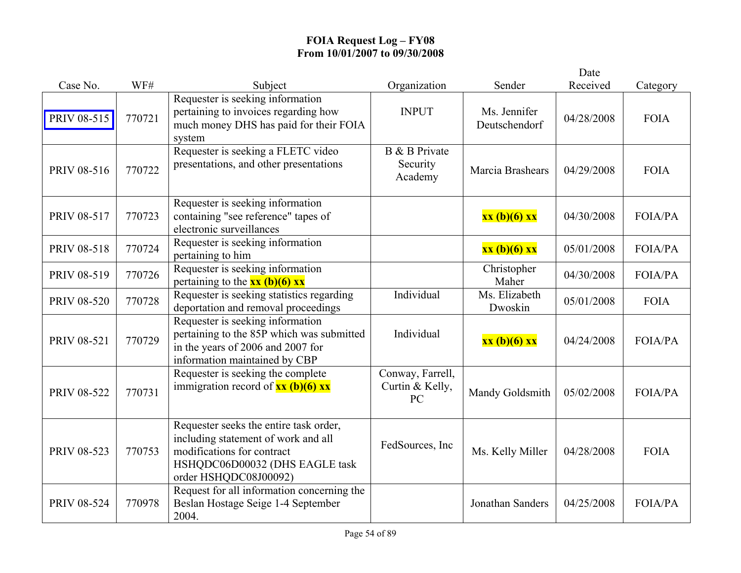|                    |        |                                                                                                                                                                        |                                           |                               | Date       |                |
|--------------------|--------|------------------------------------------------------------------------------------------------------------------------------------------------------------------------|-------------------------------------------|-------------------------------|------------|----------------|
| Case No.           | WF#    | Subject                                                                                                                                                                | Organization                              | Sender                        | Received   | Category       |
| PRIV 08-515        | 770721 | Requester is seeking information<br>pertaining to invoices regarding how<br>much money DHS has paid for their FOIA<br>system                                           | <b>INPUT</b>                              | Ms. Jennifer<br>Deutschendorf | 04/28/2008 | <b>FOIA</b>    |
| PRIV 08-516        | 770722 | Requester is seeking a FLETC video<br>presentations, and other presentations                                                                                           | B & B Private<br>Security<br>Academy      | Marcia Brashears              | 04/29/2008 | <b>FOIA</b>    |
| PRIV 08-517        | 770723 | Requester is seeking information<br>containing "see reference" tapes of<br>electronic surveillances                                                                    |                                           | xx (b)(6) xx                  | 04/30/2008 | <b>FOIA/PA</b> |
| <b>PRIV 08-518</b> | 770724 | Requester is seeking information<br>pertaining to him                                                                                                                  |                                           | xx (b)(6) xx                  | 05/01/2008 | FOIA/PA        |
| PRIV 08-519        | 770726 | Requester is seeking information<br>pertaining to the $xx (b)(6) xx$                                                                                                   |                                           | Christopher<br>Maher          | 04/30/2008 | <b>FOIA/PA</b> |
| <b>PRIV 08-520</b> | 770728 | Requester is seeking statistics regarding<br>deportation and removal proceedings                                                                                       | Individual                                | Ms. Elizabeth<br>Dwoskin      | 05/01/2008 | <b>FOIA</b>    |
| PRIV 08-521        | 770729 | Requester is seeking information<br>pertaining to the 85P which was submitted<br>in the years of 2006 and 2007 for<br>information maintained by CBP                    | Individual                                | xx (b)(6) xx                  | 04/24/2008 | FOIA/PA        |
| <b>PRIV 08-522</b> | 770731 | Requester is seeking the complete<br>immigration record of $\frac{xx(b)(6)xx}{x}$                                                                                      | Conway, Farrell,<br>Curtin & Kelly,<br>PC | Mandy Goldsmith               | 05/02/2008 | <b>FOIA/PA</b> |
| PRIV 08-523        | 770753 | Requester seeks the entire task order,<br>including statement of work and all<br>modifications for contract<br>HSHQDC06D00032 (DHS EAGLE task<br>order HSHQDC08J00092) | FedSources, Inc                           | Ms. Kelly Miller              | 04/28/2008 | <b>FOIA</b>    |
| PRIV 08-524        | 770978 | Request for all information concerning the<br>Beslan Hostage Seige 1-4 September<br>2004.                                                                              |                                           | Jonathan Sanders              | 04/25/2008 | <b>FOIA/PA</b> |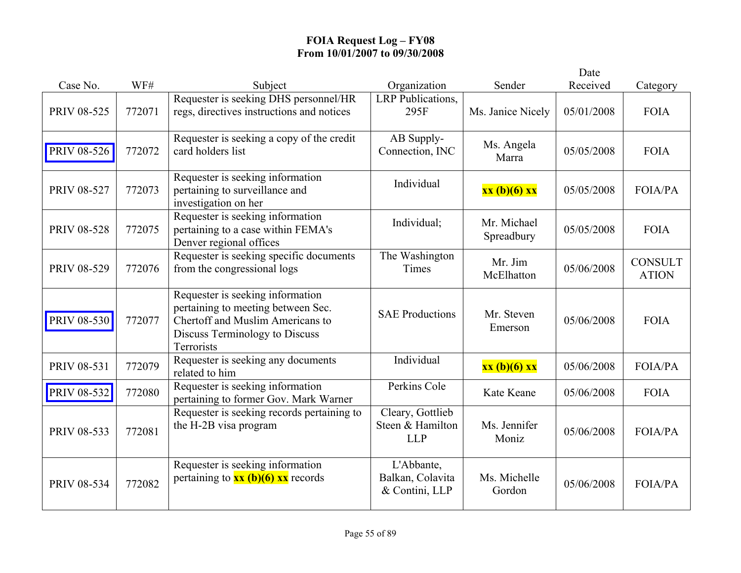|                    |        |                                                                                                                                                            |                                                    |                           | Date       |                                |
|--------------------|--------|------------------------------------------------------------------------------------------------------------------------------------------------------------|----------------------------------------------------|---------------------------|------------|--------------------------------|
| Case No.           | WF#    | Subject                                                                                                                                                    | Organization                                       | Sender                    | Received   | Category                       |
| PRIV 08-525        | 772071 | Requester is seeking DHS personnel/HR<br>regs, directives instructions and notices                                                                         | <b>LRP</b> Publications,<br>295F                   | Ms. Janice Nicely         | 05/01/2008 | <b>FOIA</b>                    |
| PRIV 08-526        | 772072 | Requester is seeking a copy of the credit<br>card holders list                                                                                             | AB Supply-<br>Connection, INC                      | Ms. Angela<br>Marra       | 05/05/2008 | <b>FOIA</b>                    |
| PRIV 08-527        | 772073 | Requester is seeking information<br>pertaining to surveillance and<br>investigation on her                                                                 | Individual                                         | xx (b)(6) xx              | 05/05/2008 | <b>FOIA/PA</b>                 |
| <b>PRIV 08-528</b> | 772075 | Requester is seeking information<br>pertaining to a case within FEMA's<br>Denver regional offices                                                          | Individual;                                        | Mr. Michael<br>Spreadbury | 05/05/2008 | <b>FOIA</b>                    |
| PRIV 08-529        | 772076 | Requester is seeking specific documents<br>from the congressional logs                                                                                     | The Washington<br>Times                            | Mr. Jim<br>McElhatton     | 05/06/2008 | <b>CONSULT</b><br><b>ATION</b> |
| PRIV 08-530        | 772077 | Requester is seeking information<br>pertaining to meeting between Sec.<br>Chertoff and Muslim Americans to<br>Discuss Terminology to Discuss<br>Terrorists | <b>SAE Productions</b>                             | Mr. Steven<br>Emerson     | 05/06/2008 | <b>FOIA</b>                    |
| PRIV 08-531        | 772079 | Requester is seeking any documents<br>related to him                                                                                                       | Individual                                         | xx (b)(6) xx              | 05/06/2008 | FOIA/PA                        |
| PRIV 08-532        | 772080 | Requester is seeking information<br>pertaining to former Gov. Mark Warner                                                                                  | Perkins Cole                                       | Kate Keane                | 05/06/2008 | <b>FOIA</b>                    |
| PRIV 08-533        | 772081 | Requester is seeking records pertaining to<br>the H-2B visa program                                                                                        | Cleary, Gottlieb<br>Steen & Hamilton<br><b>LLP</b> | Ms. Jennifer<br>Moniz     | 05/06/2008 | <b>FOIA/PA</b>                 |
| PRIV 08-534        | 772082 | Requester is seeking information<br>pertaining to $\frac{xx(b)}{(6)}$ $\frac{xx}{x}$ records                                                               | L'Abbante,<br>Balkan, Colavita<br>& Contini, LLP   | Ms. Michelle<br>Gordon    | 05/06/2008 | <b>FOIA/PA</b>                 |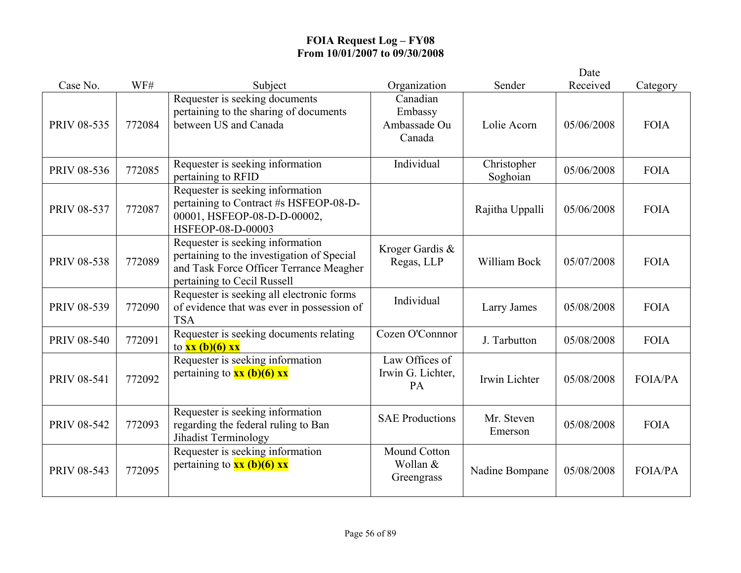|                    |        |                                                                                                                                                          |                                               |                         | Date       |                |
|--------------------|--------|----------------------------------------------------------------------------------------------------------------------------------------------------------|-----------------------------------------------|-------------------------|------------|----------------|
| Case No.           | WF#    | Subject                                                                                                                                                  | Organization                                  | Sender                  | Received   | Category       |
| PRIV 08-535        | 772084 | Requester is seeking documents<br>pertaining to the sharing of documents<br>between US and Canada                                                        | Canadian<br>Embassy<br>Ambassade Ou<br>Canada | Lolie Acorn             | 05/06/2008 | <b>FOIA</b>    |
| PRIV 08-536        | 772085 | Requester is seeking information<br>pertaining to RFID                                                                                                   | Individual                                    | Christopher<br>Soghoian | 05/06/2008 | <b>FOIA</b>    |
| PRIV 08-537        | 772087 | Requester is seeking information<br>pertaining to Contract #s HSFEOP-08-D-<br>00001, HSFEOP-08-D-D-00002,<br>HSFEOP-08-D-00003                           |                                               | Rajitha Uppalli         | 05/06/2008 | <b>FOIA</b>    |
| <b>PRIV 08-538</b> | 772089 | Requester is seeking information<br>pertaining to the investigation of Special<br>and Task Force Officer Terrance Meagher<br>pertaining to Cecil Russell | Kroger Gardis &<br>Regas, LLP                 | William Bock            | 05/07/2008 | <b>FOIA</b>    |
| PRIV 08-539        | 772090 | Requester is seeking all electronic forms<br>of evidence that was ever in possession of<br><b>TSA</b>                                                    | Individual                                    | Larry James             | 05/08/2008 | <b>FOIA</b>    |
| <b>PRIV 08-540</b> | 772091 | Requester is seeking documents relating<br>to $xx$ (b)(6) $xx$                                                                                           | Cozen O'Connnor                               | J. Tarbutton            | 05/08/2008 | <b>FOIA</b>    |
| <b>PRIV 08-541</b> | 772092 | Requester is seeking information<br>pertaining to $xx$ (b)(6) $xx$                                                                                       | Law Offices of<br>Irwin G. Lichter,<br>PA     | Irwin Lichter           | 05/08/2008 | <b>FOIA/PA</b> |
| PRIV 08-542        | 772093 | Requester is seeking information<br>regarding the federal ruling to Ban<br>Jihadist Terminology                                                          | <b>SAE Productions</b>                        | Mr. Steven<br>Emerson   | 05/08/2008 | <b>FOIA</b>    |
| PRIV 08-543        | 772095 | Requester is seeking information<br>pertaining to $xx$ (b)(6) $xx$                                                                                       | Mound Cotton<br>Wollan &<br>Greengrass        | Nadine Bompane          | 05/08/2008 | <b>FOIA/PA</b> |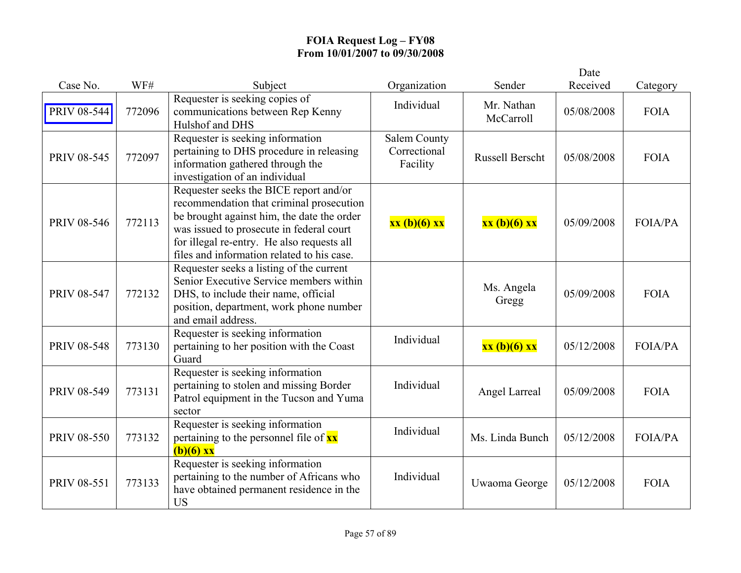|                    |        |                                                                                                                                                                                                                                                                          |                                                 |                         | Date       |                |
|--------------------|--------|--------------------------------------------------------------------------------------------------------------------------------------------------------------------------------------------------------------------------------------------------------------------------|-------------------------------------------------|-------------------------|------------|----------------|
| Case No.           | WF#    | Subject                                                                                                                                                                                                                                                                  | Organization                                    | Sender                  | Received   | Category       |
| <b>PRIV 08-544</b> | 772096 | Requester is seeking copies of<br>communications between Rep Kenny<br>Hulshof and DHS                                                                                                                                                                                    | Individual                                      | Mr. Nathan<br>McCarroll | 05/08/2008 | <b>FOIA</b>    |
| PRIV 08-545        | 772097 | Requester is seeking information<br>pertaining to DHS procedure in releasing<br>information gathered through the<br>investigation of an individual                                                                                                                       | <b>Salem County</b><br>Correctional<br>Facility | <b>Russell Berscht</b>  | 05/08/2008 | <b>FOIA</b>    |
| <b>PRIV 08-546</b> | 772113 | Requester seeks the BICE report and/or<br>recommendation that criminal prosecution<br>be brought against him, the date the order<br>was issued to prosecute in federal court<br>for illegal re-entry. He also requests all<br>files and information related to his case. | xx (b)(6) xx                                    | xx (b)(6) xx            | 05/09/2008 | <b>FOIA/PA</b> |
| PRIV 08-547        | 772132 | Requester seeks a listing of the current<br>Senior Executive Service members within<br>DHS, to include their name, official<br>position, department, work phone number<br>and email address.                                                                             |                                                 | Ms. Angela<br>Gregg     | 05/09/2008 | <b>FOIA</b>    |
| <b>PRIV 08-548</b> | 773130 | Requester is seeking information<br>pertaining to her position with the Coast<br>Guard                                                                                                                                                                                   | Individual                                      | xx (b)(6) xx            | 05/12/2008 | <b>FOIA/PA</b> |
| PRIV 08-549        | 773131 | Requester is seeking information<br>pertaining to stolen and missing Border<br>Patrol equipment in the Tucson and Yuma<br>sector                                                                                                                                         | Individual                                      | Angel Larreal           | 05/09/2008 | <b>FOIA</b>    |
| <b>PRIV 08-550</b> | 773132 | Requester is seeking information<br>pertaining to the personnel file of xx<br>$(b)(6)$ xx                                                                                                                                                                                | Individual                                      | Ms. Linda Bunch         | 05/12/2008 | <b>FOIA/PA</b> |
| PRIV 08-551        | 773133 | Requester is seeking information<br>pertaining to the number of Africans who<br>have obtained permanent residence in the<br><b>US</b>                                                                                                                                    | Individual                                      | Uwaoma George           | 05/12/2008 | <b>FOIA</b>    |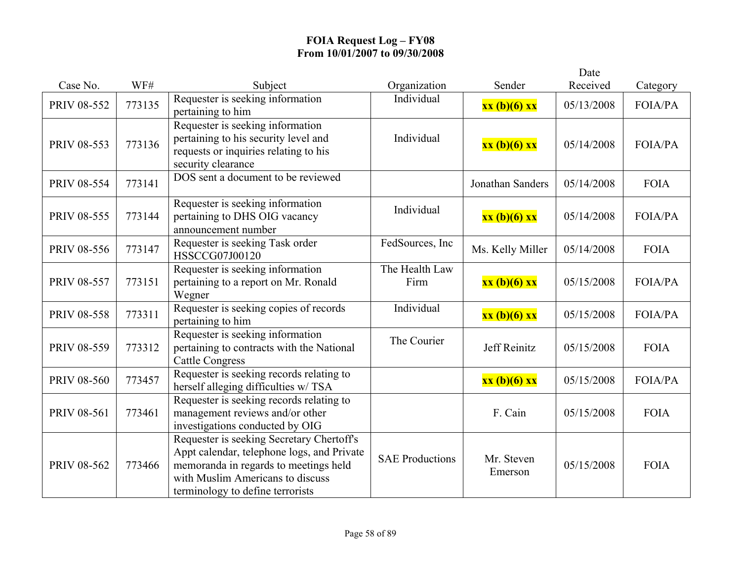|                    |        |                                                                                                                                                                                                          |                        |                       | Date       |                |
|--------------------|--------|----------------------------------------------------------------------------------------------------------------------------------------------------------------------------------------------------------|------------------------|-----------------------|------------|----------------|
| Case No.           | WF#    | Subject                                                                                                                                                                                                  | Organization           | Sender                | Received   | Category       |
| PRIV 08-552        | 773135 | Requester is seeking information<br>pertaining to him                                                                                                                                                    | Individual             | xx (b)(6) xx          | 05/13/2008 | <b>FOIA/PA</b> |
| PRIV 08-553        | 773136 | Requester is seeking information<br>pertaining to his security level and<br>requests or inquiries relating to his<br>security clearance                                                                  | Individual             | xx (b)(6) xx          | 05/14/2008 | <b>FOIA/PA</b> |
| PRIV 08-554        | 773141 | DOS sent a document to be reviewed                                                                                                                                                                       |                        | Jonathan Sanders      | 05/14/2008 | <b>FOIA</b>    |
| PRIV 08-555        | 773144 | Requester is seeking information<br>pertaining to DHS OIG vacancy<br>announcement number                                                                                                                 | Individual             | xx (b)(6) xx          | 05/14/2008 | <b>FOIA/PA</b> |
| <b>PRIV 08-556</b> | 773147 | Requester is seeking Task order<br>HSSCCG07J00120                                                                                                                                                        | FedSources, Inc        | Ms. Kelly Miller      | 05/14/2008 | <b>FOIA</b>    |
| <b>PRIV 08-557</b> | 773151 | Requester is seeking information<br>pertaining to a report on Mr. Ronald<br>Wegner                                                                                                                       | The Health Law<br>Firm | xx(b)(6) xx           | 05/15/2008 | <b>FOIA/PA</b> |
| <b>PRIV 08-558</b> | 773311 | Requester is seeking copies of records<br>pertaining to him                                                                                                                                              | Individual             | xx (b)(6) xx          | 05/15/2008 | <b>FOIA/PA</b> |
| PRIV 08-559        | 773312 | Requester is seeking information<br>pertaining to contracts with the National<br><b>Cattle Congress</b>                                                                                                  | The Courier            | Jeff Reinitz          | 05/15/2008 | <b>FOIA</b>    |
| <b>PRIV 08-560</b> | 773457 | Requester is seeking records relating to<br>herself alleging difficulties w/ TSA                                                                                                                         |                        | xx (b)(6) xx          | 05/15/2008 | FOIA/PA        |
| PRIV 08-561        | 773461 | Requester is seeking records relating to<br>management reviews and/or other<br>investigations conducted by OIG                                                                                           |                        | F. Cain               | 05/15/2008 | <b>FOIA</b>    |
| PRIV 08-562        | 773466 | Requester is seeking Secretary Chertoff's<br>Appt calendar, telephone logs, and Private<br>memoranda in regards to meetings held<br>with Muslim Americans to discuss<br>terminology to define terrorists | <b>SAE Productions</b> | Mr. Steven<br>Emerson | 05/15/2008 | <b>FOIA</b>    |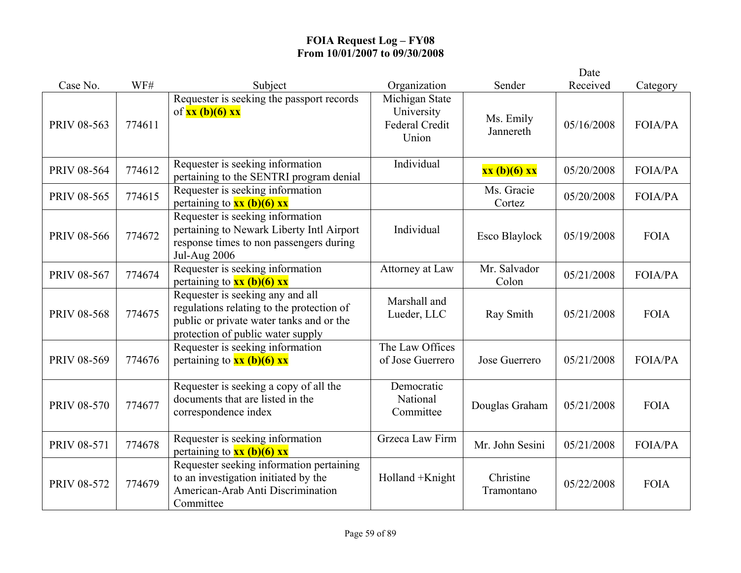|                    |        |                                                                                                                                                                |                                                         |                         | Date       |                |
|--------------------|--------|----------------------------------------------------------------------------------------------------------------------------------------------------------------|---------------------------------------------------------|-------------------------|------------|----------------|
| Case No.           | WF#    | Subject                                                                                                                                                        | Organization                                            | Sender                  | Received   | Category       |
| PRIV 08-563        | 774611 | Requester is seeking the passport records<br>of $xx$ (b)(6) $xx$                                                                                               | Michigan State<br>University<br>Federal Credit<br>Union | Ms. Emily<br>Jannereth  | 05/16/2008 | FOIA/PA        |
| PRIV 08-564        | 774612 | Requester is seeking information<br>pertaining to the SENTRI program denial                                                                                    | Individual                                              | xx (b)(6) xx            | 05/20/2008 | <b>FOIA/PA</b> |
| PRIV 08-565        | 774615 | Requester is seeking information<br>pertaining to $xx$ (b)(6) $xx$                                                                                             |                                                         | Ms. Gracie<br>Cortez    | 05/20/2008 | FOIA/PA        |
| PRIV 08-566        | 774672 | Requester is seeking information<br>pertaining to Newark Liberty Intl Airport<br>response times to non passengers during<br><b>Jul-Aug 2006</b>                | Individual                                              | Esco Blaylock           | 05/19/2008 | <b>FOIA</b>    |
| PRIV 08-567        | 774674 | Requester is seeking information<br>pertaining to $xx$ (b)(6) xx                                                                                               | Attorney at Law                                         | Mr. Salvador<br>Colon   | 05/21/2008 | <b>FOIA/PA</b> |
| <b>PRIV 08-568</b> | 774675 | Requester is seeking any and all<br>regulations relating to the protection of<br>public or private water tanks and or the<br>protection of public water supply | Marshall and<br>Lueder, LLC                             | Ray Smith               | 05/21/2008 | <b>FOIA</b>    |
| PRIV 08-569        | 774676 | Requester is seeking information<br>pertaining to $xx$ (b)(6) $xx$                                                                                             | The Law Offices<br>of Jose Guerrero                     | Jose Guerrero           | 05/21/2008 | <b>FOIA/PA</b> |
| <b>PRIV 08-570</b> | 774677 | Requester is seeking a copy of all the<br>documents that are listed in the<br>correspondence index                                                             | Democratic<br>National<br>Committee                     | Douglas Graham          | 05/21/2008 | <b>FOIA</b>    |
| PRIV 08-571        | 774678 | Requester is seeking information<br>pertaining to $\frac{xx(b)(6)xx}{2}$                                                                                       | Grzeca Law Firm                                         | Mr. John Sesini         | 05/21/2008 | <b>FOIA/PA</b> |
| PRIV 08-572        | 774679 | Requester seeking information pertaining<br>to an investigation initiated by the<br>American-Arab Anti Discrimination<br>Committee                             | Holland +Knight                                         | Christine<br>Tramontano | 05/22/2008 | <b>FOIA</b>    |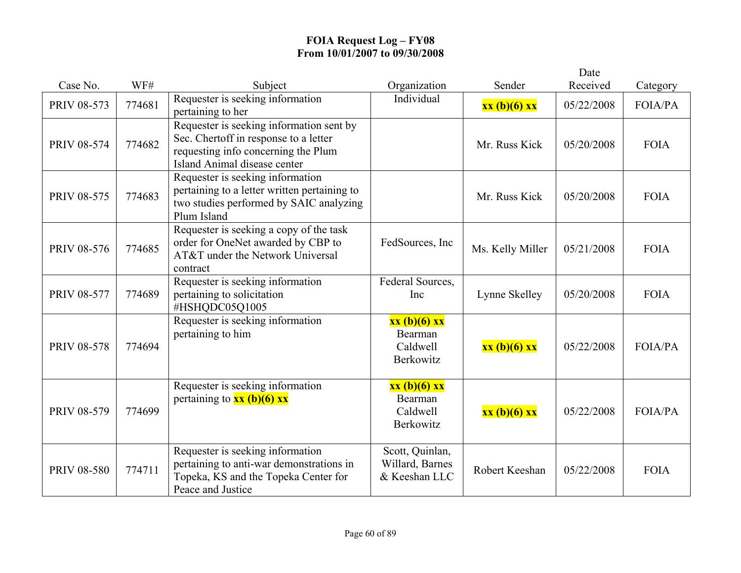|                    |        |                                                                                                                                                          |                                                     |                  | Date       |                |
|--------------------|--------|----------------------------------------------------------------------------------------------------------------------------------------------------------|-----------------------------------------------------|------------------|------------|----------------|
| Case No.           | WF#    | Subject                                                                                                                                                  | Organization                                        | Sender           | Received   | Category       |
| PRIV 08-573        | 774681 | Requester is seeking information<br>pertaining to her                                                                                                    | Individual                                          | xx (b)(6) xx     | 05/22/2008 | <b>FOIA/PA</b> |
| PRIV 08-574        | 774682 | Requester is seeking information sent by<br>Sec. Chertoff in response to a letter<br>requesting info concerning the Plum<br>Island Animal disease center |                                                     | Mr. Russ Kick    | 05/20/2008 | <b>FOIA</b>    |
| <b>PRIV 08-575</b> | 774683 | Requester is seeking information<br>pertaining to a letter written pertaining to<br>two studies performed by SAIC analyzing<br>Plum Island               |                                                     | Mr. Russ Kick    | 05/20/2008 | <b>FOIA</b>    |
| <b>PRIV 08-576</b> | 774685 | Requester is seeking a copy of the task<br>order for OneNet awarded by CBP to<br>AT&T under the Network Universal<br>contract                            | FedSources, Inc.                                    | Ms. Kelly Miller | 05/21/2008 | <b>FOIA</b>    |
| <b>PRIV 08-577</b> | 774689 | Requester is seeking information<br>pertaining to solicitation<br>#HSHQDC05Q1005                                                                         | Federal Sources,<br>Inc                             | Lynne Skelley    | 05/20/2008 | <b>FOIA</b>    |
| <b>PRIV 08-578</b> | 774694 | Requester is seeking information<br>pertaining to him                                                                                                    | xx (b)(6) xx<br>Bearman<br>Caldwell<br>Berkowitz    | xx (b)(6) xx     | 05/22/2008 | <b>FOIA/PA</b> |
| PRIV 08-579        | 774699 | Requester is seeking information<br>pertaining to $xx$ (b)(6) $xx$                                                                                       | xx (b)(6) xx<br>Bearman<br>Caldwell<br>Berkowitz    | xx (b)(6) xx     | 05/22/2008 | <b>FOIA/PA</b> |
| <b>PRIV 08-580</b> | 774711 | Requester is seeking information<br>pertaining to anti-war demonstrations in<br>Topeka, KS and the Topeka Center for<br>Peace and Justice                | Scott, Quinlan,<br>Willard, Barnes<br>& Keeshan LLC | Robert Keeshan   | 05/22/2008 | <b>FOIA</b>    |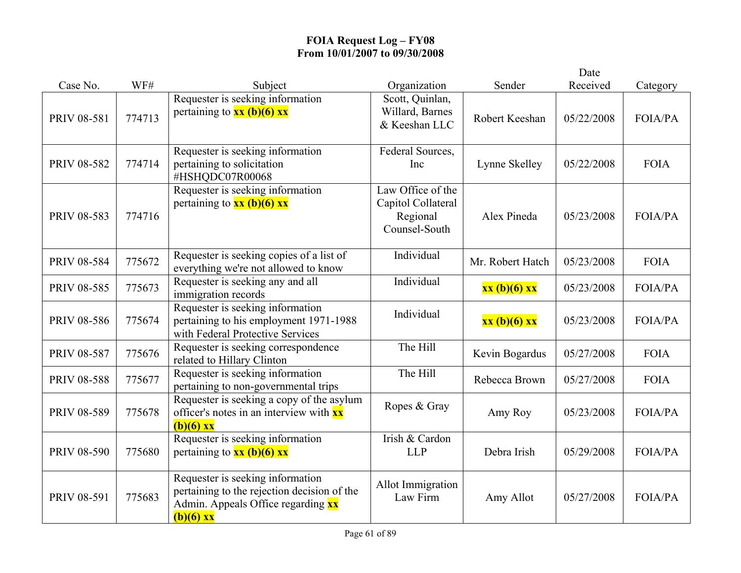|                    |        |                                                                                                                                      |                                                                      |                  | Date       |                |
|--------------------|--------|--------------------------------------------------------------------------------------------------------------------------------------|----------------------------------------------------------------------|------------------|------------|----------------|
| Case No.           | WF#    | Subject                                                                                                                              | Organization                                                         | Sender           | Received   | Category       |
| <b>PRIV 08-581</b> | 774713 | Requester is seeking information<br>pertaining to $xx$ (b)(6) xx                                                                     | Scott, Quinlan,<br>Willard, Barnes<br>& Keeshan LLC                  | Robert Keeshan   | 05/22/2008 | FOIA/PA        |
| PRIV 08-582        | 774714 | Requester is seeking information<br>pertaining to solicitation<br>#HSHQDC07R00068                                                    | Federal Sources,<br>Inc                                              | Lynne Skelley    | 05/22/2008 | <b>FOIA</b>    |
| PRIV 08-583        | 774716 | Requester is seeking information<br>pertaining to $xx$ (b)(6) $xx$                                                                   | Law Office of the<br>Capitol Collateral<br>Regional<br>Counsel-South | Alex Pineda      | 05/23/2008 | FOIA/PA        |
| <b>PRIV 08-584</b> | 775672 | Requester is seeking copies of a list of<br>everything we're not allowed to know                                                     | Individual                                                           | Mr. Robert Hatch | 05/23/2008 | <b>FOIA</b>    |
| PRIV 08-585        | 775673 | Requester is seeking any and all<br>immigration records                                                                              | Individual                                                           | xx (b)(6) xx     | 05/23/2008 | <b>FOIA/PA</b> |
| <b>PRIV 08-586</b> | 775674 | Requester is seeking information<br>pertaining to his employment 1971-1988<br>with Federal Protective Services                       | Individual                                                           | xx (b)(6) xx     | 05/23/2008 | FOIA/PA        |
| PRIV 08-587        | 775676 | Requester is seeking correspondence<br>related to Hillary Clinton                                                                    | The Hill                                                             | Kevin Bogardus   | 05/27/2008 | <b>FOIA</b>    |
| <b>PRIV 08-588</b> | 775677 | Requester is seeking information<br>pertaining to non-governmental trips                                                             | The Hill                                                             | Rebecca Brown    | 05/27/2008 | <b>FOIA</b>    |
| PRIV 08-589        | 775678 | Requester is seeking a copy of the asylum<br>officer's notes in an interview with $\frac{xx}{ }$<br>$(b)(6)$ xx                      | Ropes & Gray                                                         | Amy Roy          | 05/23/2008 | <b>FOIA/PA</b> |
| <b>PRIV 08-590</b> | 775680 | Requester is seeking information<br>pertaining to $\frac{xx}{b}(6)$ xx                                                               | Irish & Cardon<br><b>LLP</b>                                         | Debra Irish      | 05/29/2008 | <b>FOIA/PA</b> |
| PRIV 08-591        | 775683 | Requester is seeking information<br>pertaining to the rejection decision of the<br>Admin. Appeals Office regarding xx<br>$(b)(6)$ xx | Allot Immigration<br>Law Firm                                        | Amy Allot        | 05/27/2008 | FOIA/PA        |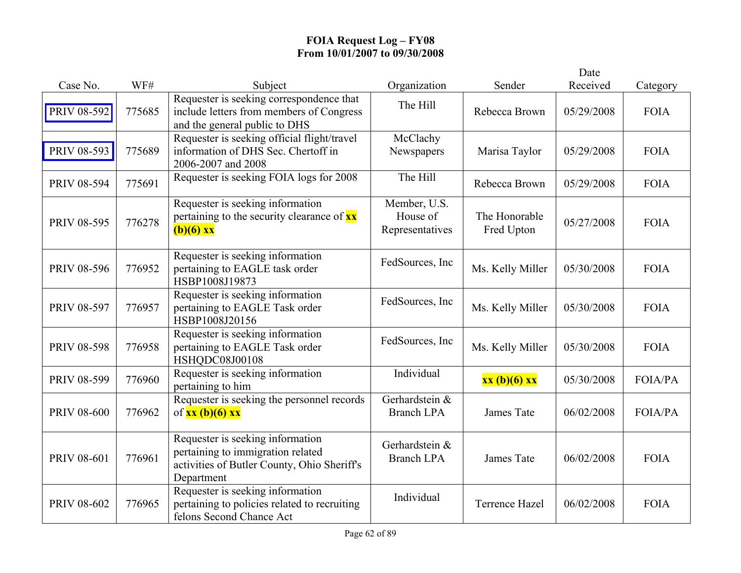|                    |        |                                                                                                                                    |                                             |                             | Date       |                |
|--------------------|--------|------------------------------------------------------------------------------------------------------------------------------------|---------------------------------------------|-----------------------------|------------|----------------|
| Case No.           | WF#    | Subject                                                                                                                            | Organization                                | Sender                      | Received   | Category       |
| PRIV 08-592        | 775685 | Requester is seeking correspondence that<br>include letters from members of Congress<br>and the general public to DHS              | The Hill                                    | Rebecca Brown               | 05/29/2008 | <b>FOIA</b>    |
| PRIV 08-593        | 775689 | Requester is seeking official flight/travel<br>information of DHS Sec. Chertoff in<br>2006-2007 and 2008                           | McClachy<br>Newspapers                      | Marisa Taylor               | 05/29/2008 | <b>FOIA</b>    |
| PRIV 08-594        | 775691 | Requester is seeking FOIA logs for 2008                                                                                            | The Hill                                    | Rebecca Brown               | 05/29/2008 | <b>FOIA</b>    |
| PRIV 08-595        | 776278 | Requester is seeking information<br>pertaining to the security clearance of $\mathbf{x} \mathbf{x}$<br>$(b)(6)$ xx                 | Member, U.S.<br>House of<br>Representatives | The Honorable<br>Fred Upton | 05/27/2008 | <b>FOIA</b>    |
| <b>PRIV 08-596</b> | 776952 | Requester is seeking information<br>pertaining to EAGLE task order<br>HSBP1008J19873                                               | FedSources, Inc                             | Ms. Kelly Miller            | 05/30/2008 | <b>FOIA</b>    |
| <b>PRIV 08-597</b> | 776957 | Requester is seeking information<br>pertaining to EAGLE Task order<br>HSBP1008J20156                                               | FedSources, Inc                             | Ms. Kelly Miller            | 05/30/2008 | <b>FOIA</b>    |
| PRIV 08-598        | 776958 | Requester is seeking information<br>pertaining to EAGLE Task order<br>HSHQDC08J00108                                               | FedSources, Inc                             | Ms. Kelly Miller            | 05/30/2008 | <b>FOIA</b>    |
| PRIV 08-599        | 776960 | Requester is seeking information<br>pertaining to him                                                                              | Individual                                  | xx (b)(6) xx                | 05/30/2008 | <b>FOIA/PA</b> |
| <b>PRIV 08-600</b> | 776962 | Requester is seeking the personnel records<br>of $xx$ (b)(6) $xx$                                                                  | Gerhardstein &<br><b>Branch LPA</b>         | James Tate                  | 06/02/2008 | <b>FOIA/PA</b> |
| PRIV 08-601        | 776961 | Requester is seeking information<br>pertaining to immigration related<br>activities of Butler County, Ohio Sheriff's<br>Department | Gerhardstein &<br><b>Branch LPA</b>         | James Tate                  | 06/02/2008 | <b>FOIA</b>    |
| PRIV 08-602        | 776965 | Requester is seeking information<br>pertaining to policies related to recruiting<br>felons Second Chance Act                       | Individual                                  | <b>Terrence Hazel</b>       | 06/02/2008 | <b>FOIA</b>    |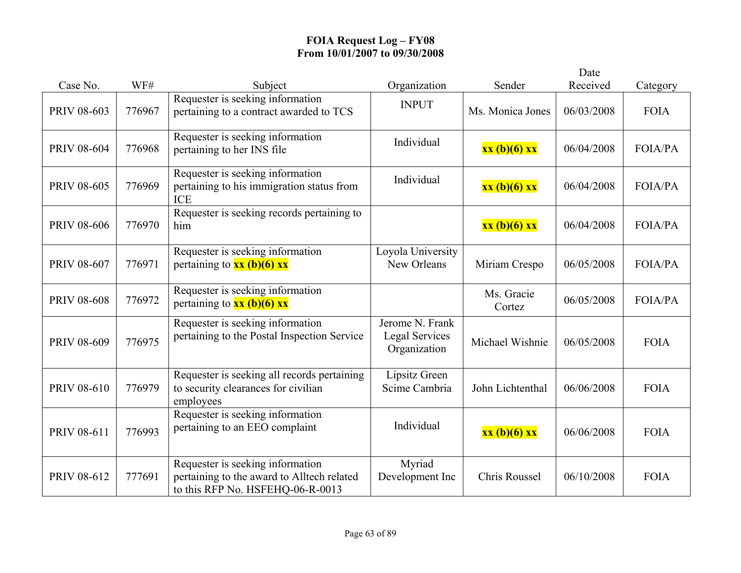|                    |        |                                                                                                                    |                                                   |                      | Date       |                |
|--------------------|--------|--------------------------------------------------------------------------------------------------------------------|---------------------------------------------------|----------------------|------------|----------------|
| Case No.           | WF#    | Subject                                                                                                            | Organization                                      | Sender               | Received   | Category       |
| PRIV 08-603        | 776967 | Requester is seeking information<br>pertaining to a contract awarded to TCS                                        | <b>INPUT</b>                                      | Ms. Monica Jones     | 06/03/2008 | <b>FOIA</b>    |
| <b>PRIV 08-604</b> | 776968 | Requester is seeking information<br>pertaining to her INS file                                                     | Individual                                        | xx (b)(6) xx         | 06/04/2008 | <b>FOIA/PA</b> |
| <b>PRIV 08-605</b> | 776969 | Requester is seeking information<br>pertaining to his immigration status from<br><b>ICE</b>                        | Individual                                        | xx (b)(6) xx         | 06/04/2008 | <b>FOIA/PA</b> |
| <b>PRIV 08-606</b> | 776970 | Requester is seeking records pertaining to<br>him                                                                  |                                                   | xx (b)(6) xx         | 06/04/2008 | <b>FOIA/PA</b> |
| PRIV 08-607        | 776971 | Requester is seeking information<br>pertaining to $xx$ (b)(6) $xx$                                                 | Loyola University<br>New Orleans                  | Miriam Crespo        | 06/05/2008 | <b>FOIA/PA</b> |
| <b>PRIV 08-608</b> | 776972 | Requester is seeking information<br>pertaining to $xx$ (b)(6) $xx$                                                 |                                                   | Ms. Gracie<br>Cortez | 06/05/2008 | <b>FOIA/PA</b> |
| PRIV 08-609        | 776975 | Requester is seeking information<br>pertaining to the Postal Inspection Service                                    | Jerome N. Frank<br>Legal Services<br>Organization | Michael Wishnie      | 06/05/2008 | <b>FOIA</b>    |
| PRIV 08-610        | 776979 | Requester is seeking all records pertaining<br>to security clearances for civilian<br>employees                    | Lipsitz Green<br>Scime Cambria                    | John Lichtenthal     | 06/06/2008 | <b>FOIA</b>    |
| PRIV 08-611        | 776993 | Requester is seeking information<br>pertaining to an EEO complaint                                                 | Individual                                        | xx (b)(6) xx         | 06/06/2008 | <b>FOIA</b>    |
| PRIV 08-612        | 777691 | Requester is seeking information<br>pertaining to the award to Alltech related<br>to this RFP No. HSFEHQ-06-R-0013 | Myriad<br>Development Inc                         | Chris Roussel        | 06/10/2008 | <b>FOIA</b>    |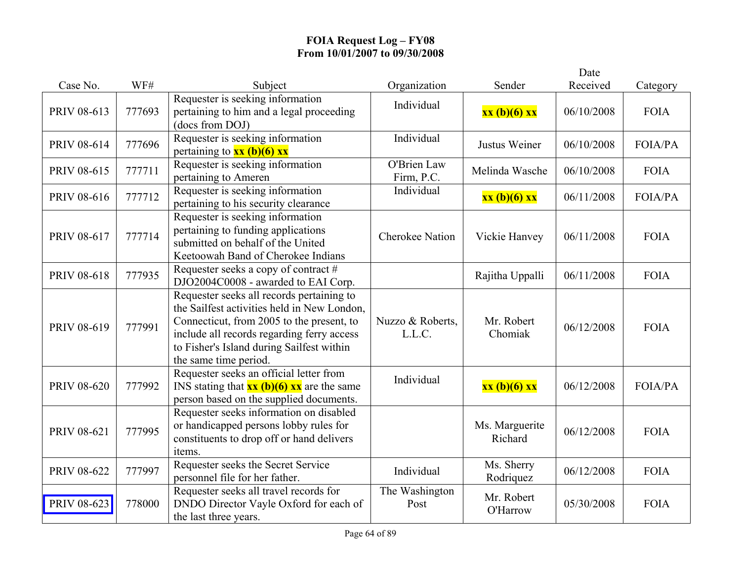|                    |        |                                                                                                                                                                                                                                                           |                            |                           | Date       |                |
|--------------------|--------|-----------------------------------------------------------------------------------------------------------------------------------------------------------------------------------------------------------------------------------------------------------|----------------------------|---------------------------|------------|----------------|
| Case No.           | WF#    | Subject                                                                                                                                                                                                                                                   | Organization               | Sender                    | Received   | Category       |
| PRIV 08-613        | 777693 | Requester is seeking information<br>pertaining to him and a legal proceeding<br>(docs from DOJ)                                                                                                                                                           | Individual                 | xx (b)(6) xx              | 06/10/2008 | <b>FOIA</b>    |
| PRIV 08-614        | 777696 | Requester is seeking information<br>pertaining to $xx$ (b)(6) xx                                                                                                                                                                                          | Individual                 | Justus Weiner             | 06/10/2008 | <b>FOIA/PA</b> |
| PRIV 08-615        | 777711 | Requester is seeking information<br>pertaining to Ameren                                                                                                                                                                                                  | O'Brien Law<br>Firm, P.C.  | Melinda Wasche            | 06/10/2008 | <b>FOIA</b>    |
| PRIV 08-616        | 777712 | Requester is seeking information<br>pertaining to his security clearance                                                                                                                                                                                  | Individual                 | xx (b)(6) xx              | 06/11/2008 | FOIA/PA        |
| PRIV 08-617        | 777714 | Requester is seeking information<br>pertaining to funding applications<br>submitted on behalf of the United<br>Keetoowah Band of Cherokee Indians                                                                                                         | <b>Cherokee Nation</b>     | Vickie Hanvey             | 06/11/2008 | <b>FOIA</b>    |
| PRIV 08-618        | 777935 | Requester seeks a copy of contract #<br>DJO2004C0008 - awarded to EAI Corp.                                                                                                                                                                               |                            | Rajitha Uppalli           | 06/11/2008 | <b>FOIA</b>    |
| PRIV 08-619        | 777991 | Requester seeks all records pertaining to<br>the Sailfest activities held in New London,<br>Connecticut, from 2005 to the present, to<br>include all records regarding ferry access<br>to Fisher's Island during Sailfest within<br>the same time period. | Nuzzo & Roberts,<br>L.L.C. | Mr. Robert<br>Chomiak     | 06/12/2008 | <b>FOIA</b>    |
| <b>PRIV 08-620</b> | 777992 | Requester seeks an official letter from<br>INS stating that $\frac{xx(b)(6)}{x}$ are the same<br>person based on the supplied documents.                                                                                                                  | Individual                 | xx (b)(6) xx              | 06/12/2008 | FOIA/PA        |
| PRIV 08-621        | 777995 | Requester seeks information on disabled<br>or handicapped persons lobby rules for<br>constituents to drop off or hand delivers<br>items.                                                                                                                  |                            | Ms. Marguerite<br>Richard | 06/12/2008 | <b>FOIA</b>    |
| PRIV 08-622        | 777997 | Requester seeks the Secret Service<br>personnel file for her father.                                                                                                                                                                                      | Individual                 | Ms. Sherry<br>Rodriquez   | 06/12/2008 | <b>FOIA</b>    |
| PRIV 08-623        | 778000 | Requester seeks all travel records for<br>DNDO Director Vayle Oxford for each of<br>the last three years.                                                                                                                                                 | The Washington<br>Post     | Mr. Robert<br>O'Harrow    | 05/30/2008 | <b>FOIA</b>    |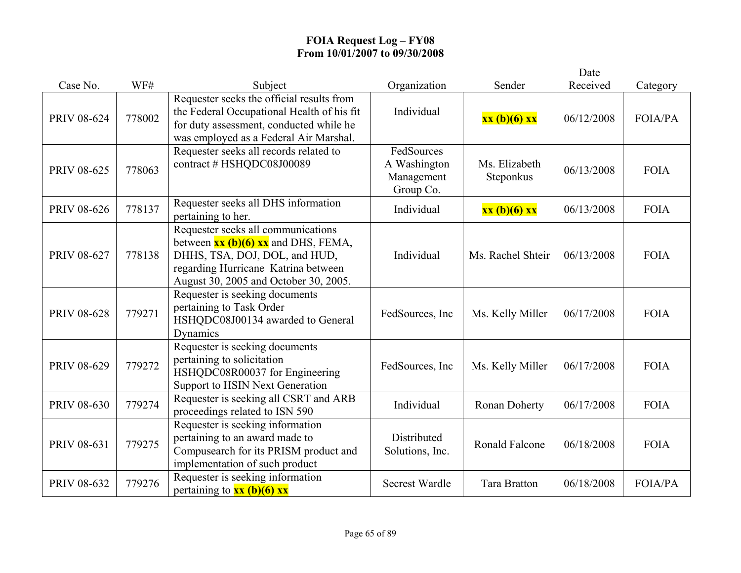|                    |        |                                                                                                                                                                                                                                                          |                                                       |                            | Date       |                |
|--------------------|--------|----------------------------------------------------------------------------------------------------------------------------------------------------------------------------------------------------------------------------------------------------------|-------------------------------------------------------|----------------------------|------------|----------------|
| Case No.           | WF#    | Subject                                                                                                                                                                                                                                                  | Organization                                          | Sender                     | Received   | Category       |
| PRIV 08-624        | 778002 | Requester seeks the official results from<br>the Federal Occupational Health of his fit<br>for duty assessment, conducted while he<br>was employed as a Federal Air Marshal.                                                                             | Individual                                            | xx (b)(6) xx               | 06/12/2008 | FOIA/PA        |
| PRIV 08-625        | 778063 | Requester seeks all records related to<br>contract # HSHQDC08J00089                                                                                                                                                                                      | FedSources<br>A Washington<br>Management<br>Group Co. | Ms. Elizabeth<br>Steponkus | 06/13/2008 | <b>FOIA</b>    |
| <b>PRIV 08-626</b> | 778137 | Requester seeks all DHS information<br>pertaining to her.                                                                                                                                                                                                | Individual                                            | xx (b)(6) xx               | 06/13/2008 | <b>FOIA</b>    |
| PRIV 08-627        | 778138 | Requester seeks all communications<br>between $\overline{\mathbf{x}\mathbf{x}}$ (b)(6) $\overline{\mathbf{x}\mathbf{x}}$ and DHS, FEMA,<br>DHHS, TSA, DOJ, DOL, and HUD,<br>regarding Hurricane Katrina between<br>August 30, 2005 and October 30, 2005. | Individual                                            | Ms. Rachel Shteir          | 06/13/2008 | <b>FOIA</b>    |
| <b>PRIV 08-628</b> | 779271 | Requester is seeking documents<br>pertaining to Task Order<br>HSHQDC08J00134 awarded to General<br>Dynamics                                                                                                                                              | FedSources, Inc.                                      | Ms. Kelly Miller           | 06/17/2008 | <b>FOIA</b>    |
| PRIV 08-629        | 779272 | Requester is seeking documents<br>pertaining to solicitation<br>HSHQDC08R00037 for Engineering<br>Support to HSIN Next Generation                                                                                                                        | FedSources, Inc                                       | Ms. Kelly Miller           | 06/17/2008 | <b>FOIA</b>    |
| PRIV 08-630        | 779274 | Requester is seeking all CSRT and ARB<br>proceedings related to ISN 590                                                                                                                                                                                  | Individual                                            | Ronan Doherty              | 06/17/2008 | <b>FOIA</b>    |
| PRIV 08-631        | 779275 | Requester is seeking information<br>pertaining to an award made to<br>Compusearch for its PRISM product and<br>implementation of such product                                                                                                            | Distributed<br>Solutions, Inc.                        | <b>Ronald Falcone</b>      | 06/18/2008 | <b>FOIA</b>    |
| PRIV 08-632        | 779276 | Requester is seeking information<br>pertaining to $xx$ (b)(6) xx                                                                                                                                                                                         | <b>Secrest Wardle</b>                                 | <b>Tara Bratton</b>        | 06/18/2008 | <b>FOIA/PA</b> |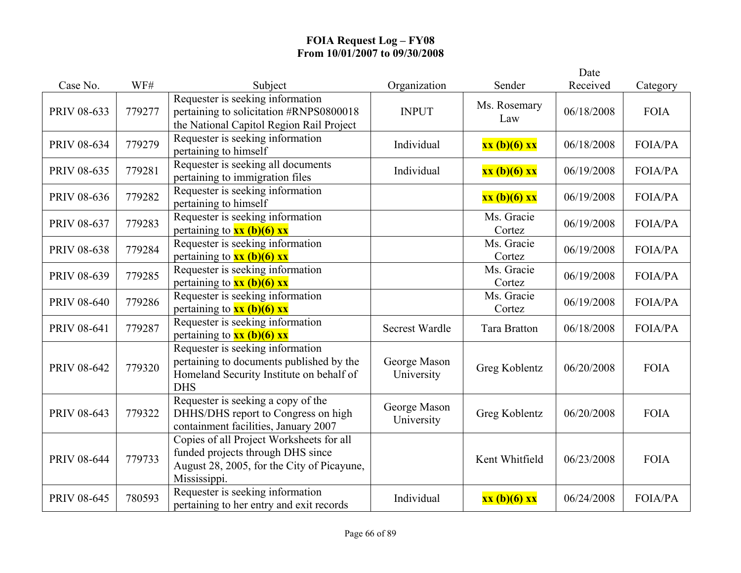|                    |        |                                                                                                                                             |                            |                      | Date       |                |
|--------------------|--------|---------------------------------------------------------------------------------------------------------------------------------------------|----------------------------|----------------------|------------|----------------|
| Case No.           | WF#    | Subject                                                                                                                                     | Organization               | Sender               | Received   | Category       |
| PRIV 08-633        | 779277 | Requester is seeking information<br>pertaining to solicitation #RNPS0800018<br>the National Capitol Region Rail Project                     | <b>INPUT</b>               | Ms. Rosemary<br>Law  | 06/18/2008 | <b>FOIA</b>    |
| PRIV 08-634        | 779279 | Requester is seeking information<br>pertaining to himself                                                                                   | Individual                 | xx (b)(6) xx         | 06/18/2008 | <b>FOIA/PA</b> |
| PRIV 08-635        | 779281 | Requester is seeking all documents<br>pertaining to immigration files                                                                       | Individual                 | xx (b)(6) xx         | 06/19/2008 | <b>FOIA/PA</b> |
| PRIV 08-636        | 779282 | Requester is seeking information<br>pertaining to himself                                                                                   |                            | xx (b)(6) xx         | 06/19/2008 | <b>FOIA/PA</b> |
| PRIV 08-637        | 779283 | Requester is seeking information<br>pertaining to $xx$ (b)(6) xx                                                                            |                            | Ms. Gracie<br>Cortez | 06/19/2008 | <b>FOIA/PA</b> |
| <b>PRIV 08-638</b> | 779284 | Requester is seeking information<br>pertaining to $xx$ (b)(6) xx                                                                            |                            | Ms. Gracie<br>Cortez | 06/19/2008 | FOIA/PA        |
| PRIV 08-639        | 779285 | Requester is seeking information<br>pertaining to $\frac{xx}{b}(6)$ xx                                                                      |                            | Ms. Gracie<br>Cortez | 06/19/2008 | <b>FOIA/PA</b> |
| <b>PRIV 08-640</b> | 779286 | Requester is seeking information<br>pertaining to $\frac{xx}{b}(6)$ $\frac{5}{x}$                                                           |                            | Ms. Gracie<br>Cortez | 06/19/2008 | <b>FOIA/PA</b> |
| <b>PRIV 08-641</b> | 779287 | Requester is seeking information<br>pertaining to $xx$ (b)(6) xx                                                                            | <b>Secrest Wardle</b>      | <b>Tara Bratton</b>  | 06/18/2008 | <b>FOIA/PA</b> |
| PRIV 08-642        | 779320 | Requester is seeking information<br>pertaining to documents published by the<br>Homeland Security Institute on behalf of<br><b>DHS</b>      | George Mason<br>University | Greg Koblentz        | 06/20/2008 | <b>FOIA</b>    |
| PRIV 08-643        | 779322 | Requester is seeking a copy of the<br>DHHS/DHS report to Congress on high<br>containment facilities, January 2007                           | George Mason<br>University | Greg Koblentz        | 06/20/2008 | <b>FOIA</b>    |
| <b>PRIV 08-644</b> | 779733 | Copies of all Project Worksheets for all<br>funded projects through DHS since<br>August 28, 2005, for the City of Picayune,<br>Mississippi. |                            | Kent Whitfield       | 06/23/2008 | <b>FOIA</b>    |
| <b>PRIV 08-645</b> | 780593 | Requester is seeking information<br>pertaining to her entry and exit records                                                                | Individual                 | xx (b)(6) xx         | 06/24/2008 | <b>FOIA/PA</b> |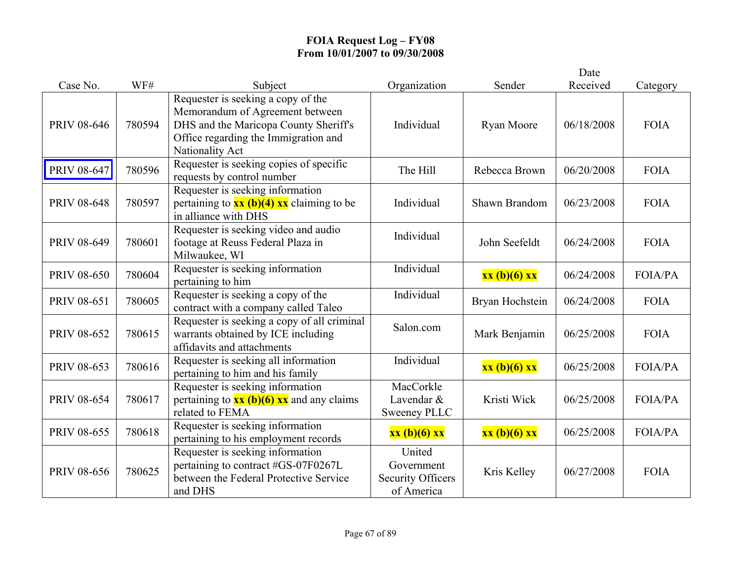|                    |        |                                                                                                                                                                           |                                                                |                 | Date       |                |
|--------------------|--------|---------------------------------------------------------------------------------------------------------------------------------------------------------------------------|----------------------------------------------------------------|-----------------|------------|----------------|
| Case No.           | WF#    | Subject                                                                                                                                                                   | Organization                                                   | Sender          | Received   | Category       |
| <b>PRIV 08-646</b> | 780594 | Requester is seeking a copy of the<br>Memorandum of Agreement between<br>DHS and the Maricopa County Sheriff's<br>Office regarding the Immigration and<br>Nationality Act | Individual                                                     | Ryan Moore      | 06/18/2008 | <b>FOIA</b>    |
| <b>PRIV 08-647</b> | 780596 | Requester is seeking copies of specific<br>requests by control number                                                                                                     | The Hill                                                       | Rebecca Brown   | 06/20/2008 | <b>FOIA</b>    |
| <b>PRIV 08-648</b> | 780597 | Requester is seeking information<br>pertaining to $xx$ (b)(4) $xx$ claiming to be<br>in alliance with DHS                                                                 | Individual                                                     | Shawn Brandom   | 06/23/2008 | <b>FOIA</b>    |
| PRIV 08-649        | 780601 | Requester is seeking video and audio<br>footage at Reuss Federal Plaza in<br>Milwaukee, WI                                                                                | Individual                                                     | John Seefeldt   | 06/24/2008 | <b>FOIA</b>    |
| <b>PRIV 08-650</b> | 780604 | Requester is seeking information<br>pertaining to him                                                                                                                     | Individual                                                     | xx (b)(6) xx    | 06/24/2008 | <b>FOIA/PA</b> |
| PRIV 08-651        | 780605 | Requester is seeking a copy of the<br>contract with a company called Taleo                                                                                                | Individual                                                     | Bryan Hochstein | 06/24/2008 | <b>FOIA</b>    |
| PRIV 08-652        | 780615 | Requester is seeking a copy of all criminal<br>warrants obtained by ICE including<br>affidavits and attachments                                                           | Salon.com                                                      | Mark Benjamin   | 06/25/2008 | <b>FOIA</b>    |
| PRIV 08-653        | 780616 | Requester is seeking all information<br>pertaining to him and his family                                                                                                  | Individual                                                     | xx (b)(6) xx    | 06/25/2008 | <b>FOIA/PA</b> |
| PRIV 08-654        | 780617 | Requester is seeking information<br>pertaining to $\frac{xx (b)(6) xx}{x}$ and any claims<br>related to FEMA                                                              | MacCorkle<br>Lavendar &<br><b>Sweeney PLLC</b>                 | Kristi Wick     | 06/25/2008 | <b>FOIA/PA</b> |
| PRIV 08-655        | 780618 | Requester is seeking information<br>pertaining to his employment records                                                                                                  | xx (b)(6) xx                                                   | xx (b)(6) xx    | 06/25/2008 | <b>FOIA/PA</b> |
| PRIV 08-656        | 780625 | Requester is seeking information<br>pertaining to contract #GS-07F0267L<br>between the Federal Protective Service<br>and DHS                                              | United<br>Government<br><b>Security Officers</b><br>of America | Kris Kelley     | 06/27/2008 | <b>FOIA</b>    |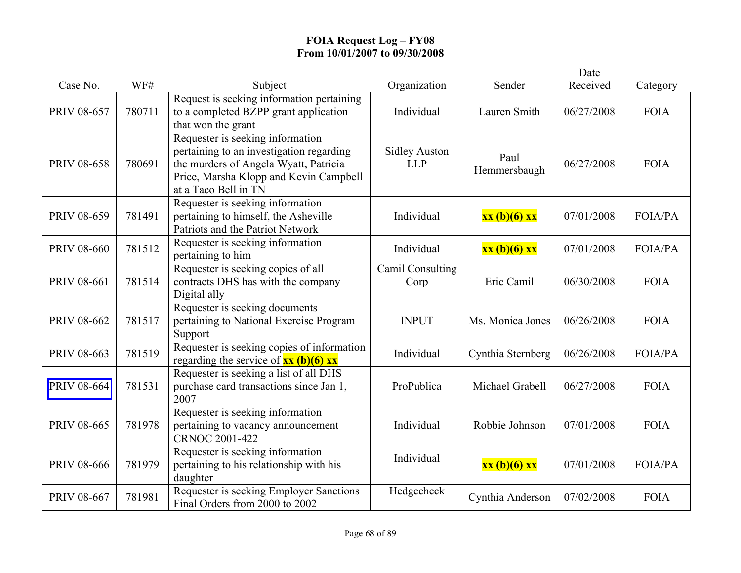|                    |        |                                                                                                                                                                                         |                                    |                      | Date       |                |
|--------------------|--------|-----------------------------------------------------------------------------------------------------------------------------------------------------------------------------------------|------------------------------------|----------------------|------------|----------------|
| Case No.           | WF#    | Subject                                                                                                                                                                                 | Organization                       | Sender               | Received   | Category       |
| PRIV 08-657        | 780711 | Request is seeking information pertaining<br>to a completed BZPP grant application<br>that won the grant                                                                                | Individual                         | Lauren Smith         | 06/27/2008 | <b>FOIA</b>    |
| <b>PRIV 08-658</b> | 780691 | Requester is seeking information<br>pertaining to an investigation regarding<br>the murders of Angela Wyatt, Patricia<br>Price, Marsha Klopp and Kevin Campbell<br>at a Taco Bell in TN | <b>Sidley Auston</b><br><b>LLP</b> | Paul<br>Hemmersbaugh | 06/27/2008 | <b>FOIA</b>    |
| PRIV 08-659        | 781491 | Requester is seeking information<br>pertaining to himself, the Asheville<br>Patriots and the Patriot Network                                                                            | Individual                         | xx (b)(6) xx         | 07/01/2008 | <b>FOIA/PA</b> |
| <b>PRIV 08-660</b> | 781512 | Requester is seeking information<br>pertaining to him                                                                                                                                   | Individual                         | xx (b)(6) xx         | 07/01/2008 | <b>FOIA/PA</b> |
| PRIV 08-661        | 781514 | Requester is seeking copies of all<br>contracts DHS has with the company<br>Digital ally                                                                                                | Camil Consulting<br>Corp           | Eric Camil           | 06/30/2008 | <b>FOIA</b>    |
| PRIV 08-662        | 781517 | Requester is seeking documents<br>pertaining to National Exercise Program<br>Support                                                                                                    | <b>INPUT</b>                       | Ms. Monica Jones     | 06/26/2008 | <b>FOIA</b>    |
| PRIV 08-663        | 781519 | Requester is seeking copies of information<br>regarding the service of $xx$ (b)(6) xx                                                                                                   | Individual                         | Cynthia Sternberg    | 06/26/2008 | FOIA/PA        |
| PRIV 08-664        | 781531 | Requester is seeking a list of all DHS<br>purchase card transactions since Jan 1,<br>2007                                                                                               | ProPublica                         | Michael Grabell      | 06/27/2008 | <b>FOIA</b>    |
| PRIV 08-665        | 781978 | Requester is seeking information<br>pertaining to vacancy announcement<br><b>CRNOC 2001-422</b>                                                                                         | Individual                         | Robbie Johnson       | 07/01/2008 | <b>FOIA</b>    |
| <b>PRIV 08-666</b> | 781979 | Requester is seeking information<br>pertaining to his relationship with his<br>daughter                                                                                                 | Individual                         | xx (b)(6) xx         | 07/01/2008 | <b>FOIA/PA</b> |
| PRIV 08-667        | 781981 | Requester is seeking Employer Sanctions<br>Final Orders from 2000 to 2002                                                                                                               | Hedgecheck                         | Cynthia Anderson     | 07/02/2008 | <b>FOIA</b>    |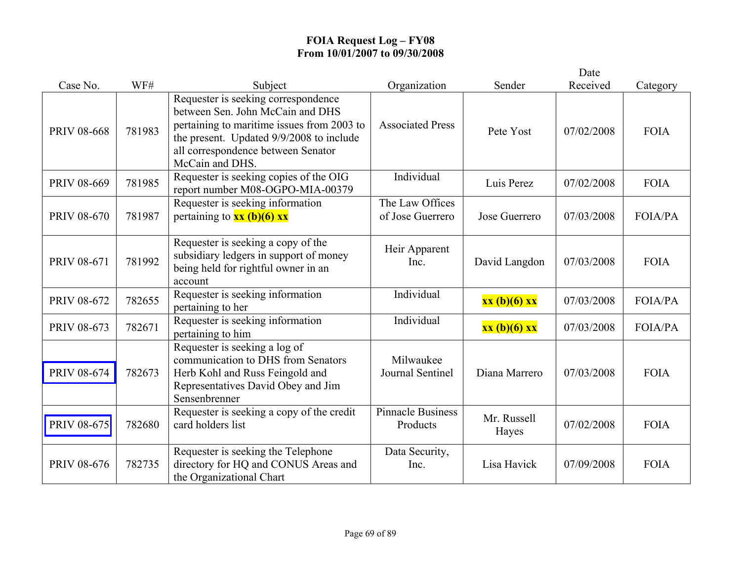|                    |        |                                                                                                                                                                                                                            |                                      |                      | Date       |                |
|--------------------|--------|----------------------------------------------------------------------------------------------------------------------------------------------------------------------------------------------------------------------------|--------------------------------------|----------------------|------------|----------------|
| Case No.           | WF#    | Subject                                                                                                                                                                                                                    | Organization                         | Sender               | Received   | Category       |
| <b>PRIV 08-668</b> | 781983 | Requester is seeking correspondence<br>between Sen. John McCain and DHS<br>pertaining to maritime issues from 2003 to<br>the present. Updated 9/9/2008 to include<br>all correspondence between Senator<br>McCain and DHS. | <b>Associated Press</b>              | Pete Yost            | 07/02/2008 | <b>FOIA</b>    |
| PRIV 08-669        | 781985 | Requester is seeking copies of the OIG<br>report number M08-OGPO-MIA-00379                                                                                                                                                 | Individual                           | Luis Perez           | 07/02/2008 | <b>FOIA</b>    |
| <b>PRIV 08-670</b> | 781987 | Requester is seeking information<br>pertaining to $xx$ (b)(6) xx                                                                                                                                                           | The Law Offices<br>of Jose Guerrero  | Jose Guerrero        | 07/03/2008 | <b>FOIA/PA</b> |
| PRIV 08-671        | 781992 | Requester is seeking a copy of the<br>subsidiary ledgers in support of money<br>being held for rightful owner in an<br>account                                                                                             | Heir Apparent<br>Inc.                | David Langdon        | 07/03/2008 | <b>FOIA</b>    |
| PRIV 08-672        | 782655 | Requester is seeking information<br>pertaining to her                                                                                                                                                                      | Individual                           | xx (b)(6) xx         | 07/03/2008 | <b>FOIA/PA</b> |
| PRIV 08-673        | 782671 | Requester is seeking information<br>pertaining to him                                                                                                                                                                      | Individual                           | xx (b)(6) xx         | 07/03/2008 | <b>FOIA/PA</b> |
| PRIV 08-674        | 782673 | Requester is seeking a log of<br>communication to DHS from Senators<br>Herb Kohl and Russ Feingold and<br>Representatives David Obey and Jim<br>Sensenbrenner                                                              | Milwaukee<br>Journal Sentinel        | Diana Marrero        | 07/03/2008 | <b>FOIA</b>    |
| <b>PRIV 08-675</b> | 782680 | Requester is seeking a copy of the credit<br>card holders list                                                                                                                                                             | <b>Pinnacle Business</b><br>Products | Mr. Russell<br>Hayes | 07/02/2008 | <b>FOIA</b>    |
| <b>PRIV 08-676</b> | 782735 | Requester is seeking the Telephone<br>directory for HQ and CONUS Areas and<br>the Organizational Chart                                                                                                                     | Data Security,<br>Inc.               | Lisa Havick          | 07/09/2008 | <b>FOIA</b>    |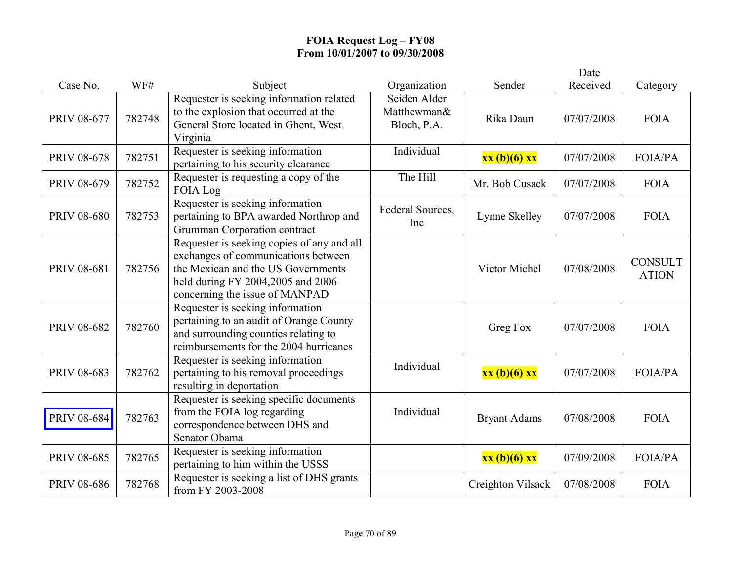|                    |        |                                                                                                                                                                                                |                                            |                     | Date       |                                |
|--------------------|--------|------------------------------------------------------------------------------------------------------------------------------------------------------------------------------------------------|--------------------------------------------|---------------------|------------|--------------------------------|
| Case No.           | WF#    | Subject                                                                                                                                                                                        | Organization                               | Sender              | Received   | Category                       |
| PRIV 08-677        | 782748 | Requester is seeking information related<br>to the explosion that occurred at the<br>General Store located in Ghent, West<br>Virginia                                                          | Seiden Alder<br>Matthewman&<br>Bloch, P.A. | Rika Daun           | 07/07/2008 | <b>FOIA</b>                    |
| <b>PRIV 08-678</b> | 782751 | Requester is seeking information<br>pertaining to his security clearance                                                                                                                       | Individual                                 | xx (b)(6) xx        | 07/07/2008 | <b>FOIA/PA</b>                 |
| PRIV 08-679        | 782752 | Requester is requesting a copy of the<br>FOIA Log                                                                                                                                              | The Hill                                   | Mr. Bob Cusack      | 07/07/2008 | <b>FOIA</b>                    |
| <b>PRIV 08-680</b> | 782753 | Requester is seeking information<br>pertaining to BPA awarded Northrop and<br>Grumman Corporation contract                                                                                     | Federal Sources,<br>Inc                    | Lynne Skelley       | 07/07/2008 | <b>FOIA</b>                    |
| PRIV 08-681        | 782756 | Requester is seeking copies of any and all<br>exchanges of communications between<br>the Mexican and the US Governments<br>held during FY 2004,2005 and 2006<br>concerning the issue of MANPAD |                                            | Victor Michel       | 07/08/2008 | <b>CONSULT</b><br><b>ATION</b> |
| PRIV 08-682        | 782760 | Requester is seeking information<br>pertaining to an audit of Orange County<br>and surrounding counties relating to<br>reimbursements for the 2004 hurricanes                                  |                                            | Greg Fox            | 07/07/2008 | <b>FOIA</b>                    |
| PRIV 08-683        | 782762 | Requester is seeking information<br>pertaining to his removal proceedings<br>resulting in deportation                                                                                          | Individual                                 | xx (b)(6) xx        | 07/07/2008 | <b>FOIA/PA</b>                 |
| <b>PRIV 08-684</b> | 782763 | Requester is seeking specific documents<br>from the FOIA log regarding<br>correspondence between DHS and<br>Senator Obama                                                                      | Individual                                 | <b>Bryant Adams</b> | 07/08/2008 | <b>FOIA</b>                    |
| PRIV 08-685        | 782765 | Requester is seeking information<br>pertaining to him within the USSS                                                                                                                          |                                            | xx (b)(6) xx        | 07/09/2008 | FOIA/PA                        |
| PRIV 08-686        | 782768 | Requester is seeking a list of DHS grants<br>from FY 2003-2008                                                                                                                                 |                                            | Creighton Vilsack   | 07/08/2008 | <b>FOIA</b>                    |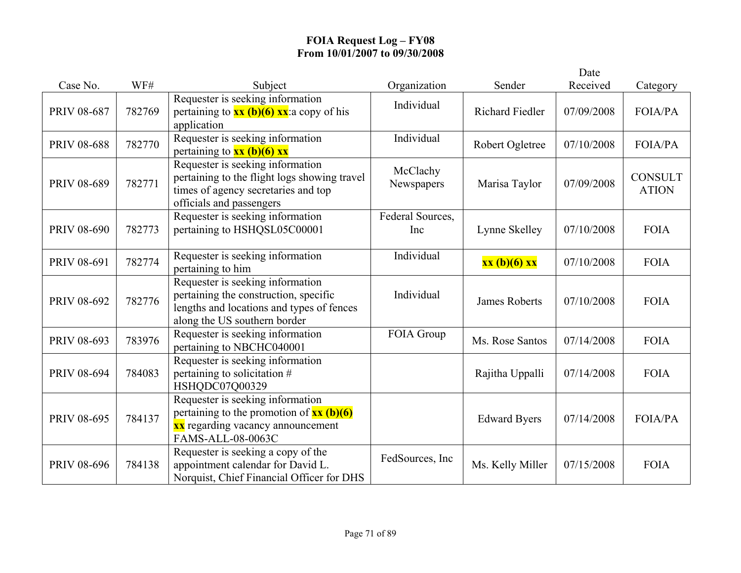|                    |        |                                                                                                                                                                                      |                         |                        | Date       |                                |
|--------------------|--------|--------------------------------------------------------------------------------------------------------------------------------------------------------------------------------------|-------------------------|------------------------|------------|--------------------------------|
| Case No.           | WF#    | Subject                                                                                                                                                                              | Organization            | Sender                 | Received   | Category                       |
| PRIV 08-687        | 782769 | Requester is seeking information<br>pertaining to $\frac{xx(b)(6)xx}{x}$ : a copy of his<br>application                                                                              | Individual              | <b>Richard Fiedler</b> | 07/09/2008 | <b>FOIA/PA</b>                 |
| <b>PRIV 08-688</b> | 782770 | Requester is seeking information<br>pertaining to $xx$ (b)(6) $xx$                                                                                                                   | Individual              | Robert Ogletree        | 07/10/2008 | <b>FOIA/PA</b>                 |
| PRIV 08-689        | 782771 | Requester is seeking information<br>pertaining to the flight logs showing travel<br>times of agency secretaries and top<br>officials and passengers                                  | McClachy<br>Newspapers  | Marisa Taylor          | 07/09/2008 | <b>CONSULT</b><br><b>ATION</b> |
| <b>PRIV 08-690</b> | 782773 | Requester is seeking information<br>pertaining to HSHQSL05C00001                                                                                                                     | Federal Sources,<br>Inc | Lynne Skelley          | 07/10/2008 | <b>FOIA</b>                    |
| PRIV 08-691        | 782774 | Requester is seeking information<br>pertaining to him                                                                                                                                | Individual              | xx (b)(6) xx           | 07/10/2008 | <b>FOIA</b>                    |
| PRIV 08-692        | 782776 | Requester is seeking information<br>pertaining the construction, specific<br>lengths and locations and types of fences<br>along the US southern border                               | Individual              | <b>James Roberts</b>   | 07/10/2008 | <b>FOIA</b>                    |
| PRIV 08-693        | 783976 | Requester is seeking information<br>pertaining to NBCHC040001                                                                                                                        | FOIA Group              | Ms. Rose Santos        | 07/14/2008 | <b>FOIA</b>                    |
| PRIV 08-694        | 784083 | Requester is seeking information<br>pertaining to solicitation #<br>HSHQDC07Q00329                                                                                                   |                         | Rajitha Uppalli        | 07/14/2008 | <b>FOIA</b>                    |
| PRIV 08-695        | 784137 | Requester is seeking information<br>pertaining to the promotion of $\overline{\mathbf{x}\mathbf{x}(\mathbf{b})(6)}$<br><b>xx</b> regarding vacancy announcement<br>FAMS-ALL-08-0063C |                         | <b>Edward Byers</b>    | 07/14/2008 | <b>FOIA/PA</b>                 |
| PRIV 08-696        | 784138 | Requester is seeking a copy of the<br>appointment calendar for David L.<br>Norquist, Chief Financial Officer for DHS                                                                 | FedSources, Inc         | Ms. Kelly Miller       | 07/15/2008 | <b>FOIA</b>                    |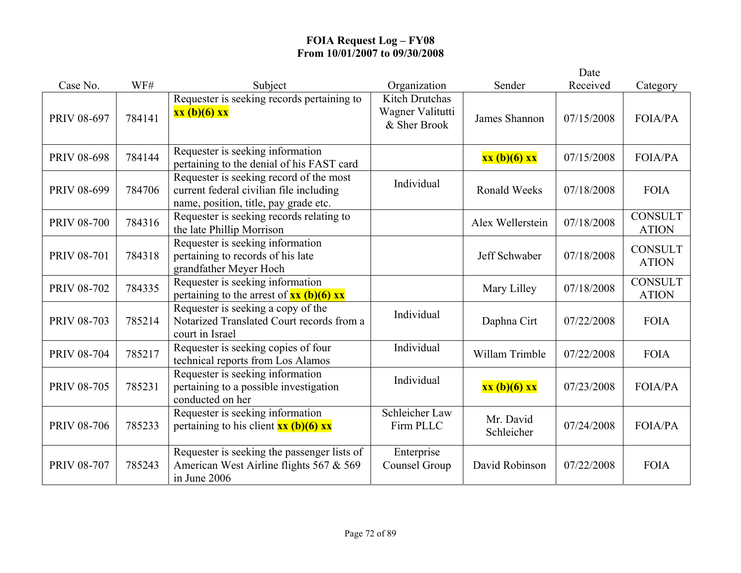|                    |        |                                                                                                                             |                                                           |                         | Date       |                                |
|--------------------|--------|-----------------------------------------------------------------------------------------------------------------------------|-----------------------------------------------------------|-------------------------|------------|--------------------------------|
| Case No.           | WF#    | Subject                                                                                                                     | Organization                                              | Sender                  | Received   | Category                       |
| PRIV 08-697        | 784141 | Requester is seeking records pertaining to<br>xx (b)(6) xx                                                                  | <b>Kitch Drutchas</b><br>Wagner Valitutti<br>& Sher Brook | James Shannon           | 07/15/2008 | <b>FOIA/PA</b>                 |
| <b>PRIV 08-698</b> | 784144 | Requester is seeking information<br>pertaining to the denial of his FAST card                                               |                                                           | xx (b)(6) xx            | 07/15/2008 | <b>FOIA/PA</b>                 |
| PRIV 08-699        | 784706 | Requester is seeking record of the most<br>current federal civilian file including<br>name, position, title, pay grade etc. | Individual                                                | <b>Ronald Weeks</b>     | 07/18/2008 | <b>FOIA</b>                    |
| <b>PRIV 08-700</b> | 784316 | Requester is seeking records relating to<br>the late Phillip Morrison                                                       |                                                           | Alex Wellerstein        | 07/18/2008 | <b>CONSULT</b><br><b>ATION</b> |
| <b>PRIV 08-701</b> | 784318 | Requester is seeking information<br>pertaining to records of his late<br>grandfather Meyer Hoch                             |                                                           | Jeff Schwaber           | 07/18/2008 | <b>CONSULT</b><br><b>ATION</b> |
| <b>PRIV 08-702</b> | 784335 | Requester is seeking information<br>pertaining to the arrest of $\frac{xx (b)(6) xx}{ }$                                    |                                                           | Mary Lilley             | 07/18/2008 | <b>CONSULT</b><br><b>ATION</b> |
| <b>PRIV 08-703</b> | 785214 | Requester is seeking a copy of the<br>Notarized Translated Court records from a<br>court in Israel                          | Individual                                                | Daphna Cirt             | 07/22/2008 | <b>FOIA</b>                    |
| <b>PRIV 08-704</b> | 785217 | Requester is seeking copies of four<br>technical reports from Los Alamos                                                    | Individual                                                | Willam Trimble          | 07/22/2008 | <b>FOIA</b>                    |
| <b>PRIV 08-705</b> | 785231 | Requester is seeking information<br>pertaining to a possible investigation<br>conducted on her                              | Individual                                                | xx (b)(6) xx            | 07/23/2008 | <b>FOIA/PA</b>                 |
| <b>PRIV 08-706</b> | 785233 | Requester is seeking information<br>pertaining to his client $\frac{xx(b)(6)xx}{2}$                                         | Schleicher Law<br>Firm PLLC                               | Mr. David<br>Schleicher | 07/24/2008 | <b>FOIA/PA</b>                 |
| <b>PRIV 08-707</b> | 785243 | Requester is seeking the passenger lists of<br>American West Airline flights 567 & 569<br>in June 2006                      | Enterprise<br>Counsel Group                               | David Robinson          | 07/22/2008 | <b>FOIA</b>                    |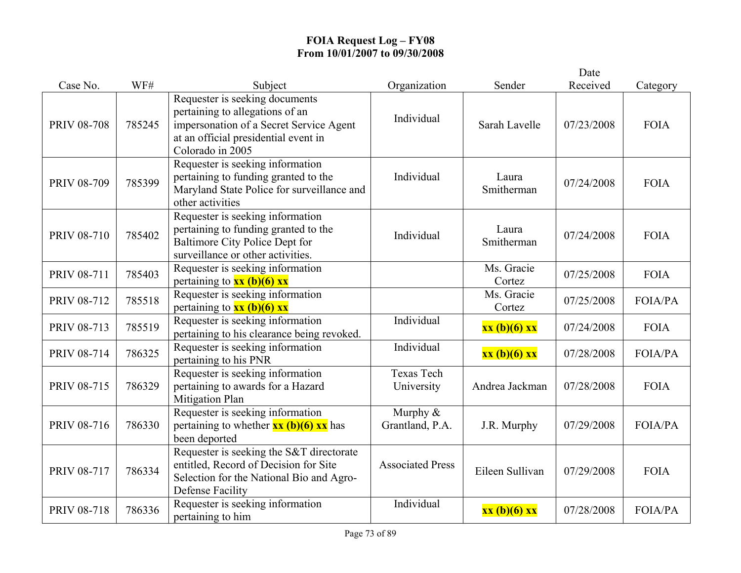|                    |        |                                                                                                                                                                          |                               |                      | Date       |                |
|--------------------|--------|--------------------------------------------------------------------------------------------------------------------------------------------------------------------------|-------------------------------|----------------------|------------|----------------|
| Case No.           | WF#    | Subject                                                                                                                                                                  | Organization                  | Sender               | Received   | Category       |
| <b>PRIV 08-708</b> | 785245 | Requester is seeking documents<br>pertaining to allegations of an<br>impersonation of a Secret Service Agent<br>at an official presidential event in<br>Colorado in 2005 | Individual                    | Sarah Lavelle        | 07/23/2008 | <b>FOIA</b>    |
| <b>PRIV 08-709</b> | 785399 | Requester is seeking information<br>pertaining to funding granted to the<br>Maryland State Police for surveillance and<br>other activities                               | Individual                    | Laura<br>Smitherman  | 07/24/2008 | <b>FOIA</b>    |
| <b>PRIV 08-710</b> | 785402 | Requester is seeking information<br>pertaining to funding granted to the<br>Baltimore City Police Dept for<br>surveillance or other activities.                          | Individual                    | Laura<br>Smitherman  | 07/24/2008 | <b>FOIA</b>    |
| PRIV 08-711        | 785403 | Requester is seeking information<br>pertaining to $xx$ (b)(6) xx                                                                                                         |                               | Ms. Gracie<br>Cortez | 07/25/2008 | <b>FOIA</b>    |
| PRIV 08-712        | 785518 | Requester is seeking information<br>pertaining to $xx$ (b)(6) xx                                                                                                         |                               | Ms. Gracie<br>Cortez | 07/25/2008 | <b>FOIA/PA</b> |
| PRIV 08-713        | 785519 | Requester is seeking information<br>pertaining to his clearance being revoked.                                                                                           | Individual                    | xx (b)(6) xx         | 07/24/2008 | <b>FOIA</b>    |
| PRIV 08-714        | 786325 | Requester is seeking information<br>pertaining to his PNR                                                                                                                | Individual                    | xx (b)(6) xx         | 07/28/2008 | <b>FOIA/PA</b> |
| <b>PRIV 08-715</b> | 786329 | Requester is seeking information<br>pertaining to awards for a Hazard<br>Mitigation Plan                                                                                 | Texas Tech<br>University      | Andrea Jackman       | 07/28/2008 | <b>FOIA</b>    |
| PRIV 08-716        | 786330 | Requester is seeking information<br>pertaining to whether $\frac{xx(b)(6)xx}{x}$ has<br>been deported                                                                    | Murphy $&$<br>Grantland, P.A. | J.R. Murphy          | 07/29/2008 | <b>FOIA/PA</b> |
| <b>PRIV 08-717</b> | 786334 | Requester is seeking the S&T directorate<br>entitled, Record of Decision for Site<br>Selection for the National Bio and Agro-<br>Defense Facility                        | <b>Associated Press</b>       | Eileen Sullivan      | 07/29/2008 | <b>FOIA</b>    |
| <b>PRIV 08-718</b> | 786336 | Requester is seeking information<br>pertaining to him                                                                                                                    | Individual                    | $xx(b)(6)$ $xx$      | 07/28/2008 | <b>FOIA/PA</b> |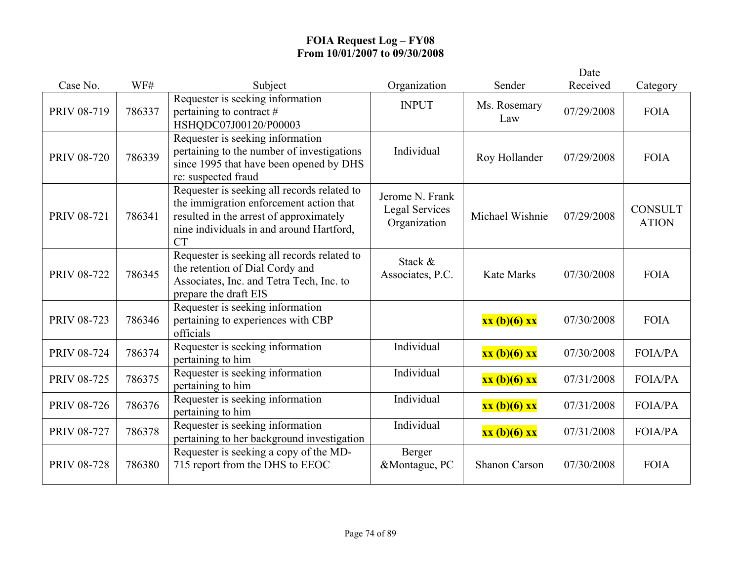|                    |        |                                                                                                                                                                                            |                                                   |                      | Date       |                                |
|--------------------|--------|--------------------------------------------------------------------------------------------------------------------------------------------------------------------------------------------|---------------------------------------------------|----------------------|------------|--------------------------------|
| Case No.           | WF#    | Subject                                                                                                                                                                                    | Organization                                      | Sender               | Received   | Category                       |
| PRIV 08-719        | 786337 | Requester is seeking information<br>pertaining to contract $#$<br>HSHQDC07J00120/P00003                                                                                                    | <b>INPUT</b>                                      | Ms. Rosemary<br>Law  | 07/29/2008 | <b>FOIA</b>                    |
| <b>PRIV 08-720</b> | 786339 | Requester is seeking information<br>pertaining to the number of investigations<br>since 1995 that have been opened by DHS<br>re: suspected fraud                                           | Individual                                        | Roy Hollander        | 07/29/2008 | <b>FOIA</b>                    |
| <b>PRIV 08-721</b> | 786341 | Requester is seeking all records related to<br>the immigration enforcement action that<br>resulted in the arrest of approximately<br>nine individuals in and around Hartford,<br><b>CT</b> | Jerome N. Frank<br>Legal Services<br>Organization | Michael Wishnie      | 07/29/2008 | <b>CONSULT</b><br><b>ATION</b> |
| <b>PRIV 08-722</b> | 786345 | Requester is seeking all records related to<br>the retention of Dial Cordy and<br>Associates, Inc. and Tetra Tech, Inc. to<br>prepare the draft EIS                                        | Stack &<br>Associates, P.C.                       | <b>Kate Marks</b>    | 07/30/2008 | <b>FOIA</b>                    |
| PRIV 08-723        | 786346 | Requester is seeking information<br>pertaining to experiences with CBP<br>officials                                                                                                        |                                                   | xx (b)(6) xx         | 07/30/2008 | <b>FOIA</b>                    |
| <b>PRIV 08-724</b> | 786374 | Requester is seeking information<br>pertaining to him                                                                                                                                      | Individual                                        | xx(b)(6) xx          | 07/30/2008 | <b>FOIA/PA</b>                 |
| <b>PRIV 08-725</b> | 786375 | Requester is seeking information<br>pertaining to him                                                                                                                                      | Individual                                        | xx (b)(6) xx         | 07/31/2008 | <b>FOIA/PA</b>                 |
| <b>PRIV 08-726</b> | 786376 | Requester is seeking information<br>pertaining to him                                                                                                                                      | Individual                                        | xx (b)(6) xx         | 07/31/2008 | <b>FOIA/PA</b>                 |
| <b>PRIV 08-727</b> | 786378 | Requester is seeking information<br>pertaining to her background investigation                                                                                                             | Individual                                        | xx (b)(6) xx         | 07/31/2008 | <b>FOIA/PA</b>                 |
| <b>PRIV 08-728</b> | 786380 | Requester is seeking a copy of the MD-<br>715 report from the DHS to EEOC                                                                                                                  | Berger<br>&Montague, PC                           | <b>Shanon Carson</b> | 07/30/2008 | <b>FOIA</b>                    |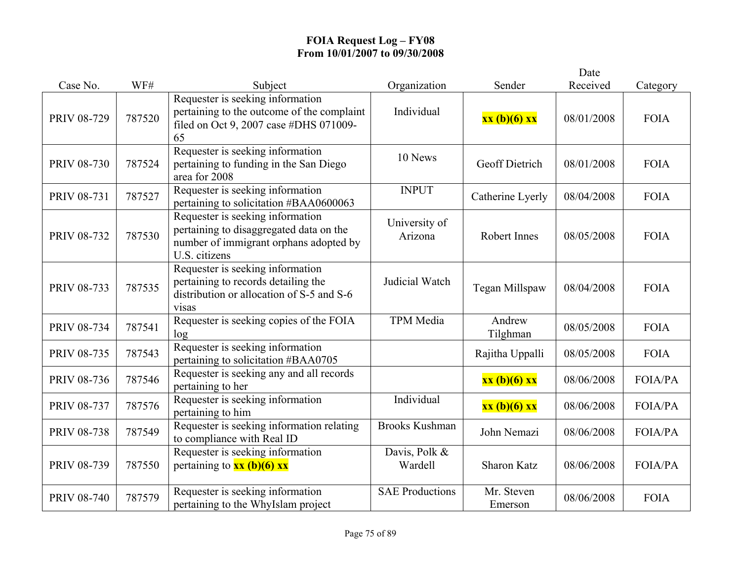|                    |        |                                                                                                                                        |                          |                       | Date       |                |
|--------------------|--------|----------------------------------------------------------------------------------------------------------------------------------------|--------------------------|-----------------------|------------|----------------|
| Case No.           | WF#    | Subject                                                                                                                                | Organization             | Sender                | Received   | Category       |
| PRIV 08-729        | 787520 | Requester is seeking information<br>pertaining to the outcome of the complaint<br>filed on Oct 9, 2007 case #DHS 071009-<br>65         | Individual               | xx (b)(6) xx          | 08/01/2008 | <b>FOIA</b>    |
| <b>PRIV 08-730</b> | 787524 | Requester is seeking information<br>pertaining to funding in the San Diego<br>area for 2008                                            | 10 News                  | Geoff Dietrich        | 08/01/2008 | <b>FOIA</b>    |
| PRIV 08-731        | 787527 | Requester is seeking information<br>pertaining to solicitation #BAA0600063                                                             | <b>INPUT</b>             | Catherine Lyerly      | 08/04/2008 | <b>FOIA</b>    |
| PRIV 08-732        | 787530 | Requester is seeking information<br>pertaining to disaggregated data on the<br>number of immigrant orphans adopted by<br>U.S. citizens | University of<br>Arizona | Robert Innes          | 08/05/2008 | <b>FOIA</b>    |
| PRIV 08-733        | 787535 | Requester is seeking information<br>pertaining to records detailing the<br>distribution or allocation of S-5 and S-6<br>visas          | Judicial Watch           | Tegan Millspaw        | 08/04/2008 | <b>FOIA</b>    |
| PRIV 08-734        | 787541 | Requester is seeking copies of the FOIA<br>log                                                                                         | <b>TPM</b> Media         | Andrew<br>Tilghman    | 08/05/2008 | <b>FOIA</b>    |
| PRIV 08-735        | 787543 | Requester is seeking information<br>pertaining to solicitation #BAA0705                                                                |                          | Rajitha Uppalli       | 08/05/2008 | <b>FOIA</b>    |
| PRIV 08-736        | 787546 | Requester is seeking any and all records<br>pertaining to her                                                                          |                          | xx (b)(6) xx          | 08/06/2008 | <b>FOIA/PA</b> |
| PRIV 08-737        | 787576 | Requester is seeking information<br>pertaining to him                                                                                  | Individual               | xx (b)(6) xx          | 08/06/2008 | <b>FOIA/PA</b> |
| <b>PRIV 08-738</b> | 787549 | Requester is seeking information relating<br>to compliance with Real ID                                                                | <b>Brooks Kushman</b>    | John Nemazi           | 08/06/2008 | <b>FOIA/PA</b> |
| PRIV 08-739        | 787550 | Requester is seeking information<br>pertaining to $xx$ (b)(6) xx                                                                       | Davis, Polk &<br>Wardell | <b>Sharon Katz</b>    | 08/06/2008 | <b>FOIA/PA</b> |
| <b>PRIV 08-740</b> | 787579 | Requester is seeking information<br>pertaining to the WhyIslam project                                                                 | <b>SAE Productions</b>   | Mr. Steven<br>Emerson | 08/06/2008 | <b>FOIA</b>    |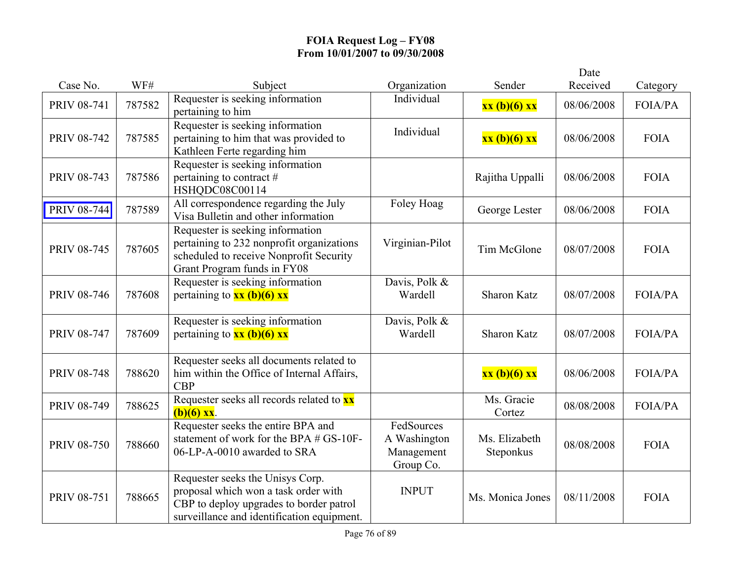|                    |        |                                                                                                                                                                   |                                                       |                            | Date       |                |
|--------------------|--------|-------------------------------------------------------------------------------------------------------------------------------------------------------------------|-------------------------------------------------------|----------------------------|------------|----------------|
| Case No.           | WF#    | Subject                                                                                                                                                           | Organization                                          | Sender                     | Received   | Category       |
| PRIV 08-741        | 787582 | Requester is seeking information<br>pertaining to him                                                                                                             | Individual                                            | xx (b)(6) xx               | 08/06/2008 | <b>FOIA/PA</b> |
| <b>PRIV 08-742</b> | 787585 | Requester is seeking information<br>pertaining to him that was provided to<br>Kathleen Ferte regarding him                                                        | Individual                                            | xx (b)(6) xx               | 08/06/2008 | <b>FOIA</b>    |
| PRIV 08-743        | 787586 | Requester is seeking information<br>pertaining to contract $#$<br>HSHQDC08C00114                                                                                  |                                                       | Rajitha Uppalli            | 08/06/2008 | <b>FOIA</b>    |
| PRIV 08-744        | 787589 | All correspondence regarding the July<br>Visa Bulletin and other information                                                                                      | Foley Hoag                                            | George Lester              | 08/06/2008 | <b>FOIA</b>    |
| PRIV 08-745        | 787605 | Requester is seeking information<br>pertaining to 232 nonprofit organizations<br>scheduled to receive Nonprofit Security<br>Grant Program funds in FY08           | Virginian-Pilot                                       | Tim McGlone                | 08/07/2008 | <b>FOIA</b>    |
| <b>PRIV 08-746</b> | 787608 | Requester is seeking information<br>pertaining to $xx$ (b)(6) $xx$                                                                                                | Davis, Polk &<br>Wardell                              | <b>Sharon Katz</b>         | 08/07/2008 | <b>FOIA/PA</b> |
| <b>PRIV 08-747</b> | 787609 | Requester is seeking information<br>pertaining to $\frac{xx(b)(6)xx}{2}$                                                                                          | Davis, Polk &<br>Wardell                              | <b>Sharon Katz</b>         | 08/07/2008 | FOIA/PA        |
| <b>PRIV 08-748</b> | 788620 | Requester seeks all documents related to<br>him within the Office of Internal Affairs,<br><b>CBP</b>                                                              |                                                       | xx (b)(6) xx               | 08/06/2008 | FOIA/PA        |
| PRIV 08-749        | 788625 | Requester seeks all records related to <b>xx</b><br>$(b)(6)$ xx.                                                                                                  |                                                       | Ms. Gracie<br>Cortez       | 08/08/2008 | <b>FOIA/PA</b> |
| <b>PRIV 08-750</b> | 788660 | Requester seeks the entire BPA and<br>statement of work for the BPA # GS-10F-<br>06-LP-A-0010 awarded to SRA                                                      | FedSources<br>A Washington<br>Management<br>Group Co. | Ms. Elizabeth<br>Steponkus | 08/08/2008 | <b>FOIA</b>    |
| PRIV 08-751        | 788665 | Requester seeks the Unisys Corp.<br>proposal which won a task order with<br>CBP to deploy upgrades to border patrol<br>surveillance and identification equipment. | <b>INPUT</b>                                          | Ms. Monica Jones           | 08/11/2008 | <b>FOIA</b>    |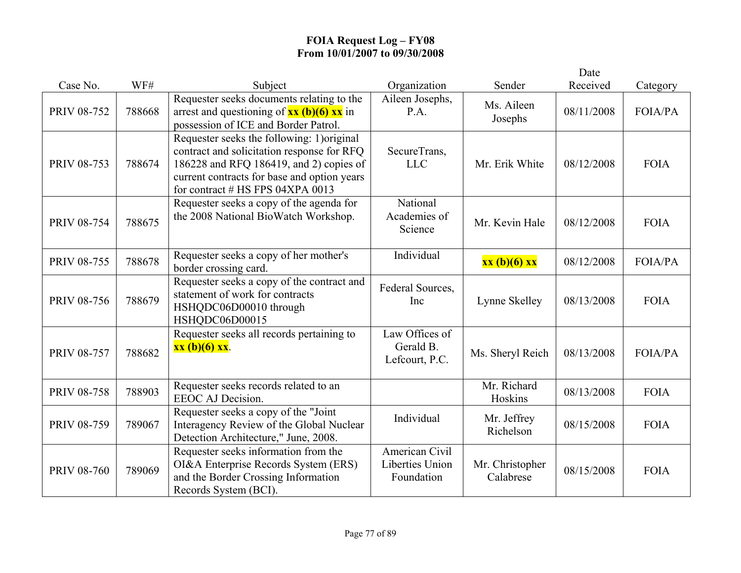|                    |        |                                                                                                                                                                                                                         |                                                        |                              | Date       |                |
|--------------------|--------|-------------------------------------------------------------------------------------------------------------------------------------------------------------------------------------------------------------------------|--------------------------------------------------------|------------------------------|------------|----------------|
| Case No.           | WF#    | Subject                                                                                                                                                                                                                 | Organization                                           | Sender                       | Received   | Category       |
| PRIV 08-752        | 788668 | Requester seeks documents relating to the<br>arrest and questioning of $xx$ (b)(6) $xx$ in<br>possession of ICE and Border Patrol.                                                                                      | Aileen Josephs,<br>P.A.                                | Ms. Aileen<br>Josephs        | 08/11/2008 | <b>FOIA/PA</b> |
| PRIV 08-753        | 788674 | Requester seeks the following: 1)original<br>contract and solicitation response for RFQ<br>186228 and RFQ 186419, and 2) copies of<br>current contracts for base and option years<br>for contract $#$ HS FPS 04XPA 0013 | SecureTrans,<br><b>LLC</b>                             | Mr. Erik White               | 08/12/2008 | <b>FOIA</b>    |
| <b>PRIV 08-754</b> | 788675 | Requester seeks a copy of the agenda for<br>the 2008 National BioWatch Workshop.                                                                                                                                        | National<br>Academies of<br>Science                    | Mr. Kevin Hale               | 08/12/2008 | <b>FOIA</b>    |
| <b>PRIV 08-755</b> | 788678 | Requester seeks a copy of her mother's<br>border crossing card.                                                                                                                                                         | Individual                                             | xx (b)(6) xx                 | 08/12/2008 | <b>FOIA/PA</b> |
| <b>PRIV 08-756</b> | 788679 | Requester seeks a copy of the contract and<br>statement of work for contracts<br>HSHQDC06D00010 through<br>HSHQDC06D00015                                                                                               | Federal Sources,<br>Inc                                | Lynne Skelley                | 08/13/2008 | <b>FOIA</b>    |
| <b>PRIV 08-757</b> | 788682 | Requester seeks all records pertaining to<br>$xx (b)(6) xx$ .                                                                                                                                                           | Law Offices of<br>Gerald B.<br>Lefcourt, P.C.          | Ms. Sheryl Reich             | 08/13/2008 | <b>FOIA/PA</b> |
| <b>PRIV 08-758</b> | 788903 | Requester seeks records related to an<br>EEOC AJ Decision.                                                                                                                                                              |                                                        | Mr. Richard<br>Hoskins       | 08/13/2008 | <b>FOIA</b>    |
| PRIV 08-759        | 789067 | Requester seeks a copy of the "Joint"<br>Interagency Review of the Global Nuclear<br>Detection Architecture," June, 2008.                                                                                               | Individual                                             | Mr. Jeffrey<br>Richelson     | 08/15/2008 | <b>FOIA</b>    |
| <b>PRIV 08-760</b> | 789069 | Requester seeks information from the<br>OI&A Enterprise Records System (ERS)<br>and the Border Crossing Information<br>Records System (BCI).                                                                            | American Civil<br><b>Liberties Union</b><br>Foundation | Mr. Christopher<br>Calabrese | 08/15/2008 | <b>FOIA</b>    |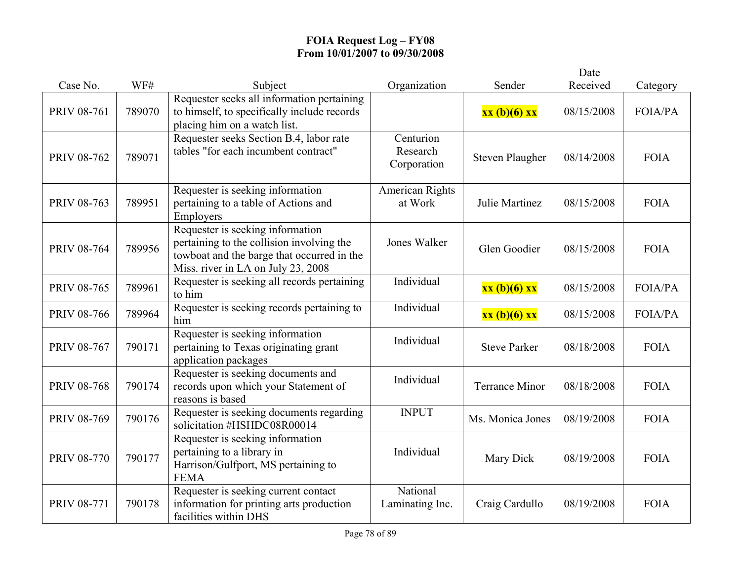|                    |        |                                                                                                                                                                   |                                      |                        | Date       |                |
|--------------------|--------|-------------------------------------------------------------------------------------------------------------------------------------------------------------------|--------------------------------------|------------------------|------------|----------------|
| Case No.           | WF#    | Subject                                                                                                                                                           | Organization                         | Sender                 | Received   | Category       |
| PRIV 08-761        | 789070 | Requester seeks all information pertaining<br>to himself, to specifically include records<br>placing him on a watch list.                                         |                                      | xx (b)(6) xx           | 08/15/2008 | <b>FOIA/PA</b> |
| PRIV 08-762        | 789071 | Requester seeks Section B.4, labor rate<br>tables "for each incumbent contract"                                                                                   | Centurion<br>Research<br>Corporation | <b>Steven Plaugher</b> | 08/14/2008 | <b>FOIA</b>    |
| PRIV 08-763        | 789951 | Requester is seeking information<br>pertaining to a table of Actions and<br>Employers                                                                             | American Rights<br>at Work           | Julie Martinez         | 08/15/2008 | <b>FOIA</b>    |
| <b>PRIV 08-764</b> | 789956 | Requester is seeking information<br>pertaining to the collision involving the<br>towboat and the barge that occurred in the<br>Miss. river in LA on July 23, 2008 | Jones Walker                         | Glen Goodier           | 08/15/2008 | <b>FOIA</b>    |
| PRIV 08-765        | 789961 | Requester is seeking all records pertaining<br>to him                                                                                                             | Individual                           | xx (b)(6) xx           | 08/15/2008 | <b>FOIA/PA</b> |
| <b>PRIV 08-766</b> | 789964 | Requester is seeking records pertaining to<br>him                                                                                                                 | Individual                           | xx (b)(6) xx           | 08/15/2008 | <b>FOIA/PA</b> |
| PRIV 08-767        | 790171 | Requester is seeking information<br>pertaining to Texas originating grant<br>application packages                                                                 | Individual                           | <b>Steve Parker</b>    | 08/18/2008 | <b>FOIA</b>    |
| <b>PRIV 08-768</b> | 790174 | Requester is seeking documents and<br>records upon which your Statement of<br>reasons is based                                                                    | Individual                           | <b>Terrance Minor</b>  | 08/18/2008 | <b>FOIA</b>    |
| PRIV 08-769        | 790176 | Requester is seeking documents regarding<br>solicitation #HSHDC08R00014                                                                                           | <b>INPUT</b>                         | Ms. Monica Jones       | 08/19/2008 | <b>FOIA</b>    |
| <b>PRIV 08-770</b> | 790177 | Requester is seeking information<br>pertaining to a library in<br>Harrison/Gulfport, MS pertaining to<br><b>FEMA</b>                                              | Individual                           | Mary Dick              | 08/19/2008 | <b>FOIA</b>    |
| PRIV 08-771        | 790178 | Requester is seeking current contact<br>information for printing arts production<br>facilities within DHS                                                         | National<br>Laminating Inc.          | Craig Cardullo         | 08/19/2008 | <b>FOIA</b>    |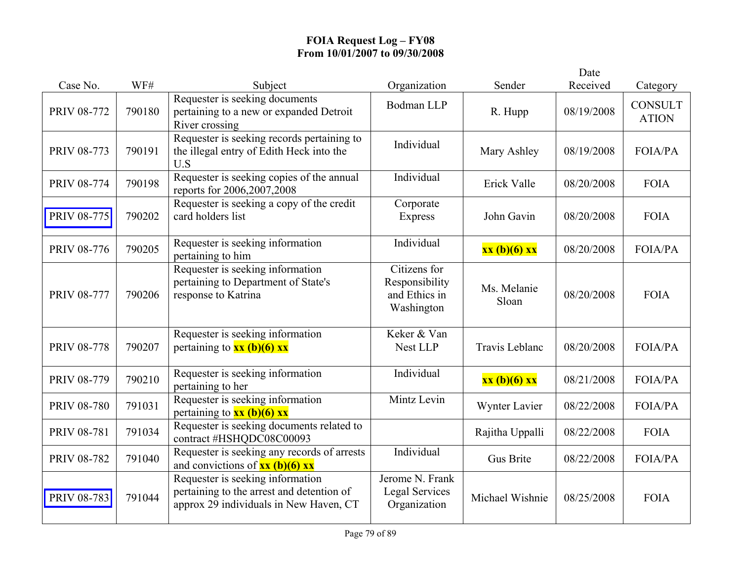|                    |        |                                                                                                                         |                                                               |                       | Date       |                                |
|--------------------|--------|-------------------------------------------------------------------------------------------------------------------------|---------------------------------------------------------------|-----------------------|------------|--------------------------------|
| Case No.           | WF#    | Subject                                                                                                                 | Organization                                                  | Sender                | Received   | Category                       |
| <b>PRIV 08-772</b> | 790180 | Requester is seeking documents<br>pertaining to a new or expanded Detroit<br>River crossing                             | <b>Bodman LLP</b>                                             | R. Hupp               | 08/19/2008 | <b>CONSULT</b><br><b>ATION</b> |
| PRIV 08-773        | 790191 | Requester is seeking records pertaining to<br>the illegal entry of Edith Heck into the<br>U.S                           | Individual                                                    | Mary Ashley           | 08/19/2008 | <b>FOIA/PA</b>                 |
| <b>PRIV 08-774</b> | 790198 | Requester is seeking copies of the annual<br>reports for 2006,2007,2008                                                 | Individual                                                    | Erick Valle           | 08/20/2008 | <b>FOIA</b>                    |
| <b>PRIV 08-775</b> | 790202 | Requester is seeking a copy of the credit<br>card holders list                                                          | Corporate<br><b>Express</b>                                   | John Gavin            | 08/20/2008 | <b>FOIA</b>                    |
| <b>PRIV 08-776</b> | 790205 | Requester is seeking information<br>pertaining to him                                                                   | Individual                                                    | xx (b)(6) xx          | 08/20/2008 | <b>FOIA/PA</b>                 |
| <b>PRIV 08-777</b> | 790206 | Requester is seeking information<br>pertaining to Department of State's<br>response to Katrina                          | Citizens for<br>Responsibility<br>and Ethics in<br>Washington | Ms. Melanie<br>Sloan  | 08/20/2008 | <b>FOIA</b>                    |
| <b>PRIV 08-778</b> | 790207 | Requester is seeking information<br>pertaining to $xx$ (b)(6) $xx$                                                      | Keker & Van<br>Nest LLP                                       | <b>Travis Leblanc</b> | 08/20/2008 | <b>FOIA/PA</b>                 |
| <b>PRIV 08-779</b> | 790210 | Requester is seeking information<br>pertaining to her                                                                   | Individual                                                    | xx (b)(6) xx          | 08/21/2008 | <b>FOIA/PA</b>                 |
| <b>PRIV 08-780</b> | 791031 | Requester is seeking information<br>pertaining to $\frac{xx (b)(6) xx}{ }$                                              | Mintz Levin                                                   | Wynter Lavier         | 08/22/2008 | <b>FOIA/PA</b>                 |
| <b>PRIV 08-781</b> | 791034 | Requester is seeking documents related to<br>contract #HSHQDC08C00093                                                   |                                                               | Rajitha Uppalli       | 08/22/2008 | <b>FOIA</b>                    |
| <b>PRIV 08-782</b> | 791040 | Requester is seeking any records of arrests<br>and convictions of $xx$ (b)(6) $xx$                                      | Individual                                                    | <b>Gus Brite</b>      | 08/22/2008 | <b>FOIA/PA</b>                 |
| <b>PRIV 08-783</b> | 791044 | Requester is seeking information<br>pertaining to the arrest and detention of<br>approx 29 individuals in New Haven, CT | Jerome N. Frank<br><b>Legal Services</b><br>Organization      | Michael Wishnie       | 08/25/2008 | <b>FOIA</b>                    |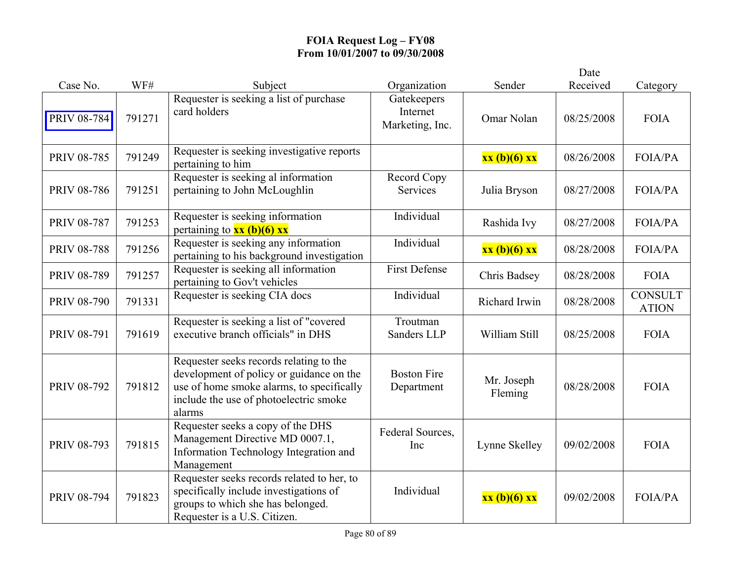|                    |        |                                                                                                                                                                                      |                                            |                       | Date       |                                |
|--------------------|--------|--------------------------------------------------------------------------------------------------------------------------------------------------------------------------------------|--------------------------------------------|-----------------------|------------|--------------------------------|
| Case No.           | WF#    | Subject                                                                                                                                                                              | Organization                               | Sender                | Received   | Category                       |
| <b>PRIV 08-784</b> | 791271 | Requester is seeking a list of purchase<br>card holders                                                                                                                              | Gatekeepers<br>Internet<br>Marketing, Inc. | Omar Nolan            | 08/25/2008 | <b>FOIA</b>                    |
| PRIV 08-785        | 791249 | Requester is seeking investigative reports<br>pertaining to him                                                                                                                      |                                            | xx (b)(6) xx          | 08/26/2008 | FOIA/PA                        |
| <b>PRIV 08-786</b> | 791251 | Requester is seeking al information<br>pertaining to John McLoughlin                                                                                                                 | Record Copy<br>Services                    | Julia Bryson          | 08/27/2008 | <b>FOIA/PA</b>                 |
| <b>PRIV 08-787</b> | 791253 | Requester is seeking information<br>pertaining to $xx$ (b)(6) xx                                                                                                                     | Individual                                 | Rashida Ivy           | 08/27/2008 | <b>FOIA/PA</b>                 |
| <b>PRIV 08-788</b> | 791256 | Requester is seeking any information<br>pertaining to his background investigation                                                                                                   | Individual                                 | xx (b)(6) xx          | 08/28/2008 | <b>FOIA/PA</b>                 |
| PRIV 08-789        | 791257 | Requester is seeking all information<br>pertaining to Gov't vehicles                                                                                                                 | <b>First Defense</b>                       | Chris Badsey          | 08/28/2008 | <b>FOIA</b>                    |
| <b>PRIV 08-790</b> | 791331 | Requester is seeking CIA docs                                                                                                                                                        | Individual                                 | Richard Irwin         | 08/28/2008 | <b>CONSULT</b><br><b>ATION</b> |
| PRIV 08-791        | 791619 | Requester is seeking a list of "covered<br>executive branch officials" in DHS                                                                                                        | Troutman<br>Sanders LLP                    | William Still         | 08/25/2008 | <b>FOIA</b>                    |
| PRIV 08-792        | 791812 | Requester seeks records relating to the<br>development of policy or guidance on the<br>use of home smoke alarms, to specifically<br>include the use of photoelectric smoke<br>alarms | <b>Boston Fire</b><br>Department           | Mr. Joseph<br>Fleming | 08/28/2008 | <b>FOIA</b>                    |
| PRIV 08-793        | 791815 | Requester seeks a copy of the DHS<br>Management Directive MD 0007.1,<br>Information Technology Integration and<br>Management                                                         | Federal Sources,<br>Inc                    | Lynne Skelley         | 09/02/2008 | <b>FOIA</b>                    |
| PRIV 08-794        | 791823 | Requester seeks records related to her, to<br>specifically include investigations of<br>groups to which she has belonged.<br>Requester is a U.S. Citizen.                            | Individual                                 | xx (b)(6) xx          | 09/02/2008 | <b>FOIA/PA</b>                 |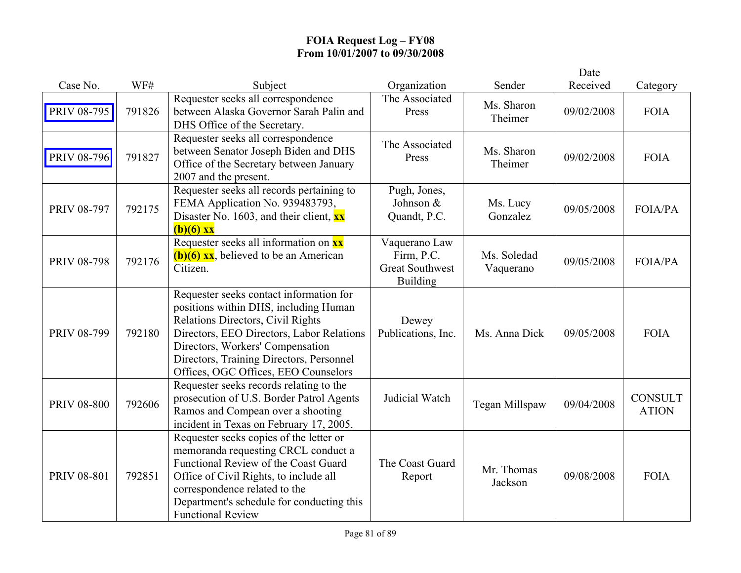|                    |        |                                                                                                                                                                                                                                                                                            |                                                                          |                          | Date       |                                |
|--------------------|--------|--------------------------------------------------------------------------------------------------------------------------------------------------------------------------------------------------------------------------------------------------------------------------------------------|--------------------------------------------------------------------------|--------------------------|------------|--------------------------------|
| Case No.           | WF#    | Subject                                                                                                                                                                                                                                                                                    | Organization                                                             | Sender                   | Received   | Category                       |
| PRIV 08-795        | 791826 | Requester seeks all correspondence<br>between Alaska Governor Sarah Palin and<br>DHS Office of the Secretary.                                                                                                                                                                              | The Associated<br>Press                                                  | Ms. Sharon<br>Theimer    | 09/02/2008 | <b>FOIA</b>                    |
| <b>PRIV 08-796</b> | 791827 | Requester seeks all correspondence<br>between Senator Joseph Biden and DHS<br>Office of the Secretary between January<br>2007 and the present.                                                                                                                                             | The Associated<br>Press                                                  | Ms. Sharon<br>Theimer    | 09/02/2008 | <b>FOIA</b>                    |
| PRIV 08-797        | 792175 | Requester seeks all records pertaining to<br>FEMA Application No. 939483793,<br>Disaster No. 1603, and their client, $\mathbf{x} \mathbf{x}$<br>$(b)(6)$ xx                                                                                                                                | Pugh, Jones,<br>Johnson &<br>Quandt, P.C.                                | Ms. Lucy<br>Gonzalez     | 09/05/2008 | <b>FOIA/PA</b>                 |
| <b>PRIV 08-798</b> | 792176 | Requester seeks all information on xx<br>$(b)(6)$ xx, believed to be an American<br>Citizen.                                                                                                                                                                                               | Vaquerano Law<br>Firm, P.C.<br><b>Great Southwest</b><br><b>Building</b> | Ms. Soledad<br>Vaquerano | 09/05/2008 | FOIA/PA                        |
| PRIV 08-799        | 792180 | Requester seeks contact information for<br>positions within DHS, including Human<br>Relations Directors, Civil Rights<br>Directors, EEO Directors, Labor Relations<br>Directors, Workers' Compensation<br>Directors, Training Directors, Personnel<br>Offices, OGC Offices, EEO Counselors | Dewey<br>Publications, Inc.                                              | Ms. Anna Dick            | 09/05/2008 | <b>FOIA</b>                    |
| <b>PRIV 08-800</b> | 792606 | Requester seeks records relating to the<br>prosecution of U.S. Border Patrol Agents<br>Ramos and Compean over a shooting<br>incident in Texas on February 17, 2005.                                                                                                                        | Judicial Watch                                                           | Tegan Millspaw           | 09/04/2008 | <b>CONSULT</b><br><b>ATION</b> |
| <b>PRIV 08-801</b> | 792851 | Requester seeks copies of the letter or<br>memoranda requesting CRCL conduct a<br>Functional Review of the Coast Guard<br>Office of Civil Rights, to include all<br>correspondence related to the<br>Department's schedule for conducting this<br><b>Functional Review</b>                 | The Coast Guard<br>Report                                                | Mr. Thomas<br>Jackson    | 09/08/2008 | <b>FOIA</b>                    |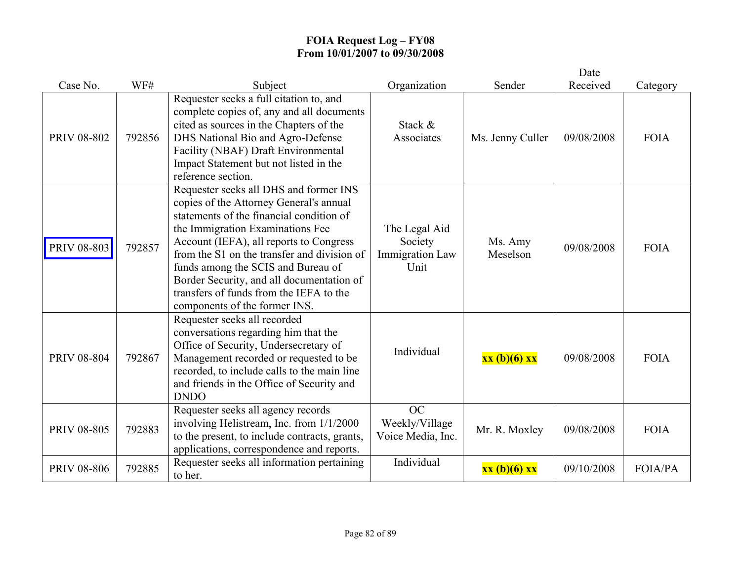|                    |        |                                                                                                                                                                                                                                                                                                                                                                                                                            |                                                            |                     | Date       |                |
|--------------------|--------|----------------------------------------------------------------------------------------------------------------------------------------------------------------------------------------------------------------------------------------------------------------------------------------------------------------------------------------------------------------------------------------------------------------------------|------------------------------------------------------------|---------------------|------------|----------------|
| Case No.           | WF#    | Subject                                                                                                                                                                                                                                                                                                                                                                                                                    | Organization                                               | Sender              | Received   | Category       |
| <b>PRIV 08-802</b> | 792856 | Requester seeks a full citation to, and<br>complete copies of, any and all documents<br>cited as sources in the Chapters of the<br>DHS National Bio and Agro-Defense<br>Facility (NBAF) Draft Environmental<br>Impact Statement but not listed in the<br>reference section.                                                                                                                                                | Stack &<br>Associates                                      | Ms. Jenny Culler    | 09/08/2008 | <b>FOIA</b>    |
| PRIV 08-803        | 792857 | Requester seeks all DHS and former INS<br>copies of the Attorney General's annual<br>statements of the financial condition of<br>the Immigration Examinations Fee<br>Account (IEFA), all reports to Congress<br>from the S1 on the transfer and division of<br>funds among the SCIS and Bureau of<br>Border Security, and all documentation of<br>transfers of funds from the IEFA to the<br>components of the former INS. | The Legal Aid<br>Society<br><b>Immigration Law</b><br>Unit | Ms. Amy<br>Meselson | 09/08/2008 | <b>FOIA</b>    |
| <b>PRIV 08-804</b> | 792867 | Requester seeks all recorded<br>conversations regarding him that the<br>Office of Security, Undersecretary of<br>Management recorded or requested to be<br>recorded, to include calls to the main line<br>and friends in the Office of Security and<br><b>DNDO</b>                                                                                                                                                         | Individual                                                 | xx (b)(6) xx        | 09/08/2008 | <b>FOIA</b>    |
| <b>PRIV 08-805</b> | 792883 | Requester seeks all agency records<br>involving Helistream, Inc. from 1/1/2000<br>to the present, to include contracts, grants,<br>applications, correspondence and reports.                                                                                                                                                                                                                                               | OC<br>Weekly/Village<br>Voice Media, Inc.                  | Mr. R. Moxley       | 09/08/2008 | <b>FOIA</b>    |
| <b>PRIV 08-806</b> | 792885 | Requester seeks all information pertaining<br>to her.                                                                                                                                                                                                                                                                                                                                                                      | Individual                                                 | xx (b)(6) xx        | 09/10/2008 | <b>FOIA/PA</b> |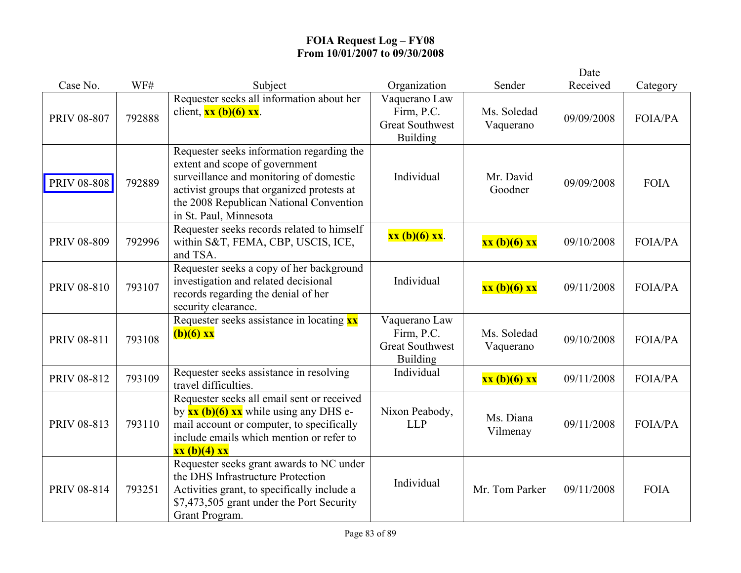|                    |        |                                                                                                                                                                                                                                           |                                                                          |                          | Date       |                |
|--------------------|--------|-------------------------------------------------------------------------------------------------------------------------------------------------------------------------------------------------------------------------------------------|--------------------------------------------------------------------------|--------------------------|------------|----------------|
| Case No.           | WF#    | Subject                                                                                                                                                                                                                                   | Organization                                                             | Sender                   | Received   | Category       |
| <b>PRIV 08-807</b> | 792888 | Requester seeks all information about her<br>client, $\frac{xx(b)(6)xx}{x}$ .                                                                                                                                                             | Vaquerano Law<br>Firm, P.C.<br><b>Great Southwest</b><br><b>Building</b> | Ms. Soledad<br>Vaquerano | 09/09/2008 | <b>FOIA/PA</b> |
| <b>PRIV 08-808</b> | 792889 | Requester seeks information regarding the<br>extent and scope of government<br>surveillance and monitoring of domestic<br>activist groups that organized protests at<br>the 2008 Republican National Convention<br>in St. Paul, Minnesota | Individual                                                               | Mr. David<br>Goodner     | 09/09/2008 | <b>FOIA</b>    |
| <b>PRIV 08-809</b> | 792996 | Requester seeks records related to himself<br>within S&T, FEMA, CBP, USCIS, ICE,<br>and TSA.                                                                                                                                              | xx (b)(6) xx.                                                            | xx (b)(6) xx             | 09/10/2008 | <b>FOIA/PA</b> |
| <b>PRIV 08-810</b> | 793107 | Requester seeks a copy of her background<br>investigation and related decisional<br>records regarding the denial of her<br>security clearance.                                                                                            | Individual                                                               | xx (b)(6) xx             | 09/11/2008 | <b>FOIA/PA</b> |
| PRIV 08-811        | 793108 | Requester seeks assistance in locating xx<br>$(b)(6)$ xx                                                                                                                                                                                  | Vaquerano Law<br>Firm, P.C.<br><b>Great Southwest</b><br><b>Building</b> | Ms. Soledad<br>Vaquerano | 09/10/2008 | <b>FOIA/PA</b> |
| PRIV 08-812        | 793109 | Requester seeks assistance in resolving<br>travel difficulties.                                                                                                                                                                           | Individual                                                               | xx (b)(6) xx             | 09/11/2008 | <b>FOIA/PA</b> |
| PRIV 08-813        | 793110 | Requester seeks all email sent or received<br>by $\frac{xx(b)(6)xx}{xx}$ while using any DHS e-<br>mail account or computer, to specifically<br>include emails which mention or refer to<br>xx (b)(4) xx                                  | Nixon Peabody,<br><b>LLP</b>                                             | Ms. Diana<br>Vilmenay    | 09/11/2008 | <b>FOIA/PA</b> |
| PRIV 08-814        | 793251 | Requester seeks grant awards to NC under<br>the DHS Infrastructure Protection<br>Activities grant, to specifically include a<br>\$7,473,505 grant under the Port Security<br>Grant Program.                                               | Individual                                                               | Mr. Tom Parker           | 09/11/2008 | <b>FOIA</b>    |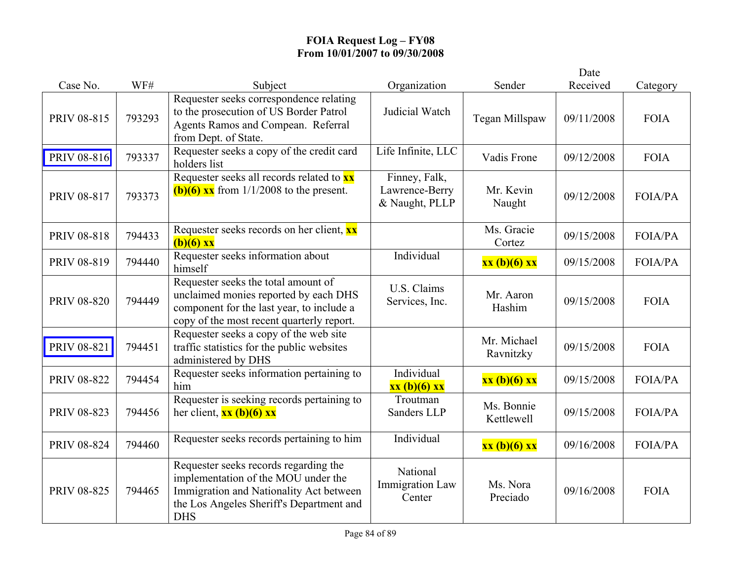|                    |        |                                                                                                                                                                                   |                                                   |                          | Date       |                |
|--------------------|--------|-----------------------------------------------------------------------------------------------------------------------------------------------------------------------------------|---------------------------------------------------|--------------------------|------------|----------------|
| Case No.           | WF#    | Subject                                                                                                                                                                           | Organization                                      | Sender                   | Received   | Category       |
| PRIV 08-815        | 793293 | Requester seeks correspondence relating<br>to the prosecution of US Border Patrol<br>Agents Ramos and Compean. Referral<br>from Dept. of State.                                   | Judicial Watch                                    | Tegan Millspaw           | 09/11/2008 | <b>FOIA</b>    |
| PRIV 08-816        | 793337 | Requester seeks a copy of the credit card<br>holders list                                                                                                                         | Life Infinite, LLC                                | Vadis Frone              | 09/12/2008 | <b>FOIA</b>    |
| PRIV 08-817        | 793373 | Requester seeks all records related to xx<br>(b)(6) $\overline{\text{xx}}$ from 1/1/2008 to the present.                                                                          | Finney, Falk,<br>Lawrence-Berry<br>& Naught, PLLP | Mr. Kevin<br>Naught      | 09/12/2008 | <b>FOIA/PA</b> |
| <b>PRIV 08-818</b> | 794433 | Requester seeks records on her client, xx<br>$(b)(6)$ xx                                                                                                                          |                                                   | Ms. Gracie<br>Cortez     | 09/15/2008 | <b>FOIA/PA</b> |
| PRIV 08-819        | 794440 | Requester seeks information about<br>himself                                                                                                                                      | Individual                                        | xx (b)(6) xx             | 09/15/2008 | <b>FOIA/PA</b> |
| <b>PRIV 08-820</b> | 794449 | Requester seeks the total amount of<br>unclaimed monies reported by each DHS<br>component for the last year, to include a<br>copy of the most recent quarterly report.            | U.S. Claims<br>Services, Inc.                     | Mr. Aaron<br>Hashim      | 09/15/2008 | <b>FOIA</b>    |
| <b>PRIV 08-821</b> | 794451 | Requester seeks a copy of the web site<br>traffic statistics for the public websites<br>administered by DHS                                                                       |                                                   | Mr. Michael<br>Ravnitzky | 09/15/2008 | <b>FOIA</b>    |
| <b>PRIV 08-822</b> | 794454 | Requester seeks information pertaining to<br>him                                                                                                                                  | Individual<br>xx (b)(6) xx                        | xx (b)(6) xx             | 09/15/2008 | <b>FOIA/PA</b> |
| PRIV 08-823        | 794456 | Requester is seeking records pertaining to<br>her client, $\frac{xx(b)(6)xx}{x}$                                                                                                  | Troutman<br>Sanders LLP                           | Ms. Bonnie<br>Kettlewell | 09/15/2008 | <b>FOIA/PA</b> |
| PRIV 08-824        | 794460 | Requester seeks records pertaining to him                                                                                                                                         | Individual                                        | xx (b)(6) xx             | 09/16/2008 | <b>FOIA/PA</b> |
| <b>PRIV 08-825</b> | 794465 | Requester seeks records regarding the<br>implementation of the MOU under the<br>Immigration and Nationality Act between<br>the Los Angeles Sheriff's Department and<br><b>DHS</b> | National<br>Immigration Law<br>Center             | Ms. Nora<br>Preciado     | 09/16/2008 | <b>FOIA</b>    |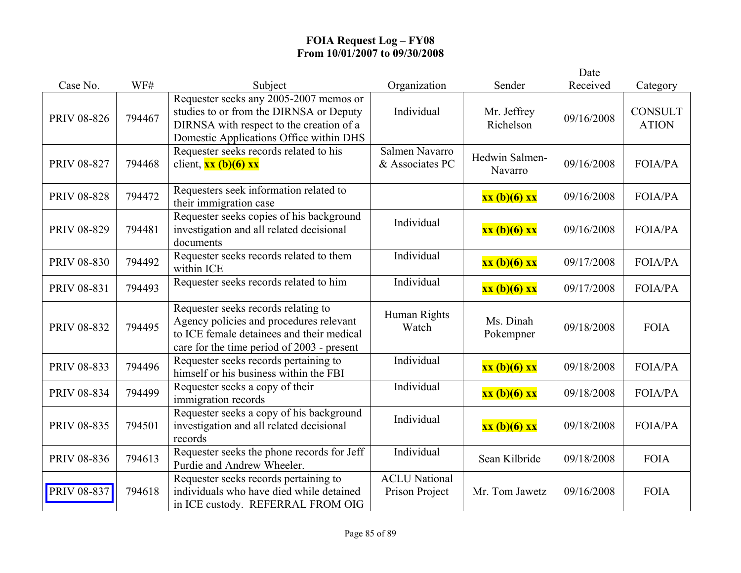|                    |        |                                                                                                                                                                           |                                        |                           | Date       |                                |
|--------------------|--------|---------------------------------------------------------------------------------------------------------------------------------------------------------------------------|----------------------------------------|---------------------------|------------|--------------------------------|
| Case No.           | WF#    | Subject                                                                                                                                                                   | Organization                           | Sender                    | Received   | Category                       |
| <b>PRIV 08-826</b> | 794467 | Requester seeks any 2005-2007 memos or<br>studies to or from the DIRNSA or Deputy<br>DIRNSA with respect to the creation of a<br>Domestic Applications Office within DHS  | Individual                             | Mr. Jeffrey<br>Richelson  | 09/16/2008 | <b>CONSULT</b><br><b>ATION</b> |
| <b>PRIV 08-827</b> | 794468 | Requester seeks records related to his<br>client, $\frac{xx(b)(6)xx}{x}$                                                                                                  | Salmen Navarro<br>& Associates PC      | Hedwin Salmen-<br>Navarro | 09/16/2008 | <b>FOIA/PA</b>                 |
| <b>PRIV 08-828</b> | 794472 | Requesters seek information related to<br>their immigration case                                                                                                          |                                        | xx (b)(6) xx              | 09/16/2008 | <b>FOIA/PA</b>                 |
| PRIV 08-829        | 794481 | Requester seeks copies of his background<br>investigation and all related decisional<br>documents                                                                         | Individual                             | xx (b)(6) xx              | 09/16/2008 | <b>FOIA/PA</b>                 |
| <b>PRIV 08-830</b> | 794492 | Requester seeks records related to them<br>within ICE                                                                                                                     | Individual                             | xx (b)(6) xx              | 09/17/2008 | <b>FOIA/PA</b>                 |
| PRIV 08-831        | 794493 | Requester seeks records related to him                                                                                                                                    | Individual                             | xx (b)(6) xx              | 09/17/2008 | <b>FOIA/PA</b>                 |
| PRIV 08-832        | 794495 | Requester seeks records relating to<br>Agency policies and procedures relevant<br>to ICE female detainees and their medical<br>care for the time period of 2003 - present | Human Rights<br>Watch                  | Ms. Dinah<br>Pokempner    | 09/18/2008 | <b>FOIA</b>                    |
| PRIV 08-833        | 794496 | Requester seeks records pertaining to<br>himself or his business within the FBI                                                                                           | Individual                             | xx (b)(6) xx              | 09/18/2008 | <b>FOIA/PA</b>                 |
| PRIV 08-834        | 794499 | Requester seeks a copy of their<br>immigration records                                                                                                                    | Individual                             | xx (b)(6) xx              | 09/18/2008 | <b>FOIA/PA</b>                 |
| <b>PRIV 08-835</b> | 794501 | Requester seeks a copy of his background<br>investigation and all related decisional<br>records                                                                           | Individual                             | xx (b)(6) xx              | 09/18/2008 | <b>FOIA/PA</b>                 |
| PRIV 08-836        | 794613 | Requester seeks the phone records for Jeff<br>Purdie and Andrew Wheeler.                                                                                                  | Individual                             | Sean Kilbride             | 09/18/2008 | <b>FOIA</b>                    |
| PRIV 08-837        | 794618 | Requester seeks records pertaining to<br>individuals who have died while detained<br>in ICE custody. REFERRAL FROM OIG                                                    | <b>ACLU National</b><br>Prison Project | Mr. Tom Jawetz            | 09/16/2008 | <b>FOIA</b>                    |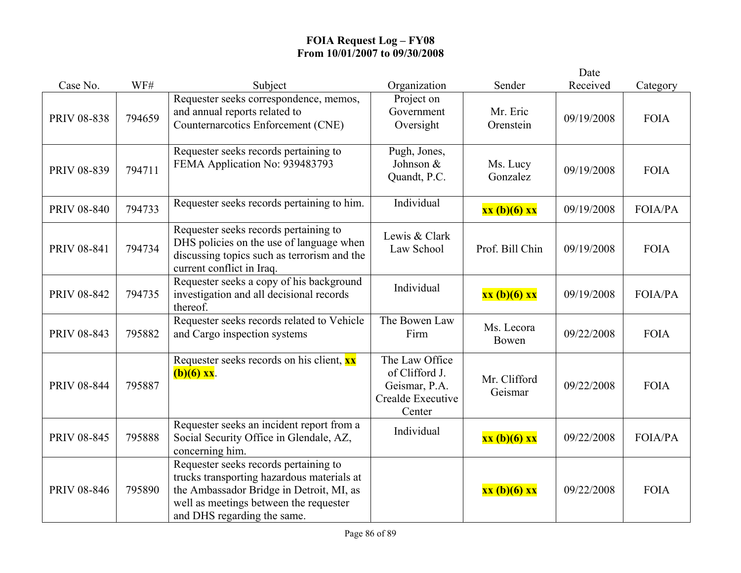|                    |        |                                                                                                                                                                                                          |                                                                                  |                         | Date       |                |
|--------------------|--------|----------------------------------------------------------------------------------------------------------------------------------------------------------------------------------------------------------|----------------------------------------------------------------------------------|-------------------------|------------|----------------|
| Case No.           | WF#    | Subject                                                                                                                                                                                                  | Organization                                                                     | Sender                  | Received   | Category       |
| <b>PRIV 08-838</b> | 794659 | Requester seeks correspondence, memos,<br>and annual reports related to<br>Counternarcotics Enforcement (CNE)                                                                                            | Project on<br>Government<br>Oversight                                            | Mr. Eric<br>Orenstein   | 09/19/2008 | <b>FOIA</b>    |
| PRIV 08-839        | 794711 | Requester seeks records pertaining to<br>FEMA Application No: 939483793                                                                                                                                  | Pugh, Jones,<br>Johnson &<br>Quandt, P.C.                                        | Ms. Lucy<br>Gonzalez    | 09/19/2008 | <b>FOIA</b>    |
| <b>PRIV 08-840</b> | 794733 | Requester seeks records pertaining to him.                                                                                                                                                               | Individual                                                                       | xx (b)(6) xx            | 09/19/2008 | <b>FOIA/PA</b> |
| <b>PRIV 08-841</b> | 794734 | Requester seeks records pertaining to<br>DHS policies on the use of language when<br>discussing topics such as terrorism and the<br>current conflict in Iraq.                                            | Lewis & Clark<br>Law School                                                      | Prof. Bill Chin         | 09/19/2008 | <b>FOIA</b>    |
| PRIV 08-842        | 794735 | Requester seeks a copy of his background<br>investigation and all decisional records<br>thereof.                                                                                                         | Individual                                                                       | xx (b)(6) xx            | 09/19/2008 | <b>FOIA/PA</b> |
| <b>PRIV 08-843</b> | 795882 | Requester seeks records related to Vehicle<br>and Cargo inspection systems                                                                                                                               | The Bowen Law<br>Firm                                                            | Ms. Lecora<br>Bowen     | 09/22/2008 | <b>FOIA</b>    |
| <b>PRIV 08-844</b> | 795887 | Requester seeks records on his client, xx<br>$(b)(6)$ xx.                                                                                                                                                | The Law Office<br>of Clifford J.<br>Geismar, P.A.<br>Crealde Executive<br>Center | Mr. Clifford<br>Geismar | 09/22/2008 | <b>FOIA</b>    |
| <b>PRIV 08-845</b> | 795888 | Requester seeks an incident report from a<br>Social Security Office in Glendale, AZ,<br>concerning him.                                                                                                  | Individual                                                                       | xx (b)(6) xx            | 09/22/2008 | <b>FOIA/PA</b> |
| PRIV 08-846        | 795890 | Requester seeks records pertaining to<br>trucks transporting hazardous materials at<br>the Ambassador Bridge in Detroit, MI, as<br>well as meetings between the requester<br>and DHS regarding the same. |                                                                                  | xx (b)(6) xx            | 09/22/2008 | <b>FOIA</b>    |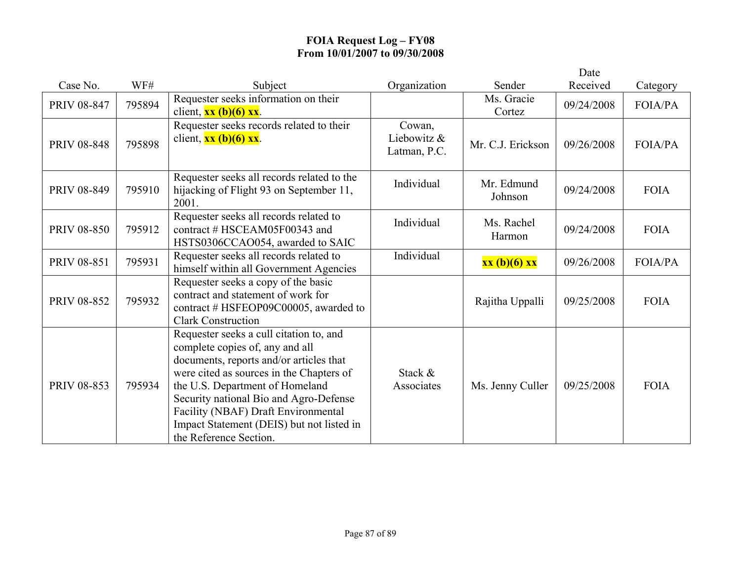|                    |        |                                                                                                                                                                                                                                                                                                                                                              |                                       |                       | Date       |                |
|--------------------|--------|--------------------------------------------------------------------------------------------------------------------------------------------------------------------------------------------------------------------------------------------------------------------------------------------------------------------------------------------------------------|---------------------------------------|-----------------------|------------|----------------|
| Case No.           | WF#    | Subject                                                                                                                                                                                                                                                                                                                                                      | Organization                          | Sender                | Received   | Category       |
| <b>PRIV 08-847</b> | 795894 | Requester seeks information on their<br>client, $\frac{xx(b)(6)xx}{x}$ .                                                                                                                                                                                                                                                                                     |                                       | Ms. Gracie<br>Cortez  | 09/24/2008 | <b>FOIA/PA</b> |
| <b>PRIV 08-848</b> | 795898 | Requester seeks records related to their<br>client, $\frac{xx(b)(6)xx}{x}$ .                                                                                                                                                                                                                                                                                 | Cowan.<br>Liebowitz &<br>Latman, P.C. | Mr. C.J. Erickson     | 09/26/2008 | <b>FOIA/PA</b> |
| <b>PRIV 08-849</b> | 795910 | Requester seeks all records related to the<br>hijacking of Flight 93 on September 11,<br>2001.                                                                                                                                                                                                                                                               | Individual                            | Mr. Edmund<br>Johnson | 09/24/2008 | <b>FOIA</b>    |
| <b>PRIV 08-850</b> | 795912 | Requester seeks all records related to<br>contract # HSCEAM05F00343 and<br>HSTS0306CCAO054, awarded to SAIC                                                                                                                                                                                                                                                  | Individual                            | Ms. Rachel<br>Harmon  | 09/24/2008 | <b>FOIA</b>    |
| <b>PRIV 08-851</b> | 795931 | Requester seeks all records related to<br>himself within all Government Agencies                                                                                                                                                                                                                                                                             | Individual                            | xx (b)(6) xx          | 09/26/2008 | FOIA/PA        |
| PRIV 08-852        | 795932 | Requester seeks a copy of the basic<br>contract and statement of work for<br>contract # HSFEOP09C00005, awarded to<br><b>Clark Construction</b>                                                                                                                                                                                                              |                                       | Rajitha Uppalli       | 09/25/2008 | <b>FOIA</b>    |
| PRIV 08-853        | 795934 | Requester seeks a cull citation to, and<br>complete copies of, any and all<br>documents, reports and/or articles that<br>were cited as sources in the Chapters of<br>the U.S. Department of Homeland<br>Security national Bio and Agro-Defense<br>Facility (NBAF) Draft Environmental<br>Impact Statement (DEIS) but not listed in<br>the Reference Section. | Stack &<br>Associates                 | Ms. Jenny Culler      | 09/25/2008 | <b>FOIA</b>    |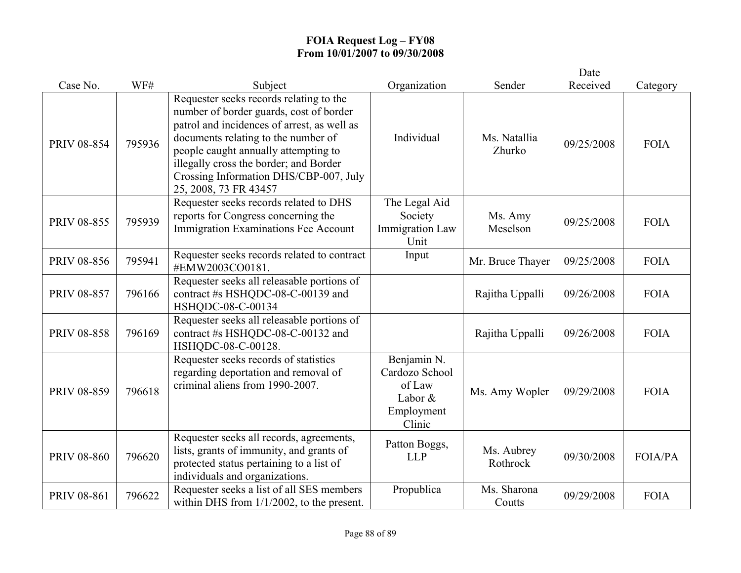|                    |        |                                                                                                                                                                                                                                                                                                                               |                                                                            |                        | Date       |                |
|--------------------|--------|-------------------------------------------------------------------------------------------------------------------------------------------------------------------------------------------------------------------------------------------------------------------------------------------------------------------------------|----------------------------------------------------------------------------|------------------------|------------|----------------|
| Case No.           | WF#    | Subject                                                                                                                                                                                                                                                                                                                       | Organization                                                               | Sender                 | Received   | Category       |
| <b>PRIV 08-854</b> | 795936 | Requester seeks records relating to the<br>number of border guards, cost of border<br>patrol and incidences of arrest, as well as<br>documents relating to the number of<br>people caught annually attempting to<br>illegally cross the border; and Border<br>Crossing Information DHS/CBP-007, July<br>25, 2008, 73 FR 43457 | Individual                                                                 | Ms. Natallia<br>Zhurko | 09/25/2008 | <b>FOIA</b>    |
| <b>PRIV 08-855</b> | 795939 | Requester seeks records related to DHS<br>reports for Congress concerning the<br>Immigration Examinations Fee Account                                                                                                                                                                                                         | The Legal Aid<br>Society<br><b>Immigration Law</b><br>Unit                 | Ms. Amy<br>Meselson    | 09/25/2008 | <b>FOIA</b>    |
| PRIV 08-856        | 795941 | Requester seeks records related to contract<br>#EMW2003CO0181.                                                                                                                                                                                                                                                                | Input                                                                      | Mr. Bruce Thayer       | 09/25/2008 | <b>FOIA</b>    |
| <b>PRIV 08-857</b> | 796166 | Requester seeks all releasable portions of<br>contract #s HSHQDC-08-C-00139 and<br>HSHQDC-08-C-00134                                                                                                                                                                                                                          |                                                                            | Rajitha Uppalli        | 09/26/2008 | <b>FOIA</b>    |
| <b>PRIV 08-858</b> | 796169 | Requester seeks all releasable portions of<br>contract #s HSHQDC-08-C-00132 and<br>HSHQDC-08-C-00128.                                                                                                                                                                                                                         |                                                                            | Rajitha Uppalli        | 09/26/2008 | <b>FOIA</b>    |
| <b>PRIV 08-859</b> | 796618 | Requester seeks records of statistics<br>regarding deportation and removal of<br>criminal aliens from 1990-2007.                                                                                                                                                                                                              | Benjamin N.<br>Cardozo School<br>of Law<br>Labor &<br>Employment<br>Clinic | Ms. Amy Wopler         | 09/29/2008 | <b>FOIA</b>    |
| <b>PRIV 08-860</b> | 796620 | Requester seeks all records, agreements,<br>lists, grants of immunity, and grants of<br>protected status pertaining to a list of<br>individuals and organizations.                                                                                                                                                            | Patton Boggs,<br><b>LLP</b>                                                | Ms. Aubrey<br>Rothrock | 09/30/2008 | <b>FOIA/PA</b> |
| <b>PRIV 08-861</b> | 796622 | Requester seeks a list of all SES members<br>within DHS from $1/1/2002$ , to the present.                                                                                                                                                                                                                                     | Propublica                                                                 | Ms. Sharona<br>Coutts  | 09/29/2008 | <b>FOIA</b>    |